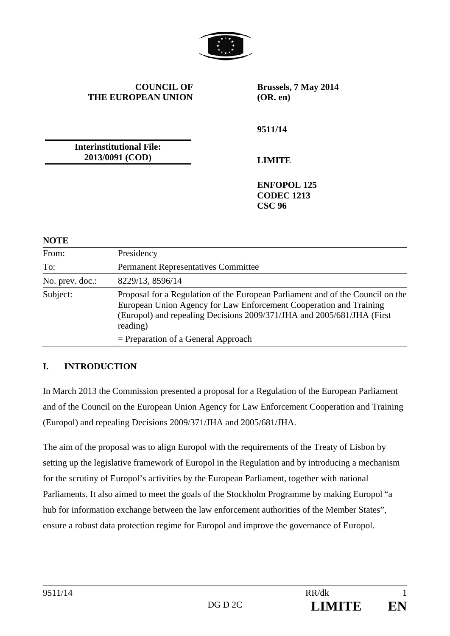

**COUNCIL OF THE EUROPEAN UNION** **Brussels, 7 May 2014 (OR. en)** 

**9511/14** 

**Interinstitutional File: 2013/0091 (COD)**

**LIMITE** 

**ENFOPOL 125 CODEC 1213 CSC 96** 

#### **NOTE**

| From:           | Presidency                                                                                                                                                                                                                                 |
|-----------------|--------------------------------------------------------------------------------------------------------------------------------------------------------------------------------------------------------------------------------------------|
| To:             | <b>Permanent Representatives Committee</b>                                                                                                                                                                                                 |
| No. prev. doc.: | 8229/13, 8596/14                                                                                                                                                                                                                           |
| Subject:        | Proposal for a Regulation of the European Parliament and of the Council on the<br>European Union Agency for Law Enforcement Cooperation and Training<br>(Europol) and repealing Decisions 2009/371/JHA and 2005/681/JHA (First<br>reading) |
|                 | $=$ Preparation of a General Approach                                                                                                                                                                                                      |

#### **I. INTRODUCTION**

In March 2013 the Commission presented a proposal for a Regulation of the European Parliament and of the Council on the European Union Agency for Law Enforcement Cooperation and Training (Europol) and repealing Decisions 2009/371/JHA and 2005/681/JHA.

The aim of the proposal was to align Europol with the requirements of the Treaty of Lisbon by setting up the legislative framework of Europol in the Regulation and by introducing a mechanism for the scrutiny of Europol's activities by the European Parliament, together with national Parliaments. It also aimed to meet the goals of the Stockholm Programme by making Europol "a hub for information exchange between the law enforcement authorities of the Member States", ensure a robust data protection regime for Europol and improve the governance of Europol.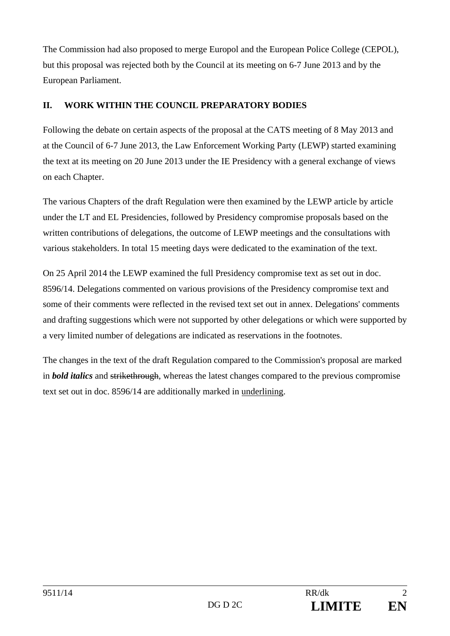The Commission had also proposed to merge Europol and the European Police College (CEPOL), but this proposal was rejected both by the Council at its meeting on 6-7 June 2013 and by the European Parliament.

### **II. WORK WITHIN THE COUNCIL PREPARATORY BODIES**

Following the debate on certain aspects of the proposal at the CATS meeting of 8 May 2013 and at the Council of 6-7 June 2013, the Law Enforcement Working Party (LEWP) started examining the text at its meeting on 20 June 2013 under the IE Presidency with a general exchange of views on each Chapter.

The various Chapters of the draft Regulation were then examined by the LEWP article by article under the LT and EL Presidencies, followed by Presidency compromise proposals based on the written contributions of delegations, the outcome of LEWP meetings and the consultations with various stakeholders. In total 15 meeting days were dedicated to the examination of the text.

On 25 April 2014 the LEWP examined the full Presidency compromise text as set out in doc. 8596/14. Delegations commented on various provisions of the Presidency compromise text and some of their comments were reflected in the revised text set out in annex. Delegations' comments and drafting suggestions which were not supported by other delegations or which were supported by a very limited number of delegations are indicated as reservations in the footnotes.

The changes in the text of the draft Regulation compared to the Commission's proposal are marked in *bold italics* and strikethrough, whereas the latest changes compared to the previous compromise text set out in doc. 8596/14 are additionally marked in underlining.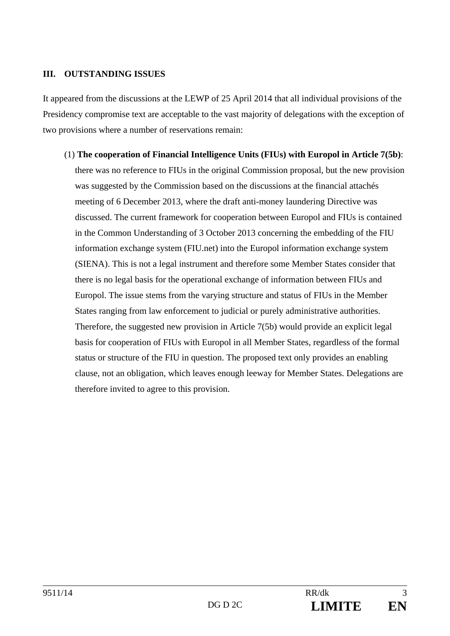#### **III. OUTSTANDING ISSUES**

It appeared from the discussions at the LEWP of 25 April 2014 that all individual provisions of the Presidency compromise text are acceptable to the vast majority of delegations with the exception of two provisions where a number of reservations remain:

(1) **The cooperation of Financial Intelligence Units (FIUs) with Europol in Article 7(5b)**:

there was no reference to FIUs in the original Commission proposal, but the new provision was suggested by the Commission based on the discussions at the financial attachés meeting of 6 December 2013, where the draft anti-money laundering Directive was discussed. The current framework for cooperation between Europol and FIUs is contained in the Common Understanding of 3 October 2013 concerning the embedding of the FIU information exchange system (FIU.net) into the Europol information exchange system (SIENA). This is not a legal instrument and therefore some Member States consider that there is no legal basis for the operational exchange of information between FIUs and Europol. The issue stems from the varying structure and status of FIUs in the Member States ranging from law enforcement to judicial or purely administrative authorities. Therefore, the suggested new provision in Article 7(5b) would provide an explicit legal basis for cooperation of FIUs with Europol in all Member States, regardless of the formal status or structure of the FIU in question. The proposed text only provides an enabling clause, not an obligation, which leaves enough leeway for Member States. Delegations are therefore invited to agree to this provision.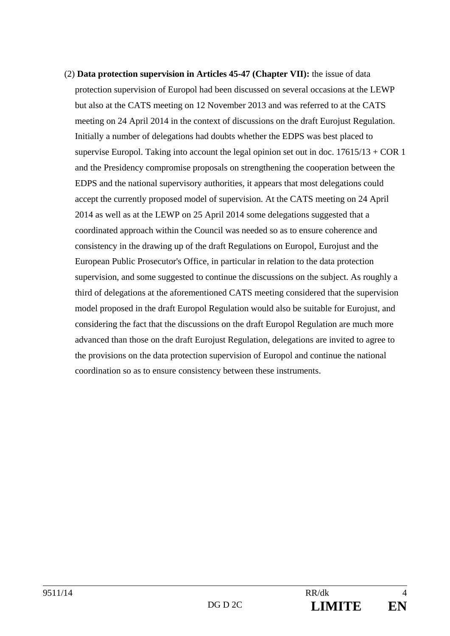(2) **Data protection supervision in Articles 45-47 (Chapter VII):** the issue of data protection supervision of Europol had been discussed on several occasions at the LEWP but also at the CATS meeting on 12 November 2013 and was referred to at the CATS meeting on 24 April 2014 in the context of discussions on the draft Eurojust Regulation. Initially a number of delegations had doubts whether the EDPS was best placed to supervise Europol. Taking into account the legal opinion set out in doc.  $17615/13 + COR$  1 and the Presidency compromise proposals on strengthening the cooperation between the EDPS and the national supervisory authorities, it appears that most delegations could accept the currently proposed model of supervision. At the CATS meeting on 24 April 2014 as well as at the LEWP on 25 April 2014 some delegations suggested that a coordinated approach within the Council was needed so as to ensure coherence and consistency in the drawing up of the draft Regulations on Europol, Eurojust and the European Public Prosecutor's Office, in particular in relation to the data protection supervision, and some suggested to continue the discussions on the subject. As roughly a third of delegations at the aforementioned CATS meeting considered that the supervision model proposed in the draft Europol Regulation would also be suitable for Eurojust, and considering the fact that the discussions on the draft Europol Regulation are much more advanced than those on the draft Eurojust Regulation, delegations are invited to agree to the provisions on the data protection supervision of Europol and continue the national coordination so as to ensure consistency between these instruments.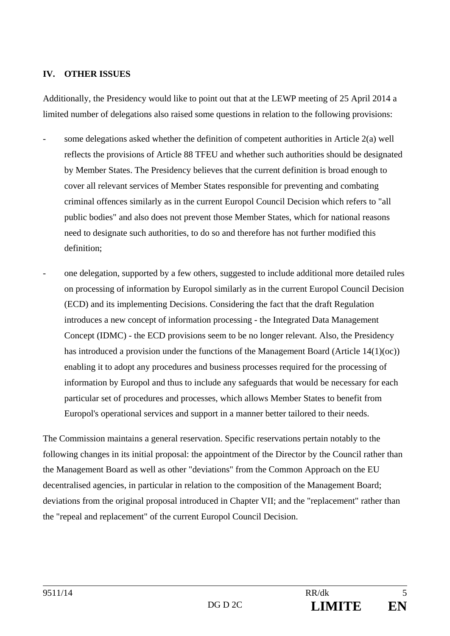### **IV. OTHER ISSUES**

Additionally, the Presidency would like to point out that at the LEWP meeting of 25 April 2014 a limited number of delegations also raised some questions in relation to the following provisions:

- some delegations asked whether the definition of competent authorities in Article  $2(a)$  well reflects the provisions of Article 88 TFEU and whether such authorities should be designated by Member States. The Presidency believes that the current definition is broad enough to cover all relevant services of Member States responsible for preventing and combating criminal offences similarly as in the current Europol Council Decision which refers to "all public bodies" and also does not prevent those Member States, which for national reasons need to designate such authorities, to do so and therefore has not further modified this definition;
- one delegation, supported by a few others, suggested to include additional more detailed rules on processing of information by Europol similarly as in the current Europol Council Decision (ECD) and its implementing Decisions. Considering the fact that the draft Regulation introduces a new concept of information processing - the Integrated Data Management Concept (IDMC) - the ECD provisions seem to be no longer relevant. Also, the Presidency has introduced a provision under the functions of the Management Board (Article 14(1)(oc)) enabling it to adopt any procedures and business processes required for the processing of information by Europol and thus to include any safeguards that would be necessary for each particular set of procedures and processes, which allows Member States to benefit from Europol's operational services and support in a manner better tailored to their needs.

The Commission maintains a general reservation. Specific reservations pertain notably to the following changes in its initial proposal: the appointment of the Director by the Council rather than the Management Board as well as other "deviations" from the Common Approach on the EU decentralised agencies, in particular in relation to the composition of the Management Board; deviations from the original proposal introduced in Chapter VII; and the "replacement" rather than the "repeal and replacement" of the current Europol Council Decision.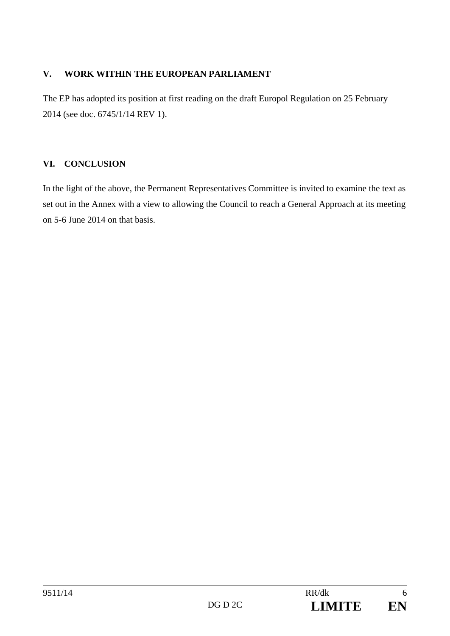### **V. WORK WITHIN THE EUROPEAN PARLIAMENT**

The EP has adopted its position at first reading on the draft Europol Regulation on 25 February 2014 (see doc. 6745/1/14 REV 1).

### **VI. CONCLUSION**

In the light of the above, the Permanent Representatives Committee is invited to examine the text as set out in the Annex with a view to allowing the Council to reach a General Approach at its meeting on 5-6 June 2014 on that basis.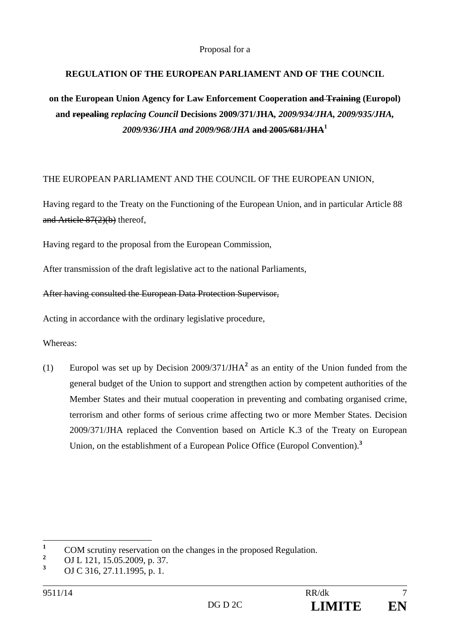Proposal for a

### **REGULATION OF THE EUROPEAN PARLIAMENT AND OF THE COUNCIL**

**on the European Union Agency for Law Enforcement Cooperation and Training (Europol) and repealing** *replacing Council* **Decisions 2009/371/JHA***, 2009/934/JHA, 2009/935/JHA, 2009/936/JHA and 2009/968/JHA* **and 2005/681/JHA1**

#### THE EUROPEAN PARLIAMENT AND THE COUNCIL OF THE EUROPEAN UNION,

Having regard to the Treaty on the Functioning of the European Union, and in particular Article 88 and Article 87(2)(b) thereof,

Having regard to the proposal from the European Commission,

After transmission of the draft legislative act to the national Parliaments,

#### After having consulted the European Data Protection Supervisor,

Acting in accordance with the ordinary legislative procedure,

#### Whereas:

(1) Europol was set up by Decision  $2009/371/JHA<sup>2</sup>$  as an entity of the Union funded from the general budget of the Union to support and strengthen action by competent authorities of the Member States and their mutual cooperation in preventing and combating organised crime, terrorism and other forms of serious crime affecting two or more Member States. Decision 2009/371/JHA replaced the Convention based on Article K.3 of the Treaty on European Union, on the establishment of a European Police Office (Europol Convention).**<sup>3</sup>**

 **1** COM scrutiny reservation on the changes in the proposed Regulation.

**<sup>2</sup>** OJ L 121, 15.05.2009, p. 37.

**<sup>3</sup>** OJ C 316, 27.11.1995, p. 1.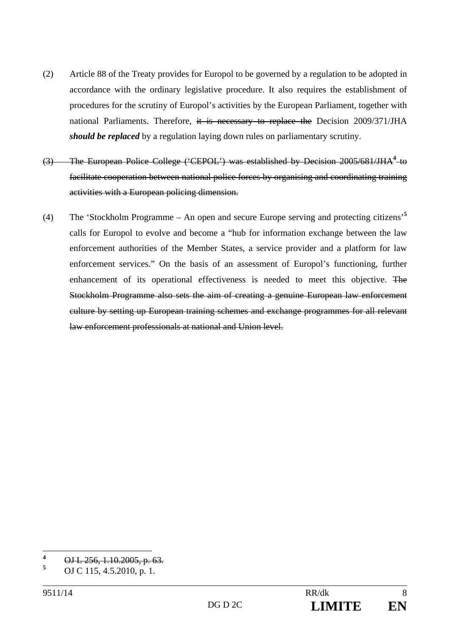- (2) Article 88 of the Treaty provides for Europol to be governed by a regulation to be adopted in accordance with the ordinary legislative procedure. It also requires the establishment of procedures for the scrutiny of Europol's activities by the European Parliament, together with national Parliaments. Therefore, it is necessary to replace the Decision 2009/371/JHA *should be replaced* by a regulation laying down rules on parliamentary scrutiny.
- (3) The European Police College ('CEPOL') was established by Decision 2005/681/JHA<sup>4</sup> to facilitate cooperation between national police forces by organising and coordinating training activities with a European policing dimension.
- (4) The 'Stockholm Programme An open and secure Europe serving and protecting citizens'**<sup>5</sup>** calls for Europol to evolve and become a "hub for information exchange between the law enforcement authorities of the Member States, a service provider and a platform for law enforcement services." On the basis of an assessment of Europol's functioning, further enhancement of its operational effectiveness is needed to meet this objective. The Stockholm Programme also sets the aim of creating a genuine European law enforcement culture by setting up European training schemes and exchange programmes for all relevant law enforcement professionals at national and Union level.

 **4** OJ L 256, 1.10.2005, p. 63.

**<sup>5</sup>** OJ C 115, 4.5.2010, p. 1.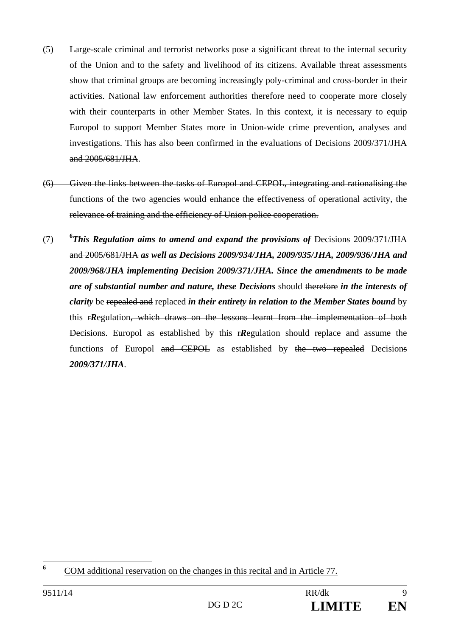- (5) Large-scale criminal and terrorist networks pose a significant threat to the internal security of the Union and to the safety and livelihood of its citizens. Available threat assessments show that criminal groups are becoming increasingly poly-criminal and cross-border in their activities. National law enforcement authorities therefore need to cooperate more closely with their counterparts in other Member States. In this context, it is necessary to equip Europol to support Member States more in Union-wide crime prevention, analyses and investigations. This has also been confirmed in the evaluations of Decisions 2009/371/JHA and 2005/681/JHA.
- (6) Given the links between the tasks of Europol and CEPOL, integrating and rationalising the functions of the two agencies would enhance the effectiveness of operational activity, the relevance of training and the efficiency of Union police cooperation.
- $(7)$ *This Regulation aims to amend and expand the provisions of* Decisions 2009/371/JHA and 2005/681/JHA *as well as Decisions 2009/934/JHA, 2009/935/JHA, 2009/936/JHA and 2009/968/JHA implementing Decision 2009/371/JHA. Since the amendments to be made are of substantial number and nature, these Decisions* should therefore *in the interests of clarity* be repealed and replaced *in their entirety in relation to the Member States bound* by this r*R*egulation, which draws on the lessons learnt from the implementation of both Decisions. Europol as established by this r*R*egulation should replace and assume the functions of Europol and CEPOL as established by the two repealed Decisions *2009/371/JHA*.

 **6** COM additional reservation on the changes in this recital and in Article 77.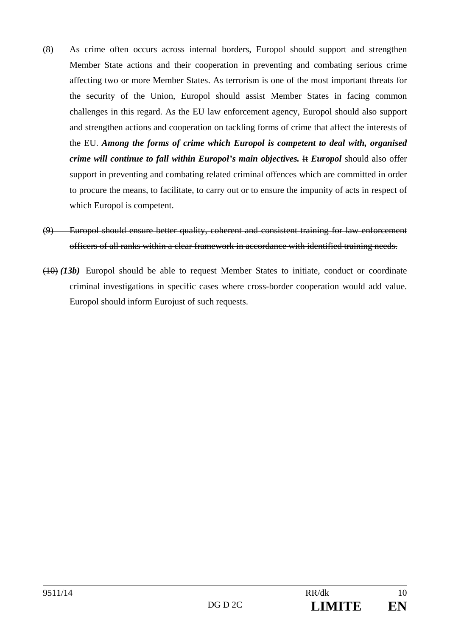- (8) As crime often occurs across internal borders, Europol should support and strengthen Member State actions and their cooperation in preventing and combating serious crime affecting two or more Member States. As terrorism is one of the most important threats for the security of the Union, Europol should assist Member States in facing common challenges in this regard. As the EU law enforcement agency, Europol should also support and strengthen actions and cooperation on tackling forms of crime that affect the interests of the EU. *Among the forms of crime which Europol is competent to deal with, organised crime will continue to fall within Europol's main objectives.* Het *Europol* should also offer support in preventing and combating related criminal offences which are committed in order to procure the means, to facilitate, to carry out or to ensure the impunity of acts in respect of which Europol is competent.
- (9) Europol should ensure better quality, coherent and consistent training for law enforcement officers of all ranks within a clear framework in accordance with identified training needs.
- (10) *(13b)* Europol should be able to request Member States to initiate, conduct or coordinate criminal investigations in specific cases where cross-border cooperation would add value. Europol should inform Eurojust of such requests.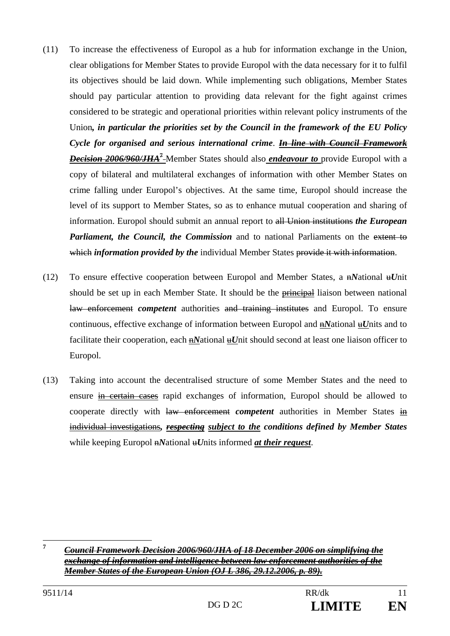- (11) To increase the effectiveness of Europol as a hub for information exchange in the Union, clear obligations for Member States to provide Europol with the data necessary for it to fulfil its objectives should be laid down. While implementing such obligations, Member States should pay particular attention to providing data relevant for the fight against crimes considered to be strategic and operational priorities within relevant policy instruments of the Union*, in particular the priorities set by the Council in the framework of the EU Policy Cycle for organised and serious international crime*. *In line with Council Framework Decision 2006/960/JHA***<sup>7</sup>** Member States should also *endeavour to* provide Europol with a copy of bilateral and multilateral exchanges of information with other Member States on crime falling under Europol's objectives. At the same time, Europol should increase the level of its support to Member States, so as to enhance mutual cooperation and sharing of information. Europol should submit an annual report to all Union institutions *the European Parliament, the Council, the Commission* and to national Parliaments on the extent to which *information provided by the* individual Member States provide it with information.
- (12) To ensure effective cooperation between Europol and Member States, a n*N*ational u*U*nit should be set up in each Member State. It should be the **principal** liaison between national law enforcement *competent* authorities and training institutes and Europol. To ensure continuous, effective exchange of information between Europol and  $\frac{1}{2}$ *National*  $\frac{1}{2}$ *Units* and to facilitate their cooperation, each n*N*ational u*U*nit should second at least one liaison officer to Europol.
- (13) Taking into account the decentralised structure of some Member States and the need to ensure in certain cases rapid exchanges of information, Europol should be allowed to cooperate directly with law enforcement *competent* authorities in Member States in individual investigations*, respecting subject to the conditions defined by Member States* while keeping Europol n*N*ational u*U*nits informed *at their request*.

 $\overline{7}$ **<sup>7</sup>** *Council Framework Decision 2006/960/JHA of 18 December 2006 on simplifying the exchange of information and intelligence between law enforcement authorities of the Member States of the European Union (OJ L 386, 29.12.2006, p. 89).*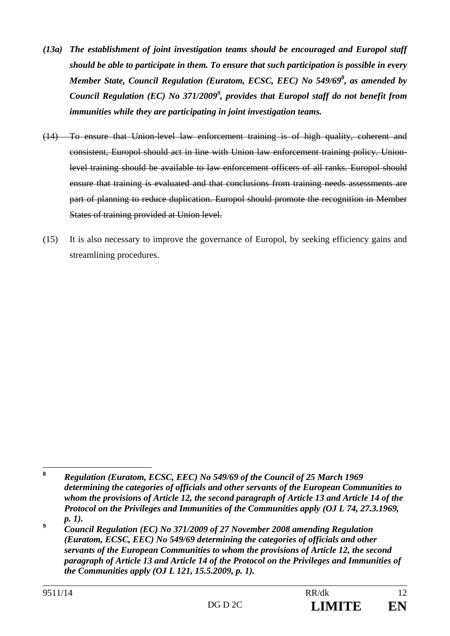- *(13a) The establishment of joint investigation teams should be encouraged and Europol staff should be able to participate in them. To ensure that such participation is possible in every Member State, Council Regulation (Euratom, ECSC, EEC) No 549/69<sup>8</sup>, as amended by* Council Regulation (EC) No 371/2009<sup>9</sup>, provides that Europol staff do not benefit from *immunities while they are participating in joint investigation teams.*
- (14) To ensure that Union-level law enforcement training is of high quality, coherent and consistent, Europol should act in line with Union law enforcement training policy. Unionlevel training should be available to law enforcement officers of all ranks. Europol should ensure that training is evaluated and that conclusions from training needs assessments are part of planning to reduce duplication. Europol should promote the recognition in Member States of training provided at Union level.
- (15) It is also necessary to improve the governance of Europol, by seeking efficiency gains and streamlining procedures.

 $\bf{8}$ **<sup>8</sup>** *Regulation (Euratom, ECSC, EEC) No 549/69 of the Council of 25 March 1969 determining the categories of officials and other servants of the European Communities to whom the provisions of Article 12, the second paragraph of Article 13 and Article 14 of the Protocol on the Privileges and Immunities of the Communities apply (OJ L 74, 27.3.1969, p. 1).* 

**<sup>9</sup>**  *Council Regulation (EC) No 371/2009 of 27 November 2008 amending Regulation (Euratom, ECSC, EEC) No 549/69 determining the categories of officials and other servants of the European Communities to whom the provisions of Article 12, the second paragraph of Article 13 and Article 14 of the Protocol on the Privileges and Immunities of the Communities apply (OJ L 121, 15.5.2009, p. 1).*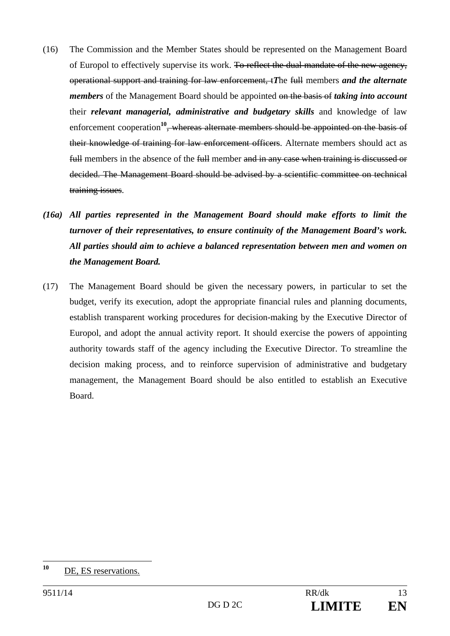- (16) The Commission and the Member States should be represented on the Management Board of Europol to effectively supervise its work. To reflect the dual mandate of the new agency, operational support and training for law enforcement, t*T*he full members *and the alternate members* of the Management Board should be appointed on the basis of *taking into account* their *relevant managerial, administrative and budgetary skills* and knowledge of law enforcement cooperation**<sup>10</sup>**, whereas alternate members should be appointed on the basis of their knowledge of training for law enforcement officers. Alternate members should act as full members in the absence of the full member and in any case when training is discussed or decided. The Management Board should be advised by a scientific committee on technical training issues.
- *(16a) All parties represented in the Management Board should make efforts to limit the turnover of their representatives, to ensure continuity of the Management Board's work. All parties should aim to achieve a balanced representation between men and women on the Management Board.*
- (17) The Management Board should be given the necessary powers, in particular to set the budget, verify its execution, adopt the appropriate financial rules and planning documents, establish transparent working procedures for decision-making by the Executive Director of Europol, and adopt the annual activity report. It should exercise the powers of appointing authority towards staff of the agency including the Executive Director. To streamline the decision making process, and to reinforce supervision of administrative and budgetary management, the Management Board should be also entitled to establish an Executive Board.

 $10$ DE, ES reservations.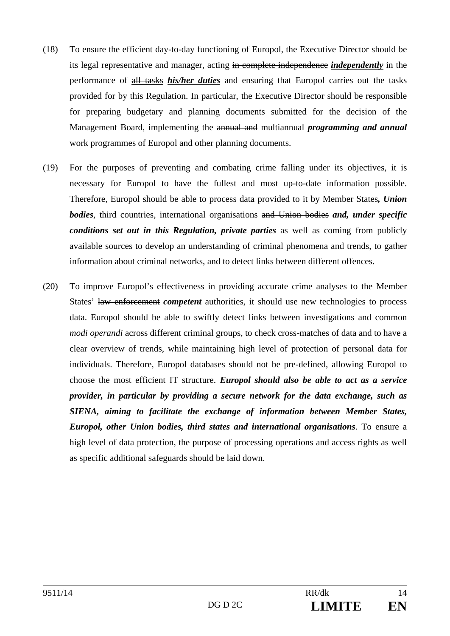- (18) To ensure the efficient day-to-day functioning of Europol, the Executive Director should be its legal representative and manager, acting in complete independence *independently* in the performance of all tasks *his/her duties* and ensuring that Europol carries out the tasks provided for by this Regulation. In particular, the Executive Director should be responsible for preparing budgetary and planning documents submitted for the decision of the Management Board, implementing the annual and multiannual *programming and annual* work programmes of Europol and other planning documents.
- (19) For the purposes of preventing and combating crime falling under its objectives, it is necessary for Europol to have the fullest and most up-to-date information possible. Therefore, Europol should be able to process data provided to it by Member States*, Union bodies*, third countries, international organisations and Union bodies *and, under specific conditions set out in this Regulation, private parties* as well as coming from publicly available sources to develop an understanding of criminal phenomena and trends, to gather information about criminal networks, and to detect links between different offences.
- (20) To improve Europol's effectiveness in providing accurate crime analyses to the Member States' law enforcement *competent* authorities, it should use new technologies to process data. Europol should be able to swiftly detect links between investigations and common *modi operandi* across different criminal groups, to check cross-matches of data and to have a clear overview of trends, while maintaining high level of protection of personal data for individuals. Therefore, Europol databases should not be pre-defined, allowing Europol to choose the most efficient IT structure. *Europol should also be able to act as a service provider, in particular by providing a secure network for the data exchange, such as SIENA, aiming to facilitate the exchange of information between Member States, Europol, other Union bodies, third states and international organisations*. To ensure a high level of data protection, the purpose of processing operations and access rights as well as specific additional safeguards should be laid down.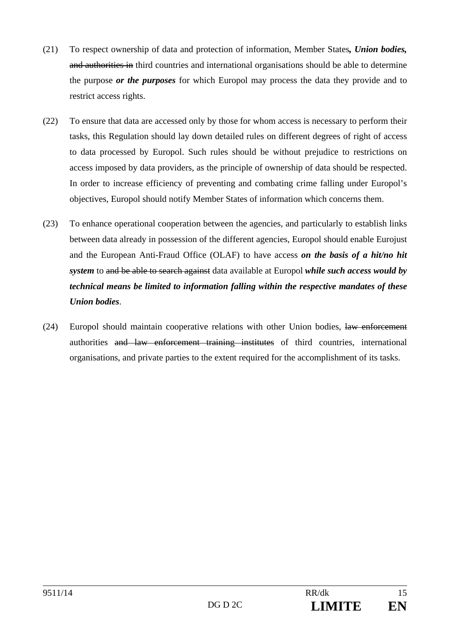- (21) To respect ownership of data and protection of information, Member States*, Union bodies,* and authorities in third countries and international organisations should be able to determine the purpose *or the purposes* for which Europol may process the data they provide and to restrict access rights.
- (22) To ensure that data are accessed only by those for whom access is necessary to perform their tasks, this Regulation should lay down detailed rules on different degrees of right of access to data processed by Europol. Such rules should be without prejudice to restrictions on access imposed by data providers, as the principle of ownership of data should be respected. In order to increase efficiency of preventing and combating crime falling under Europol's objectives, Europol should notify Member States of information which concerns them.
- (23) To enhance operational cooperation between the agencies, and particularly to establish links between data already in possession of the different agencies, Europol should enable Eurojust and the European Anti-Fraud Office (OLAF) to have access *on the basis of a hit/no hit system* to and be able to search against data available at Europol *while such access would by technical means be limited to information falling within the respective mandates of these Union bodies*.
- (24) Europol should maintain cooperative relations with other Union bodies, law enforcement authorities and law enforcement training institutes of third countries, international organisations, and private parties to the extent required for the accomplishment of its tasks.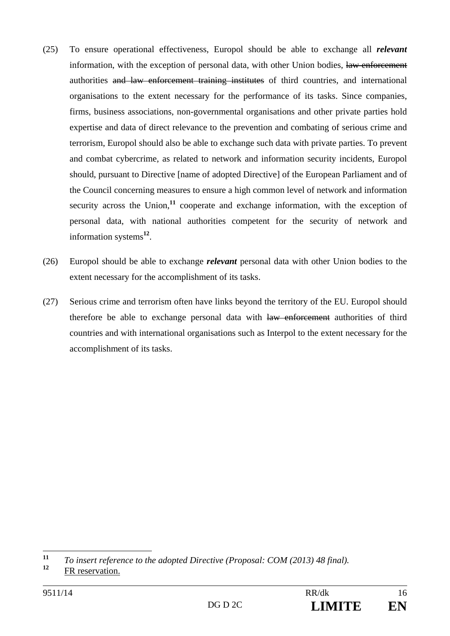- (25) To ensure operational effectiveness, Europol should be able to exchange all *relevant* information, with the exception of personal data, with other Union bodies, law enforcement authorities and law enforcement training institutes of third countries, and international organisations to the extent necessary for the performance of its tasks. Since companies, firms, business associations, non-governmental organisations and other private parties hold expertise and data of direct relevance to the prevention and combating of serious crime and terrorism, Europol should also be able to exchange such data with private parties. To prevent and combat cybercrime, as related to network and information security incidents, Europol should, pursuant to Directive [name of adopted Directive] of the European Parliament and of the Council concerning measures to ensure a high common level of network and information security across the Union,<sup>11</sup> cooperate and exchange information, with the exception of personal data, with national authorities competent for the security of network and information systems**<sup>12</sup>**.
- (26) Europol should be able to exchange *relevant* personal data with other Union bodies to the extent necessary for the accomplishment of its tasks.
- (27) Serious crime and terrorism often have links beyond the territory of the EU. Europol should therefore be able to exchange personal data with law enforcement authorities of third countries and with international organisations such as Interpol to the extent necessary for the accomplishment of its tasks.

 $11$ **<sup>11</sup>** *To insert reference to the adopted Directive (Proposal: COM (2013) 48 final).*

**<sup>12</sup>** FR reservation.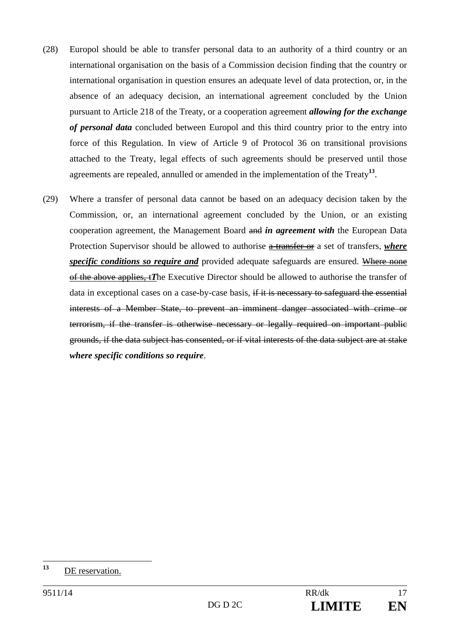- (28) Europol should be able to transfer personal data to an authority of a third country or an international organisation on the basis of a Commission decision finding that the country or international organisation in question ensures an adequate level of data protection, or, in the absence of an adequacy decision, an international agreement concluded by the Union pursuant to Article 218 of the Treaty, or a cooperation agreement *allowing for the exchange of personal data* concluded between Europol and this third country prior to the entry into force of this Regulation. In view of Article 9 of Protocol 36 on transitional provisions attached to the Treaty, legal effects of such agreements should be preserved until those agreements are repealed, annulled or amended in the implementation of the Treaty**<sup>13</sup>**.
- (29) Where a transfer of personal data cannot be based on an adequacy decision taken by the Commission, or, an international agreement concluded by the Union, or an existing cooperation agreement, the Management Board and *in agreement with* the European Data Protection Supervisor should be allowed to authorise a transfer or a set of transfers, *where specific conditions so require and* provided adequate safeguards are ensured. Where none of the above applies, t*T*he Executive Director should be allowed to authorise the transfer of data in exceptional cases on a case-by-case basis, if it is necessary to safeguard the essential interests of a Member State, to prevent an imminent danger associated with crime or terrorism, if the transfer is otherwise necessary or legally required on important public grounds, if the data subject has consented, or if vital interests of the data subject are at stake *where specific conditions so require*.

 $13$ **<sup>13</sup>** DE reservation.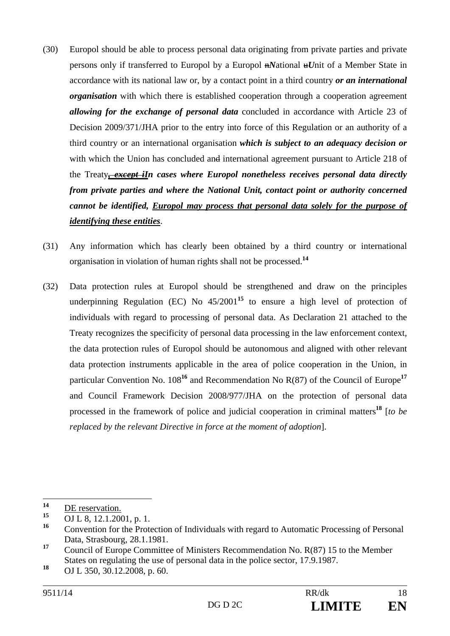- (30) Europol should be able to process personal data originating from private parties and private persons only if transferred to Europol by a Europol n*N*ational u*U*nit of a Member State in accordance with its national law or, by a contact point in a third country *or an international organisation* with which there is established cooperation through a cooperation agreement *allowing for the exchange of personal data* concluded in accordance with Article 23 of Decision 2009/371/JHA prior to the entry into force of this Regulation or an authority of a third country or an international organisation *which is subject to an adequacy decision or*  with which the Union has concluded and international agreement pursuant to Article 218 of the Treaty*, except iIn cases where Europol nonetheless receives personal data directly from private parties and where the National Unit, contact point or authority concerned cannot be identified, Europol may process that personal data solely for the purpose of identifying these entities*.
- (31) Any information which has clearly been obtained by a third country or international organisation in violation of human rights shall not be processed.**<sup>14</sup>**
- (32) Data protection rules at Europol should be strengthened and draw on the principles underpinning Regulation (EC) No  $45/2001^{15}$  to ensure a high level of protection of individuals with regard to processing of personal data. As Declaration 21 attached to the Treaty recognizes the specificity of personal data processing in the law enforcement context, the data protection rules of Europol should be autonomous and aligned with other relevant data protection instruments applicable in the area of police cooperation in the Union, in particular Convention No. 108**<sup>16</sup>** and Recommendation No R(87) of the Council of Europe**<sup>17</sup>** and Council Framework Decision 2008/977/JHA on the protection of personal data processed in the framework of police and judicial cooperation in criminal matters**<sup>18</sup>** [*to be replaced by the relevant Directive in force at the moment of adoption*].

 $14$  $\frac{14}{15}$  <u>DE reservation.</u>

**<sup>15</sup>** OJ L 8, 12.1.2001, p. 1.

**<sup>16</sup>** Convention for the Protection of Individuals with regard to Automatic Processing of Personal Data, Strasbourg, 28.1.1981.

**<sup>17</sup>** Council of Europe Committee of Ministers Recommendation No. R(87) 15 to the Member States on regulating the use of personal data in the police sector, 17.9.1987.

**<sup>18</sup>** OJ L 350, 30.12.2008, p. 60.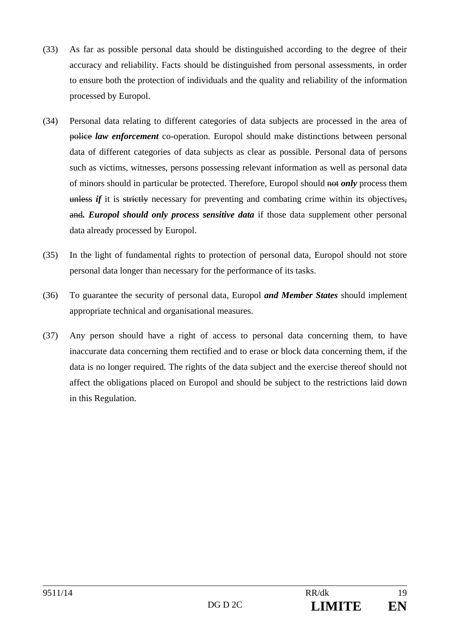- (33) As far as possible personal data should be distinguished according to the degree of their accuracy and reliability. Facts should be distinguished from personal assessments, in order to ensure both the protection of individuals and the quality and reliability of the information processed by Europol.
- (34) Personal data relating to different categories of data subjects are processed in the area of police *law enforcement* co-operation. Europol should make distinctions between personal data of different categories of data subjects as clear as possible. Personal data of persons such as victims, witnesses, persons possessing relevant information as well as personal data of minors should in particular be protected. Therefore, Europol should not *only* process them unless *if* it is strictly necessary for preventing and combating crime within its objectives, and*. Europol should only process sensitive data* if those data supplement other personal data already processed by Europol.
- (35) In the light of fundamental rights to protection of personal data, Europol should not store personal data longer than necessary for the performance of its tasks.
- (36) To guarantee the security of personal data, Europol *and Member States* should implement appropriate technical and organisational measures.
- (37) Any person should have a right of access to personal data concerning them, to have inaccurate data concerning them rectified and to erase or block data concerning them, if the data is no longer required. The rights of the data subject and the exercise thereof should not affect the obligations placed on Europol and should be subject to the restrictions laid down in this Regulation.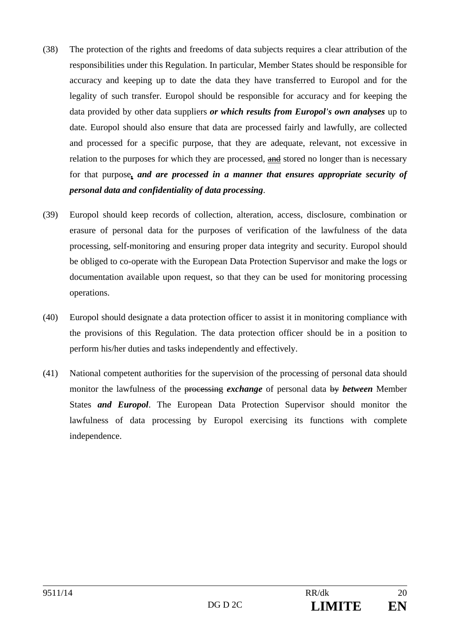- (38) The protection of the rights and freedoms of data subjects requires a clear attribution of the responsibilities under this Regulation. In particular, Member States should be responsible for accuracy and keeping up to date the data they have transferred to Europol and for the legality of such transfer. Europol should be responsible for accuracy and for keeping the data provided by other data suppliers *or which results from Europol's own analyses* up to date. Europol should also ensure that data are processed fairly and lawfully, are collected and processed for a specific purpose, that they are adequate, relevant, not excessive in relation to the purposes for which they are processed, and stored no longer than is necessary for that purpose*, and are processed in a manner that ensures appropriate security of personal data and confidentiality of data processing*.
- (39) Europol should keep records of collection, alteration, access, disclosure, combination or erasure of personal data for the purposes of verification of the lawfulness of the data processing, self-monitoring and ensuring proper data integrity and security. Europol should be obliged to co-operate with the European Data Protection Supervisor and make the logs or documentation available upon request, so that they can be used for monitoring processing operations.
- (40) Europol should designate a data protection officer to assist it in monitoring compliance with the provisions of this Regulation. The data protection officer should be in a position to perform his/her duties and tasks independently and effectively.
- (41) National competent authorities for the supervision of the processing of personal data should monitor the lawfulness of the processing *exchange* of personal data by *between* Member States *and Europol*. The European Data Protection Supervisor should monitor the lawfulness of data processing by Europol exercising its functions with complete independence.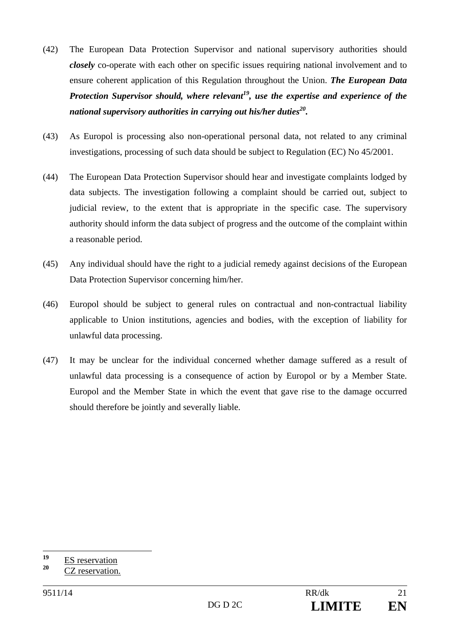- (42) The European Data Protection Supervisor and national supervisory authorities should *closely* co-operate with each other on specific issues requiring national involvement and to ensure coherent application of this Regulation throughout the Union. *The European Data Protection Supervisor should, where relevant<sup>19</sup>, use the expertise and experience of the national supervisory authorities in carrying out his/her duties20.*
- (43) As Europol is processing also non-operational personal data, not related to any criminal investigations, processing of such data should be subject to Regulation (EC) No 45/2001.
- (44) The European Data Protection Supervisor should hear and investigate complaints lodged by data subjects. The investigation following a complaint should be carried out, subject to judicial review, to the extent that is appropriate in the specific case. The supervisory authority should inform the data subject of progress and the outcome of the complaint within a reasonable period.
- (45) Any individual should have the right to a judicial remedy against decisions of the European Data Protection Supervisor concerning him/her.
- (46) Europol should be subject to general rules on contractual and non-contractual liability applicable to Union institutions, agencies and bodies, with the exception of liability for unlawful data processing.
- (47) It may be unclear for the individual concerned whether damage suffered as a result of unlawful data processing is a consequence of action by Europol or by a Member State. Europol and the Member State in which the event that gave rise to the damage occurred should therefore be jointly and severally liable.

<sup>19</sup>  $\frac{19}{20}$  ES reservation

**<sup>20</sup>** CZ reservation.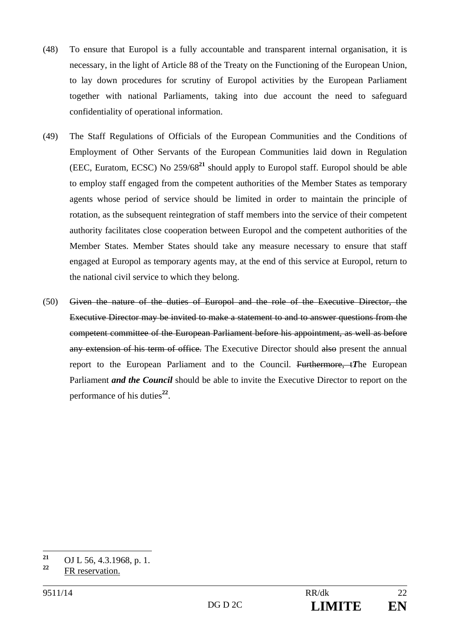- (48) To ensure that Europol is a fully accountable and transparent internal organisation, it is necessary, in the light of Article 88 of the Treaty on the Functioning of the European Union, to lay down procedures for scrutiny of Europol activities by the European Parliament together with national Parliaments, taking into due account the need to safeguard confidentiality of operational information.
- (49) The Staff Regulations of Officials of the European Communities and the Conditions of Employment of Other Servants of the European Communities laid down in Regulation (EEC, Euratom, ECSC) No 259/68**<sup>21</sup>** should apply to Europol staff. Europol should be able to employ staff engaged from the competent authorities of the Member States as temporary agents whose period of service should be limited in order to maintain the principle of rotation, as the subsequent reintegration of staff members into the service of their competent authority facilitates close cooperation between Europol and the competent authorities of the Member States. Member States should take any measure necessary to ensure that staff engaged at Europol as temporary agents may, at the end of this service at Europol, return to the national civil service to which they belong.
- (50) Given the nature of the duties of Europol and the role of the Executive Director, the Executive Director may be invited to make a statement to and to answer questions from the competent committee of the European Parliament before his appointment, as well as before any extension of his term of office. The Executive Director should also present the annual report to the European Parliament and to the Council. Furthermore, t*T*he European Parliament *and the Council* should be able to invite the Executive Director to report on the performance of his duties**<sup>22</sup>**.

 $21$ <sup>21</sup> OJ L 56, 4.3.1968, p. 1.

**<sup>22</sup>** FR reservation.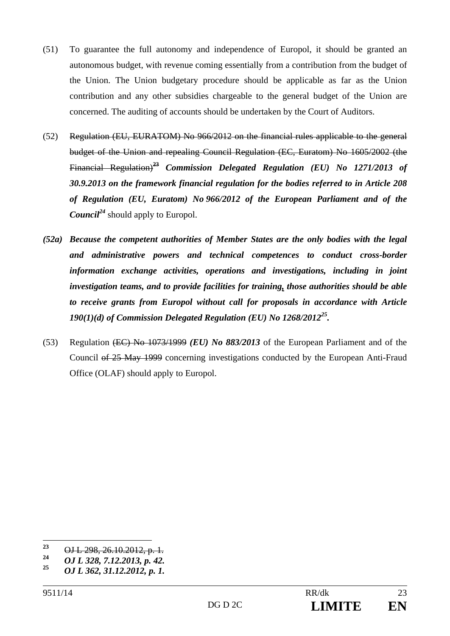- (51) To guarantee the full autonomy and independence of Europol, it should be granted an autonomous budget, with revenue coming essentially from a contribution from the budget of the Union. The Union budgetary procedure should be applicable as far as the Union contribution and any other subsidies chargeable to the general budget of the Union are concerned. The auditing of accounts should be undertaken by the Court of Auditors.
- (52) Regulation (EU, EURATOM) No 966/2012 on the financial rules applicable to the general budget of the Union and repealing Council Regulation (EC, Euratom) No 1605/2002 (the Financial Regulation)**<sup>23</sup>** *Commission Delegated Regulation (EU) No 1271/2013 of 30.9.2013 on the framework financial regulation for the bodies referred to in Article 208 of Regulation (EU, Euratom) No 966/2012 of the European Parliament and of the Council*<sup>24</sup> should apply to Europol.
- *(52a) Because the competent authorities of Member States are the only bodies with the legal and administrative powers and technical competences to conduct cross-border information exchange activities, operations and investigations, including in joint investigation teams, and to provide facilities for training, those authorities should be able to receive grants from Europol without call for proposals in accordance with Article 190(1)(d) of Commission Delegated Regulation (EU) No 1268/201225.*
- (53) Regulation (EC) No 1073/1999 *(EU) No 883/2013* of the European Parliament and of the Council of 25 May 1999 concerning investigations conducted by the European Anti-Fraud Office (OLAF) should apply to Europol.

<sup>23</sup> <sup>23</sup> OJ L 298, 26.10.2012, p. 1.<br><sup>24</sup> OJ J 228, 7.12.2012, p. 42

**<sup>24</sup>** *OJ L 328, 7.12.2013, p. 42.* 

**<sup>25</sup>** *OJ L 362, 31.12.2012, p. 1.*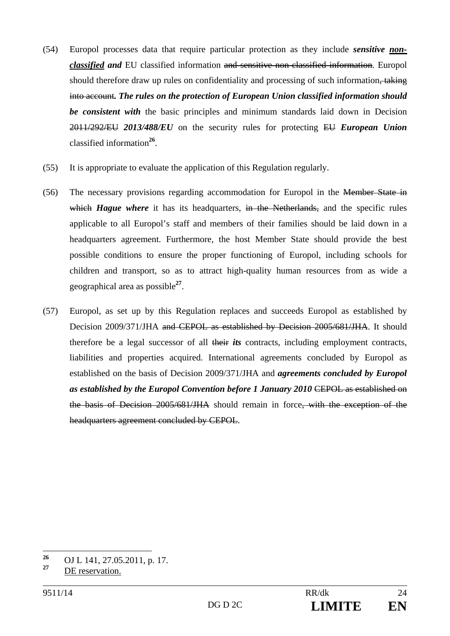- (54) Europol processes data that require particular protection as they include *sensitive nonclassified and* EU classified information and sensitive non-classified information. Europol should therefore draw up rules on confidentiality and processing of such information. into account*. The rules on the protection of European Union classified information should be consistent with* the basic principles and minimum standards laid down in Decision 2011/292/EU *2013/488/EU* on the security rules for protecting EU *European Union*  classified information**<sup>26</sup>**.
- (55) It is appropriate to evaluate the application of this Regulation regularly.
- (56) The necessary provisions regarding accommodation for Europol in the Member State in which *Hague where* it has its headquarters, in the Netherlands, and the specific rules applicable to all Europol's staff and members of their families should be laid down in a headquarters agreement. Furthermore, the host Member State should provide the best possible conditions to ensure the proper functioning of Europol, including schools for children and transport, so as to attract high-quality human resources from as wide a geographical area as possible**<sup>27</sup>**.
- (57) Europol, as set up by this Regulation replaces and succeeds Europol as established by Decision 2009/371/JHA and CEPOL as established by Decision 2005/681/JHA. It should therefore be a legal successor of all their *its* contracts, including employment contracts, liabilities and properties acquired. International agreements concluded by Europol as established on the basis of Decision 2009/371/JHA and *agreements concluded by Europol as established by the Europol Convention before 1 January 2010* <del>CEPOL as established on</del> the basis of Decision 2005/681/JHA should remain in force, with the exception of the headquarters agreement concluded by CEPOL.

 $26$ **<sup>26</sup>** OJ L 141, 27.05.2011, p. 17.

**<sup>27</sup>** DE reservation.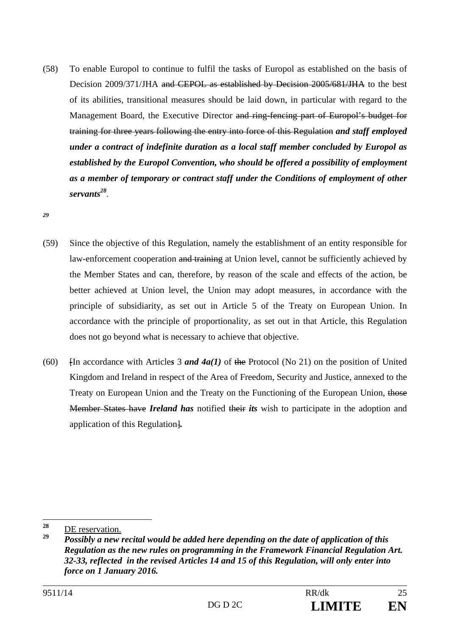(58) To enable Europol to continue to fulfil the tasks of Europol as established on the basis of Decision 2009/371/JHA and CEPOL as established by Decision 2005/681/JHA to the best of its abilities, transitional measures should be laid down, in particular with regard to the Management Board, the Executive Director and ring-fencing part of Europol's budget for training for three years following the entry into force of this Regulation *and staff employed under a contract of indefinite duration as a local staff member concluded by Europol as established by the Europol Convention, who should be offered a possibility of employment as a member of temporary or contract staff under the Conditions of employment of other servants28*.

*29*

- (59) Since the objective of this Regulation, namely the establishment of an entity responsible for law-enforcement cooperation and training at Union level, cannot be sufficiently achieved by the Member States and can, therefore, by reason of the scale and effects of the action, be better achieved at Union level, the Union may adopt measures, in accordance with the principle of subsidiarity, as set out in Article 5 of the Treaty on European Union. In accordance with the principle of proportionality, as set out in that Article, this Regulation does not go beyond what is necessary to achieve that objective.
- (60) Fin accordance with Articles 3 *and 4a(1)* of the Protocol (No 21) on the position of United Kingdom and Ireland in respect of the Area of Freedom, Security and Justice, annexed to the Treaty on European Union and the Treaty on the Functioning of the European Union, those Member States have *Ireland has* notified their *its* wish to participate in the adoption and application of this Regulation]*.*

<sup>28</sup>  $\frac{28}{29}$  <u>DE reservation.</u>

**<sup>29</sup>** *Possibly a new recital would be added here depending on the date of application of this Regulation as the new rules on programming in the Framework Financial Regulation Art. 32-33, reflected in the revised Articles 14 and 15 of this Regulation, will only enter into force on 1 January 2016.*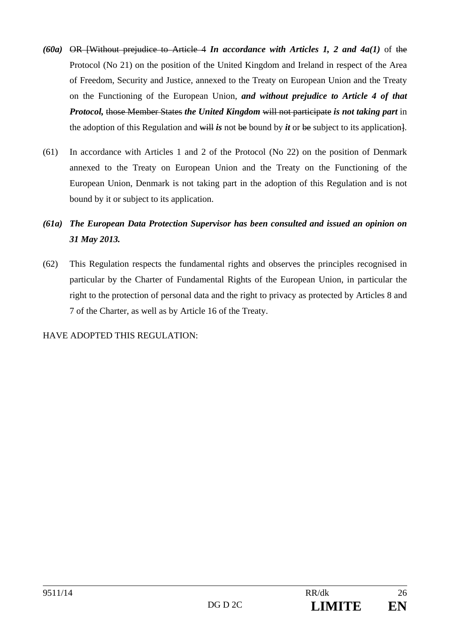- *(60a)* OR [Without prejudice to Article 4 *In accordance with Articles 1, 2 and 4a(1)* of the Protocol (No 21) on the position of the United Kingdom and Ireland in respect of the Area of Freedom, Security and Justice, annexed to the Treaty on European Union and the Treaty on the Functioning of the European Union, *and without prejudice to Article 4 of that Protocol,* those Member States *the United Kingdom* will not participate *is not taking part* in the adoption of this Regulation and will *is* not be bound by *it* or be subject to its application].
- (61) In accordance with Articles 1 and 2 of the Protocol (No 22) on the position of Denmark annexed to the Treaty on European Union and the Treaty on the Functioning of the European Union, Denmark is not taking part in the adoption of this Regulation and is not bound by it or subject to its application.
- *(61a) The European Data Protection Supervisor has been consulted and issued an opinion on 31 May 2013.*
- (62) This Regulation respects the fundamental rights and observes the principles recognised in particular by the Charter of Fundamental Rights of the European Union, in particular the right to the protection of personal data and the right to privacy as protected by Articles 8 and 7 of the Charter, as well as by Article 16 of the Treaty.

HAVE ADOPTED THIS REGULATION: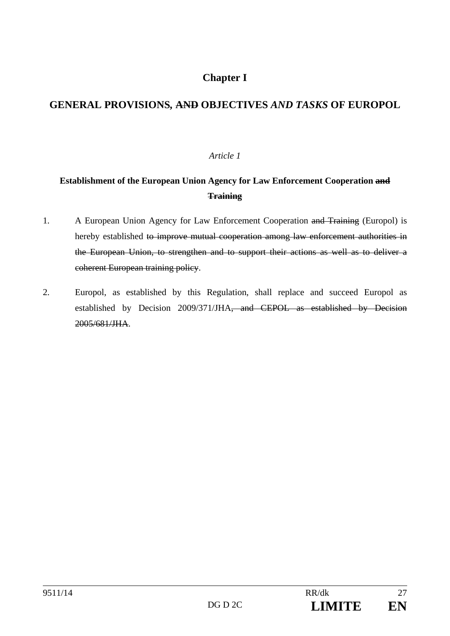# **Chapter I**

# **GENERAL PROVISIONS***,* **AND OBJECTIVES** *AND TASKS* **OF EUROPOL**

#### *Article 1*

# **Establishment of the European Union Agency for Law Enforcement Cooperation and Training**

- 1. A European Union Agency for Law Enforcement Cooperation and Training (Europol) is hereby established to improve mutual cooperation among law enforcement authorities in the European Union, to strengthen and to support their actions as well as to deliver a coherent European training policy.
- 2. Europol, as established by this Regulation, shall replace and succeed Europol as established by Decision 2009/371/JHA, and CEPOL as established by Decision 2005/681/JHA.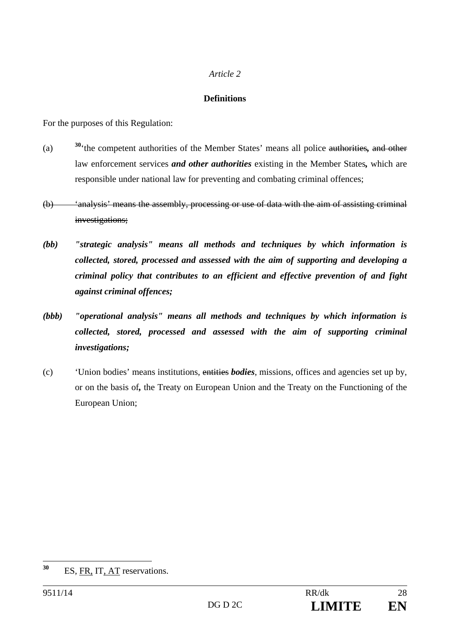#### *Article 2*

#### **Definitions**

For the purposes of this Regulation:

- (a) **<sup>30</sup>**'the competent authorities of the Member States' means all police authorities*,* and other law enforcement services *and other authorities* existing in the Member States*,* which are responsible under national law for preventing and combating criminal offences;
- (b) 'analysis' means the assembly, processing or use of data with the aim of assisting criminal investigations;
- *(bb) "strategic analysis" means all methods and techniques by which information is collected, stored, processed and assessed with the aim of supporting and developing a criminal policy that contributes to an efficient and effective prevention of and fight against criminal offences;*
- *(bbb) "operational analysis" means all methods and techniques by which information is collected, stored, processed and assessed with the aim of supporting criminal investigations;*
- (c) 'Union bodies' means institutions, entities *bodies*, missions, offices and agencies set up by, or on the basis of*,* the Treaty on European Union and the Treaty on the Functioning of the European Union;

<sup>30</sup> **<sup>30</sup>** ES, FR, IT, AT reservations.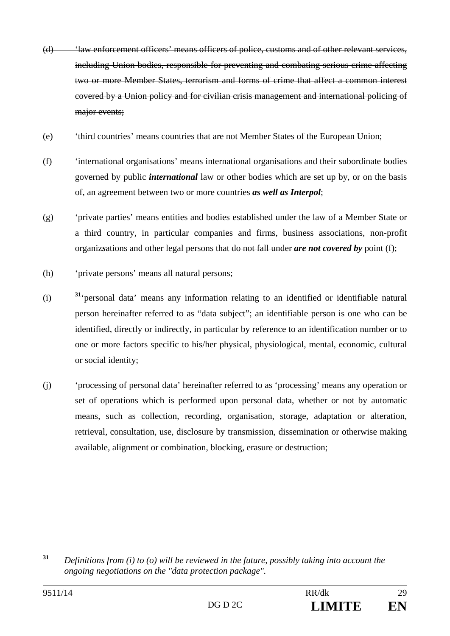- (d) 'law enforcement officers' means officers of police, customs and of other relevant services, including Union bodies, responsible for preventing and combating serious crime affecting two or more Member States, terrorism and forms of crime that affect a common interest covered by a Union policy and for civilian crisis management and international policing of major events;
- (e) 'third countries' means countries that are not Member States of the European Union;
- (f) 'international organisations' means international organisations and their subordinate bodies governed by public *international* law or other bodies which are set up by, or on the basis of, an agreement between two or more countries *as well as Interpol*;
- (g) 'private parties' means entities and bodies established under the law of a Member State or a third country, in particular companies and firms, business associations, non-profit organiz*s*ations and other legal persons that do not fall under *are not covered by* point (f);
- (h) 'private persons' means all natural persons;
- (i) **<sup>31</sup>**'personal data' means any information relating to an identified or identifiable natural person hereinafter referred to as "data subject"; an identifiable person is one who can be identified, directly or indirectly, in particular by reference to an identification number or to one or more factors specific to his/her physical, physiological, mental, economic, cultural or social identity;
- (j) 'processing of personal data' hereinafter referred to as 'processing' means any operation or set of operations which is performed upon personal data, whether or not by automatic means, such as collection, recording, organisation, storage, adaptation or alteration, retrieval, consultation, use, disclosure by transmission, dissemination or otherwise making available, alignment or combination, blocking, erasure or destruction;

 $31$ **<sup>31</sup>** *Definitions from (i) to (o) will be reviewed in the future, possibly taking into account the ongoing negotiations on the "data protection package".*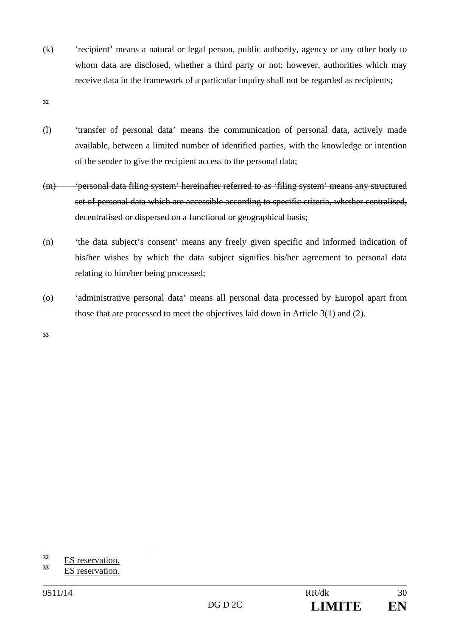(k) 'recipient' means a natural or legal person, public authority, agency or any other body to whom data are disclosed, whether a third party or not; however, authorities which may receive data in the framework of a particular inquiry shall not be regarded as recipients;

**32**

- (l) 'transfer of personal data' means the communication of personal data, actively made available, between a limited number of identified parties, with the knowledge or intention of the sender to give the recipient access to the personal data;
- (m) 'personal data filing system' hereinafter referred to as 'filing system' means any structured set of personal data which are accessible according to specific criteria, whether centralised, decentralised or dispersed on a functional or geographical basis;
- (n) 'the data subject's consent' means any freely given specific and informed indication of his/her wishes by which the data subject signifies his/her agreement to personal data relating to him/her being processed;
- (o) 'administrative personal data' means all personal data processed by Europol apart from those that are processed to meet the objectives laid down in Article 3(1) and (2).

**33**

 $32$  $\frac{32}{33}$  ES reservation.

**<sup>33</sup>** ES reservation.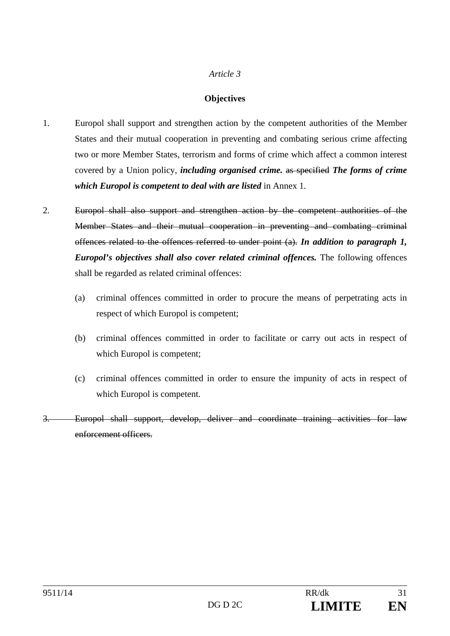#### *Article 3*

#### **Objectives**

- 1. Europol shall support and strengthen action by the competent authorities of the Member States and their mutual cooperation in preventing and combating serious crime affecting two or more Member States, terrorism and forms of crime which affect a common interest covered by a Union policy, *including organised crime.* as specified *The forms of crime which Europol is competent to deal with are listed* in Annex 1*.*
- 2. Europol shall also support and strengthen action by the competent authorities of the Member States and their mutual cooperation in preventing and combating criminal offences related to the offences referred to under point (a). *In addition to paragraph 1, Europol's objectives shall also cover related criminal offences.* The following offences shall be regarded as related criminal offences:
	- (a) criminal offences committed in order to procure the means of perpetrating acts in respect of which Europol is competent;
	- (b) criminal offences committed in order to facilitate or carry out acts in respect of which Europol is competent;
	- (c) criminal offences committed in order to ensure the impunity of acts in respect of which Europol is competent.
- 3. Europol shall support, develop, deliver and coordinate training activities for law enforcement officers.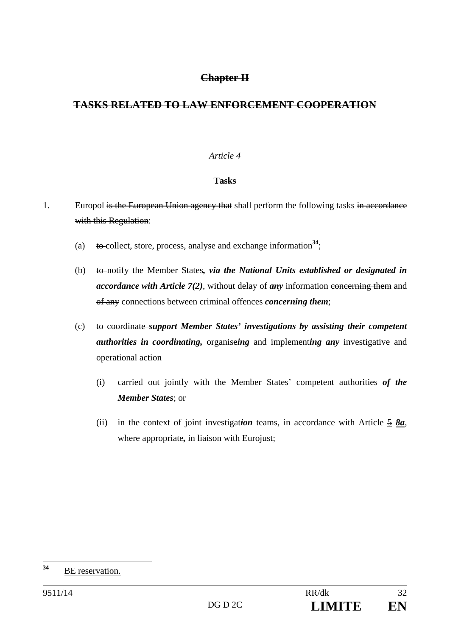### **Chapter II**

# **TASKS RELATED TO LAW ENFORCEMENT COOPERATION**

#### *Article 4*

#### **Tasks**

- 1. Europol is the European Union agency that shall perform the following tasks in accordance with this Regulation:
	- (a) to collect, store, process, analyse and exchange information<sup>34</sup>;
	- (b) to notify the Member States*, via the National Units established or designated in accordance with Article 7(2)*, without delay of *any* information concerning them and of any connections between criminal offences *concerning them*;
	- (c) to coordinate *support Member States' investigations by assisting their competent authorities in coordinating,* organise*ing* and implement*ing any* investigative and operational action
		- (i) carried out jointly with the Member States' competent authorities *of the Member States*; or
		- (ii) in the context of joint investigation teams, in accordance with Article  $\frac{5}{2}$   $\frac{8a}{2}$ , where appropriate*,* in liaison with Eurojust;

 $34$ **<sup>34</sup>** BE reservation.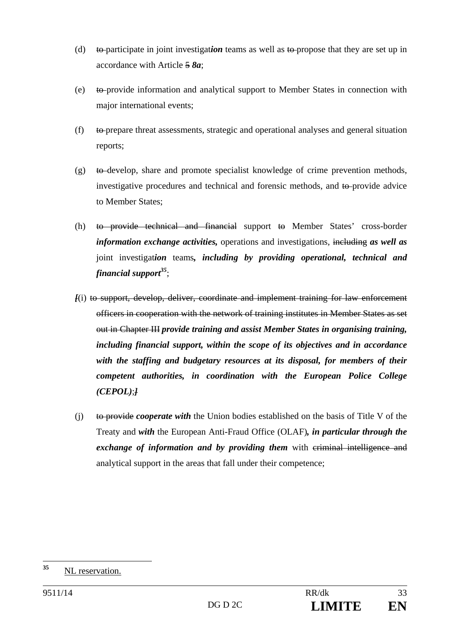- (d) to participate in joint investigat*ion* teams as well as to propose that they are set up in accordance with Article 5 *8a*;
- (e) to provide information and analytical support to Member States in connection with major international events;
- (f) to prepare threat assessments, strategic and operational analyses and general situation reports;
- $(g)$  to develop, share and promote specialist knowledge of crime prevention methods, investigative procedures and technical and forensic methods, and to provide advice to Member States;
- (h) to provide technical and financial support to Member States' cross-border *information exchange activities,* operations and investigations, including *as well as* joint investigat*ion* teams*, including by providing operational, technical and financial support35*;
- *[*(i) to support, develop, deliver, coordinate and implement training for law enforcement officers in cooperation with the network of training institutes in Member States as set out in Chapter III *provide training and assist Member States in organising training, including financial support, within the scope of its objectives and in accordance with the staffing and budgetary resources at its disposal, for members of their competent authorities, in coordination with the European Police College (CEPOL)*;*]*
- (j) to provide *cooperate with* the Union bodies established on the basis of Title V of the Treaty and *with* the European Anti-Fraud Office (OLAF)*, in particular through the exchange of information and by providing them* with criminal intelligence and analytical support in the areas that fall under their competence;

 $35$ **<sup>35</sup>** NL reservation.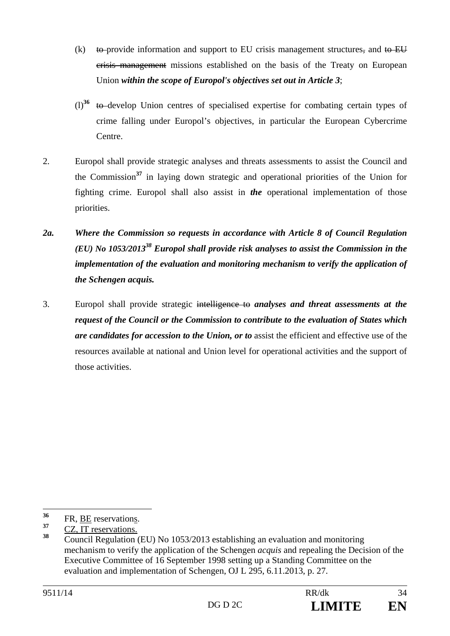- (k) to provide information and support to EU crisis management structures, and to EU crisis management missions established on the basis of the Treaty on European Union *within the scope of Europol's objectives set out in Article 3*;
- (l)**<sup>36</sup>** to develop Union centres of specialised expertise for combating certain types of crime falling under Europol's objectives, in particular the European Cybercrime Centre.
- 2. Europol shall provide strategic analyses and threats assessments to assist the Council and the Commission**<sup>37</sup>** in laying down strategic and operational priorities of the Union for fighting crime. Europol shall also assist in *the* operational implementation of those priorities.
- *2a. Where the Commission so requests in accordance with Article 8 of Council Regulation (EU) No 1053/201338 Europol shall provide risk analyses to assist the Commission in the implementation of the evaluation and monitoring mechanism to verify the application of the Schengen acquis.*
- 3. Europol shall provide strategic intelligence to *analyses and threat assessments at the request of the Council or the Commission to contribute to the evaluation of States which are candidates for accession to the Union, or to* assist the efficient and effective use of the resources available at national and Union level for operational activities and the support of those activities.

 $36$  $\frac{36}{37}$  FR, <u>BE</u> reservations.

 $\frac{37}{38}$  CZ, IT reservations.

**<sup>38</sup>** Council Regulation (EU) No 1053/2013 establishing an evaluation and monitoring mechanism to verify the application of the Schengen *acquis* and repealing the Decision of the Executive Committee of 16 September 1998 setting up a Standing Committee on the evaluation and implementation of Schengen, OJ L 295, 6.11.2013, p. 27.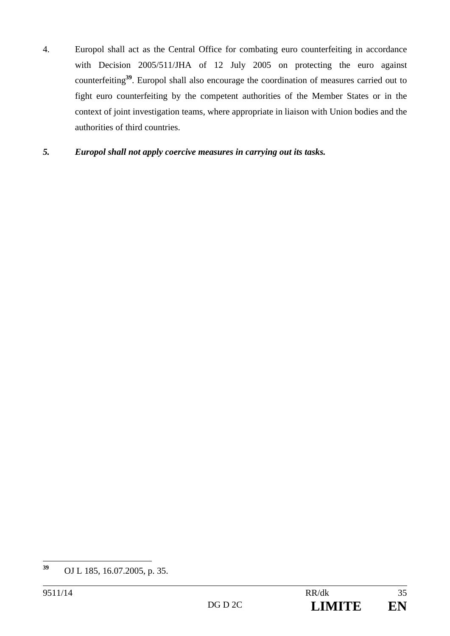4. Europol shall act as the Central Office for combating euro counterfeiting in accordance with Decision 2005/511/JHA of 12 July 2005 on protecting the euro against counterfeiting**<sup>39</sup>**. Europol shall also encourage the coordination of measures carried out to fight euro counterfeiting by the competent authorities of the Member States or in the context of joint investigation teams, where appropriate in liaison with Union bodies and the authorities of third countries.

#### *5. Europol shall not apply coercive measures in carrying out its tasks.*

 $39$ **<sup>39</sup>** OJ L 185, 16.07.2005, p. 35.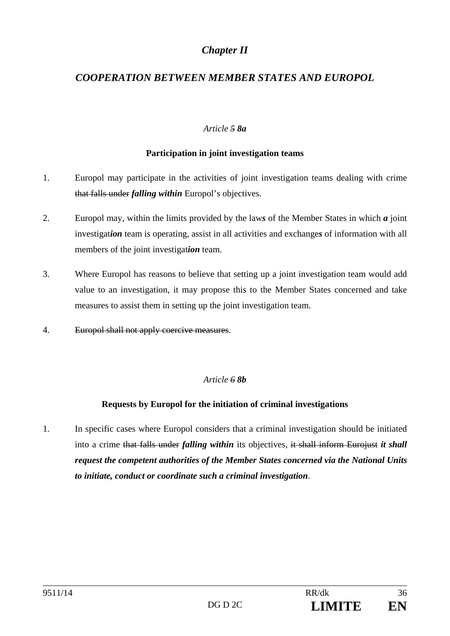# *Chapter II*

# *COOPERATION BETWEEN MEMBER STATES AND EUROPOL*

#### *Article 5 8a*

### **Participation in joint investigation teams**

- 1. Europol may participate in the activities of joint investigation teams dealing with crime that falls under *falling within* Europol's objectives.
- 2. Europol may, within the limits provided by the law*s* of the Member States in which *a* joint investigat*ion* team is operating, assist in all activities and exchange*s* of information with all members of the joint investigat*ion* team.
- 3. Where Europol has reasons to believe that setting up a joint investigation team would add value to an investigation, it may propose this to the Member States concerned and take measures to assist them in setting up the joint investigation team.
- 4. Europol shall not apply coercive measures.

#### *Article 6 8b*

#### **Requests by Europol for the initiation of criminal investigations**

1. In specific cases where Europol considers that a criminal investigation should be initiated into a crime that falls under *falling within* its objectives, it shall inform Eurojust *it shall request the competent authorities of the Member States concerned via the National Units to initiate, conduct or coordinate such a criminal investigation*.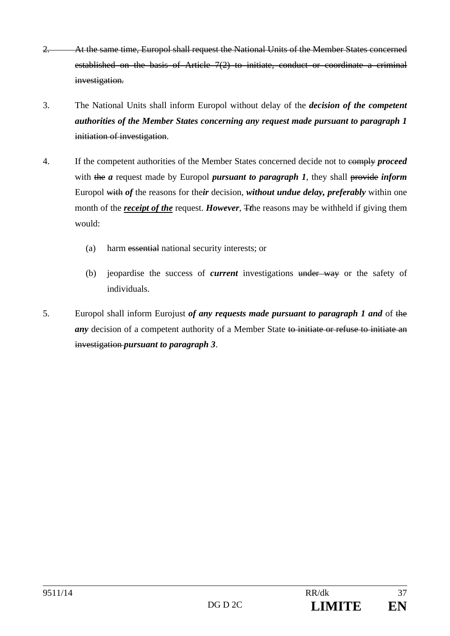- 2. At the same time, Europol shall request the National Units of the Member States concerned established on the basis of Article 7(2) to initiate, conduct or coordinate a criminal investigation*.*
- 3. The National Units shall inform Europol without delay of the *decision of the competent authorities of the Member States concerning any request made pursuant to paragraph 1*  initiation of investigation.
- 4. If the competent authorities of the Member States concerned decide not to comply *proceed* with the *a* request made by Europol *pursuant to paragraph 1*, they shall provide *inform* Europol with *of* the reasons for the*ir* decision, *without undue delay, preferably* within one month of the *receipt of the* request. *However*, *The reasons may be withheld if giving them* would:
	- (a) harm essential national security interests; or
	- (b) jeopardise the success of *current* investigations under way or the safety of individuals.
- 5. Europol shall inform Eurojust *of any requests made pursuant to paragraph 1 and* of the *any* decision of a competent authority of a Member State to initiate or refuse to initiate an investigation *pursuant to paragraph 3*.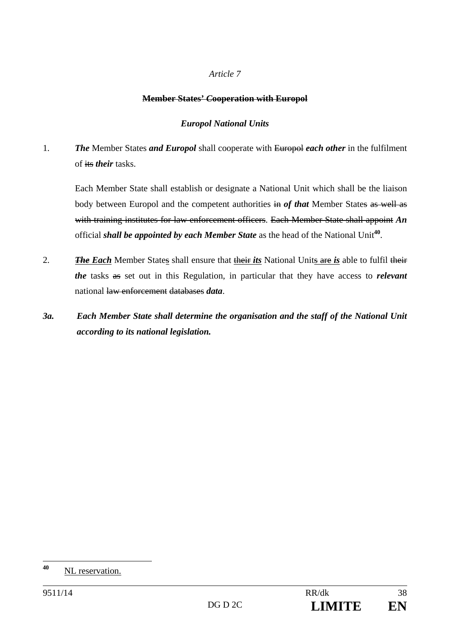## **Member States'** *C***ooperation with Europol**

# *Europol National Units*

1. *The* Member States *and Europol* shall cooperate with Europol *each other* in the fulfilment of its *their* tasks.

Each Member State shall establish or designate a National Unit which shall be the liaison body between Europol and the competent authorities in *of that* Member States as well as with training institutes for law enforcement officers. Each Member State shall appoint *An* official *shall be appointed by each Member State* as the head of the National Unit**<sup>40</sup>**.

- 2. *The Each* Member States shall ensure that their *its* National Units are *is* able to fulfil their *the* tasks as set out in this Regulation, in particular that they have access to *relevant* national law enforcement databases *data*.
- *3a. Each Member State shall determine the organisation and the staff of the National Unit according to its national legislation.*

<sup>40</sup> **<sup>40</sup>** NL reservation.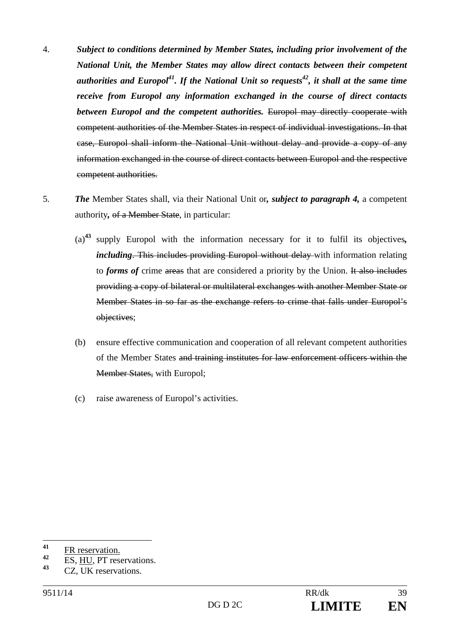- 4. *Subject to conditions determined by Member States, including prior involvement of the National Unit, the Member States may allow direct contacts between their competent authorities and Europol*<sup>41</sup>. If the National Unit so requests<sup>42</sup>, it shall at the same time *receive from Europol any information exchanged in the course of direct contacts between Europol and the competent authorities.* Europol may directly cooperate with competent authorities of the Member States in respect of individual investigations. In that case, Europol shall inform the National Unit without delay and provide a copy of any information exchanged in the course of direct contacts between Europol and the respective competent authorities.
- 5. *The* Member States shall, via their National Unit or*, subject to paragraph 4,* a competent authority*,* of a Member State, in particular:
	- (a)**<sup>43</sup>** supply Europol with the information necessary for it to fulfil its objectives*, including*. This includes providing Europol without delay with information relating to *forms of* crime areas that are considered a priority by the Union. It also includes providing a copy of bilateral or multilateral exchanges with another Member State or Member States in so far as the exchange refers to crime that falls under Europol's objectives;
	- (b) ensure effective communication and cooperation of all relevant competent authorities of the Member States and training institutes for law enforcement officers within the Member States, with Europol;
	- (c) raise awareness of Europol's activities.

 $41$  $\frac{41}{42}$  FR reservation.

 $\frac{42}{43}$  ES, <u>HU</u>, PT reservations.

**<sup>43</sup>** CZ, UK reservations.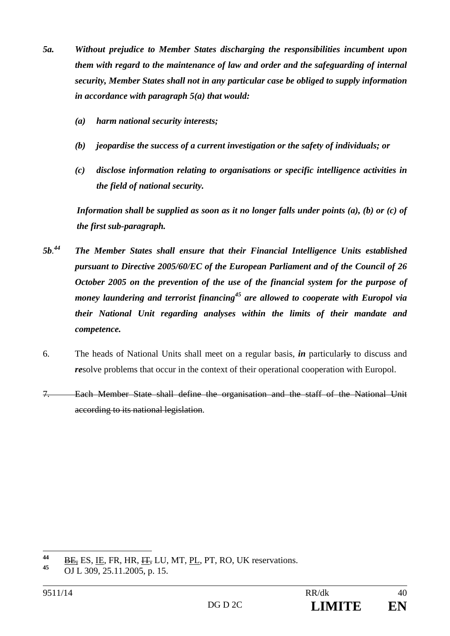- *5a. Without prejudice to Member States discharging the responsibilities incumbent upon them with regard to the maintenance of law and order and the safeguarding of internal security, Member States shall not in any particular case be obliged to supply information in accordance with paragraph 5(a) that would:* 
	- *(a) harm national security interests;*
	- *(b) jeopardise the success of a current investigation or the safety of individuals; or*
	- *(c) disclose information relating to organisations or specific intelligence activities in the field of national security.*

*Information shall be supplied as soon as it no longer falls under points (a), (b) or (c) of the first sub-paragraph.* 

- *5b. 44 The Member States shall ensure that their Financial Intelligence Units established pursuant to Directive 2005/60/EC of the European Parliament and of the Council of 26 October 2005 on the prevention of the use of the financial system for the purpose of money laundering and terrorist financing45 are allowed to cooperate with Europol via their National Unit regarding analyses within the limits of their mandate and competence.*
- 6. The heads of National Units shall meet on a regular basis, *in* particularly to discuss and *re*solve problems that occur in the context of their operational cooperation with Europol.
- 7. Each Member State shall define the organisation and the staff of the National Unit according to its national legislation.

<sup>44</sup>  $\frac{44}{45}$  <u>BE</u>, ES, <u>IE</u>, FR, HR,  $\frac{1T}{15}$ , LU, MT, PL, PT, RO, UK reservations.

**<sup>45</sup>** OJ L 309, 25.11.2005, p. 15.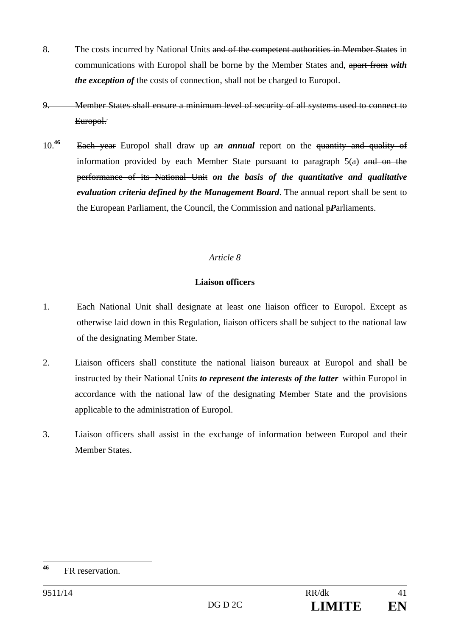- 8. The costs incurred by National Units and of the competent authorities in Member States in communications with Europol shall be borne by the Member States and, apart from *with the exception of* the costs of connection, shall not be charged to Europol.
- 9. Member States shall ensure a minimum level of security of all systems used to connect to Europol.
- 10.**<sup>46</sup>** Each year Europol shall draw up a*n annual* report on the quantity and quality of information provided by each Member State pursuant to paragraph  $5(a)$  and on the performance of its National Unit *on the basis of the quantitative and qualitative evaluation criteria defined by the Management Board*. The annual report shall be sent to the European Parliament, the Council, the Commission and national p*P*arliaments.

# **Liaison officers**

- 1. Each National Unit shall designate at least one liaison officer to Europol. Except as otherwise laid down in this Regulation, liaison officers shall be subject to the national law of the designating Member State.
- 2. Liaison officers shall constitute the national liaison bureaux at Europol and shall be instructed by their National Units *to represent the interests of the latter* within Europol in accordance with the national law of the designating Member State and the provisions applicable to the administration of Europol.
- 3. Liaison officers shall assist in the exchange of information between Europol and their Member States.

<sup>46</sup> **<sup>46</sup>** FR reservation.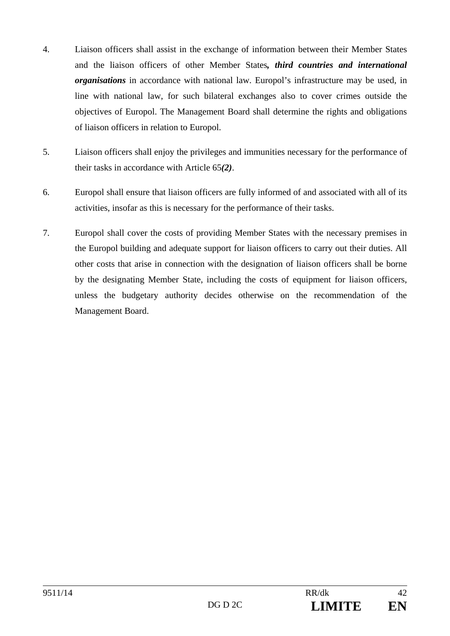- 4. Liaison officers shall assist in the exchange of information between their Member States and the liaison officers of other Member States*, third countries and international organisations* in accordance with national law. Europol's infrastructure may be used, in line with national law, for such bilateral exchanges also to cover crimes outside the objectives of Europol. The Management Board shall determine the rights and obligations of liaison officers in relation to Europol.
- 5. Liaison officers shall enjoy the privileges and immunities necessary for the performance of their tasks in accordance with Article 65*(2)*.
- 6. Europol shall ensure that liaison officers are fully informed of and associated with all of its activities, insofar as this is necessary for the performance of their tasks.
- 7. Europol shall cover the costs of providing Member States with the necessary premises in the Europol building and adequate support for liaison officers to carry out their duties. All other costs that arise in connection with the designation of liaison officers shall be borne by the designating Member State, including the costs of equipment for liaison officers, unless the budgetary authority decides otherwise on the recommendation of the Management Board.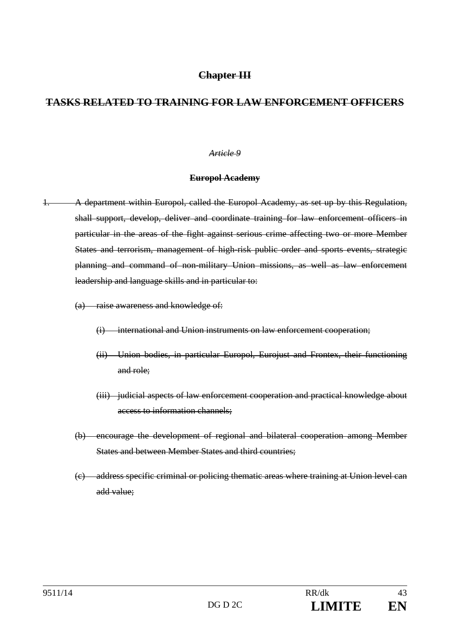# **Chapter III**

# **TASKS RELATED TO TRAINING FOR LAW ENFORCEMENT OFFICERS**

#### *Article 9*

#### **Europol Academy**

- 1. A department within Europol, called the Europol Academy, as set up by this Regulation, shall support, develop, deliver and coordinate training for law enforcement officers in particular in the areas of the fight against serious crime affecting two or more Member States and terrorism, management of high-risk public order and sports events, strategic planning and command of non-military Union missions, as well as law enforcement leadership and language skills and in particular to:
	- (a) raise awareness and knowledge of:
		- (i) international and Union instruments on law enforcement cooperation;
		- (ii) Union bodies, in particular Europol, Eurojust and Frontex, their functioning and role;
		- (iii) judicial aspects of law enforcement cooperation and practical knowledge about access to information channels;
	- (b) encourage the development of regional and bilateral cooperation among Member States and between Member States and third countries;
	- (c) address specific criminal or policing thematic areas where training at Union level can add value;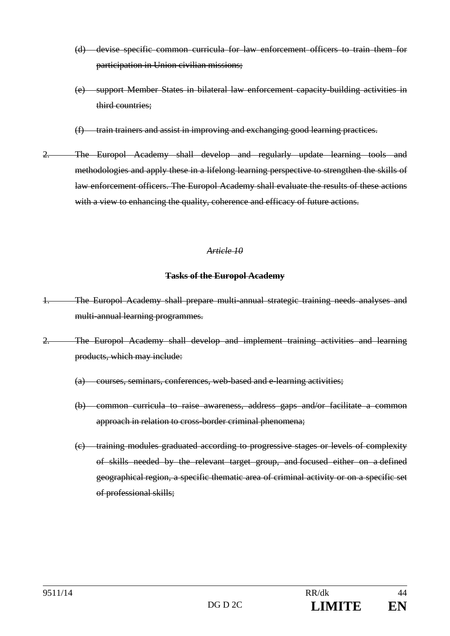- (d) devise specific common curricula for law enforcement officers to train them for participation in Union civilian missions;
- (e) support Member States in bilateral law enforcement capacity-building activities in third countries;
- (f) train trainers and assist in improving and exchanging good learning practices.
- 2. The Europol Academy shall develop and regularly update learning tools and methodologies and apply these in a lifelong learning perspective to strengthen the skills of law enforcement officers. The Europol Academy shall evaluate the results of these actions with a view to enhancing the quality, coherence and efficacy of future actions.

#### **Tasks of the Europol Academy**

- 1. The Europol Academy shall prepare multi-annual strategic training needs analyses and multi-annual learning programmes.
- 2. The Europol Academy shall develop and implement training activities and learning products, which may include:
	- (a) courses, seminars, conferences, web-based and e-learning activities;
	- (b) common curricula to raise awareness, address gaps and/or facilitate a common approach in relation to cross-border criminal phenomena;
	- (c) training modules graduated according to progressive stages or levels of complexity of skills needed by the relevant target group, and focused either on a defined geographical region, a specific thematic area of criminal activity or on a specific set of professional skills;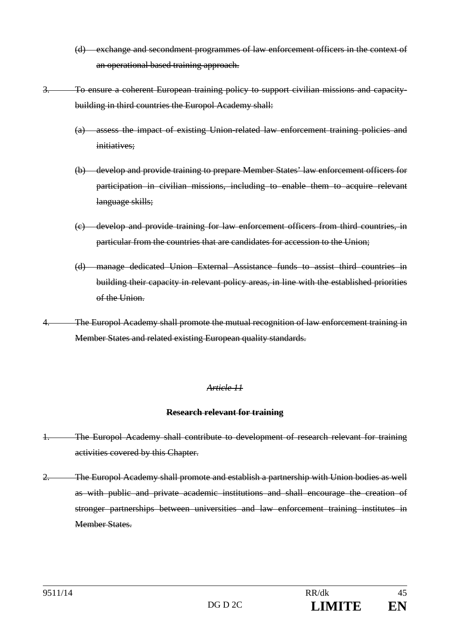- (d) exchange and secondment programmes of law enforcement officers in the context of an operational based training approach.
- 3. To ensure a coherent European training policy to support civilian missions and capacitybuilding in third countries the Europol Academy shall:
	- (a) assess the impact of existing Union-related law enforcement training policies and initiatives:
	- (b) develop and provide training to prepare Member States' law enforcement officers for participation in civilian missions, including to enable them to acquire relevant language skills;
	- (c) develop and provide training for law enforcement officers from third countries, in particular from the countries that are candidates for accession to the Union;
	- (d) manage dedicated Union External Assistance funds to assist third countries in building their capacity in relevant policy areas, in line with the established priorities of the Union.
- 4. The Europol Academy shall promote the mutual recognition of law enforcement training in Member States and related existing European quality standards.

## **Research relevant for training**

- 1. The Europol Academy shall contribute to development of research relevant for training activities covered by this Chapter.
- 2. The Europol Academy shall promote and establish a partnership with Union bodies as well as with public and private academic institutions and shall encourage the creation of stronger partnerships between universities and law enforcement training institutes in Member States.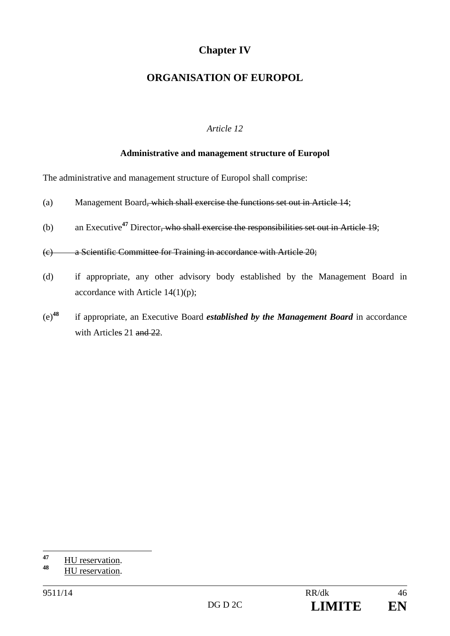# **Chapter IV**

# **ORGANISATION OF EUROPOL**

# *Article 12*

## **Administrative and management structure of Europol**

The administrative and management structure of Europol shall comprise:

- (a) Management Board, which shall exercise the functions set out in Article 14;
- (b) an Executive**<sup>47</sup>** Director, who shall exercise the responsibilities set out in Article 19;

(c) a Scientific Committee for Training in accordance with Article 20;

- (d) if appropriate, any other advisory body established by the Management Board in accordance with Article 14(1)(p);
- (e)**<sup>48</sup>** if appropriate, an Executive Board *established by the Management Board* in accordance with Articles 21 and 22.

 $47$  $\frac{47}{48}$  HU reservation.

**<sup>48</sup>** HU reservation.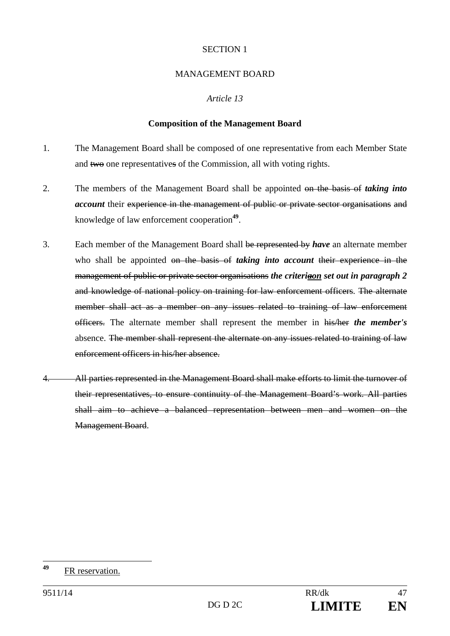## MANAGEMENT BOARD

## *Article 13*

## **Composition of the Management Board**

- 1. The Management Board shall be composed of one representative from each Member State and two one representatives of the Commission, all with voting rights.
- 2. The members of the Management Board shall be appointed on the basis of *taking into account* their experience in the management of public or private sector organisations and knowledge of law enforcement cooperation**<sup>49</sup>**.
- 3. Each member of the Management Board shall be represented by *have* an alternate member who shall be appointed on the basis of *taking into account* their experience in the management of public or private sector organisations *the criteriaon set out in paragraph 2*  and knowledge of national policy on training for law enforcement officers. The alternate member shall act as a member on any issues related to training of law enforcement officers. The alternate member shall represent the member in his/her *the member's* absence. The member shall represent the alternate on any issues related to training of law enforcement officers in his/her absence.
- All parties represented in the Management Board shall make efforts to limit the turnover of their representatives, to ensure continuity of the Management Board's work. All parties shall aim to achieve a balanced representation between men and women on the Management Board.

<sup>49</sup> **<sup>49</sup>** FR reservation.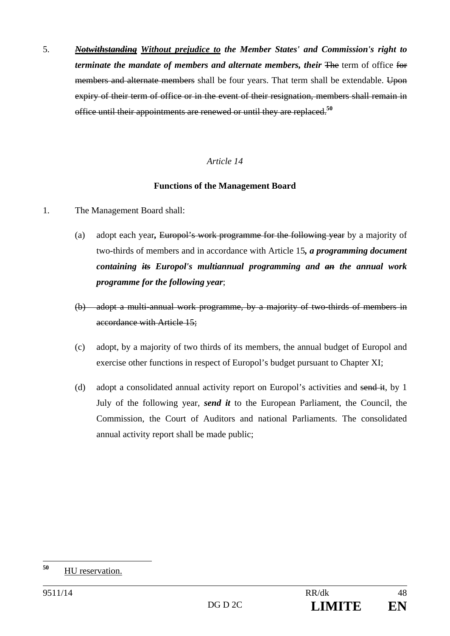5. *Notwithstanding Without prejudice to the Member States' and Commission's right to terminate the mandate of members and alternate members, their The term of office for* members and alternate members shall be four years. That term shall be extendable. Upon expiry of their term of office or in the event of their resignation, members shall remain in office until their appointments are renewed or until they are replaced.**<sup>50</sup>**

## *Article 14*

## **Functions of the Management Board**

- 1. The Management Board shall:
	- (a) adopt each year*,* Europol's work programme for the following year by a majority of two-thirds of members and in accordance with Article 15*, a programming document containing its Europol's multiannual programming and an the annual work programme for the following year*;
	- (b) adopt a multi-annual work programme, by a majority of two-thirds of members in accordance with Article 15;
	- (c) adopt, by a majority of two thirds of its members, the annual budget of Europol and exercise other functions in respect of Europol's budget pursuant to Chapter XI;
	- (d) adopt a consolidated annual activity report on Europol's activities and send it, by 1 July of the following year, *send it* to the European Parliament, the Council, the Commission, the Court of Auditors and national Parliaments. The consolidated annual activity report shall be made public;

<sup>50</sup> **<sup>50</sup>** HU reservation.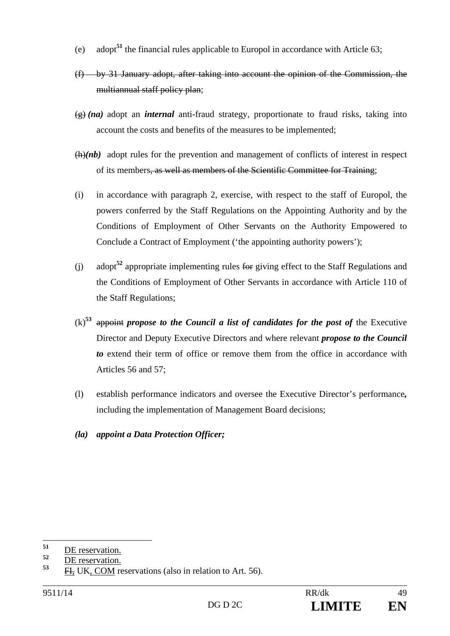- (e) adopt**<sup>51</sup>** the financial rules applicable to Europol in accordance with Article 63;
- (f) by 31 January adopt, after taking into account the opinion of the Commission, the multiannual staff policy plan;
- (g) *(na)* adopt an *internal* anti-fraud strategy, proportionate to fraud risks, taking into account the costs and benefits of the measures to be implemented;
- (h)*(nb)* adopt rules for the prevention and management of conflicts of interest in respect of its members, as well as members of the Scientific Committee for Training;
- (i) in accordance with paragraph 2, exercise, with respect to the staff of Europol, the powers conferred by the Staff Regulations on the Appointing Authority and by the Conditions of Employment of Other Servants on the Authority Empowered to Conclude a Contract of Employment ('the appointing authority powers');
- (j) adopt**<sup>52</sup>** appropriate implementing rules for giving effect to the Staff Regulations and the Conditions of Employment of Other Servants in accordance with Article 110 of the Staff Regulations;
- $(k)$ <sup>53</sup> appoint *propose to the Council a list of candidates for the post of* the Executive Director and Deputy Executive Directors and where relevant *propose to the Council to* extend their term of office or remove them from the office in accordance with Articles 56 and 57;
- (l) establish performance indicators and oversee the Executive Director's performance*,* including the implementation of Management Board decisions;
- *(la) appoint a Data Protection Officer;*

<sup>51</sup>  $\frac{51}{52}$  <u>DE reservation.</u>

 $\frac{52}{53}$  <u>DE reservation.</u>

**<sup>53</sup>** FI, UK, COM reservations (also in relation to Art. 56).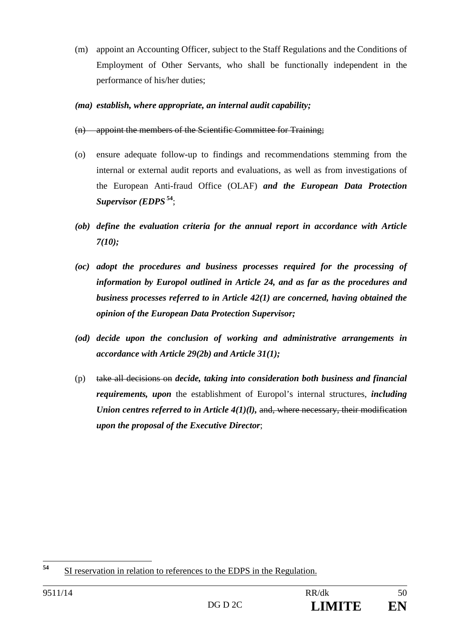- (m) appoint an Accounting Officer, subject to the Staff Regulations and the Conditions of Employment of Other Servants, who shall be functionally independent in the performance of his/her duties;
- *(ma) establish, where appropriate, an internal audit capability;*
- (n) appoint the members of the Scientific Committee for Training;
- (o) ensure adequate follow-up to findings and recommendations stemming from the internal or external audit reports and evaluations, as well as from investigations of the European Anti-fraud Office (OLAF) *and the European Data Protection Supervisor (EDPS***<sup>54</sup>**;
- *(ob) define the evaluation criteria for the annual report in accordance with Article 7(10);*
- *(oc) adopt the procedures and business processes required for the processing of information by Europol outlined in Article 24, and as far as the procedures and business processes referred to in Article 42(1) are concerned, having obtained the opinion of the European Data Protection Supervisor;*
- *(od) decide upon the conclusion of working and administrative arrangements in accordance with Article 29(2b) and Article 31(1);*
- (p) take all decisions on *decide, taking into consideration both business and financial requirements, upon* the establishment of Europol's internal structures, *including Union centres referred to in Article 4(1)(l), and, where necessary, their modification upon the proposal of the Executive Director*;

<sup>54</sup> **<sup>54</sup>** SI reservation in relation to references to the EDPS in the Regulation.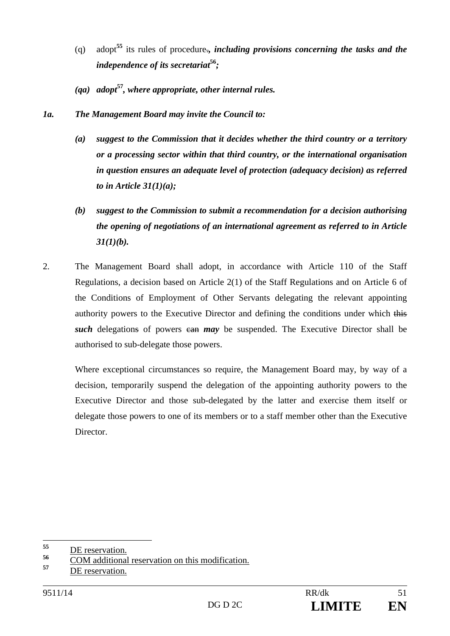- (q) adopt**<sup>55</sup>** its rules of procedure.*, including provisions concerning the tasks and the independence of its secretariat***<sup>56</sup>***;*
- *(qa) adopt***<sup>57</sup>***, where appropriate, other internal rules.*
- *1a. The Management Board may invite the Council to:* 
	- *(a) suggest to the Commission that it decides whether the third country or a territory or a processing sector within that third country, or the international organisation in question ensures an adequate level of protection (adequacy decision) as referred to in Article 31(1)(a);*
	- *(b) suggest to the Commission to submit a recommendation for a decision authorising the opening of negotiations of an international agreement as referred to in Article 31(1)(b).*
- 2. The Management Board shall adopt, in accordance with Article 110 of the Staff Regulations, a decision based on Article 2(1) of the Staff Regulations and on Article 6 of the Conditions of Employment of Other Servants delegating the relevant appointing authority powers to the Executive Director and defining the conditions under which this **such** delegations of powers can *may* be suspended. The Executive Director shall be authorised to sub-delegate those powers.

Where exceptional circumstances so require, the Management Board may, by way of a decision, temporarily suspend the delegation of the appointing authority powers to the Executive Director and those sub-delegated by the latter and exercise them itself or delegate those powers to one of its members or to a staff member other than the Executive Director.

<sup>55</sup>  $\frac{55}{56}$  <u>DE reservation.</u>

<sup>&</sup>lt;sup>56</sup> COM additional reservation on this modification.

**<sup>57</sup>** DE reservation.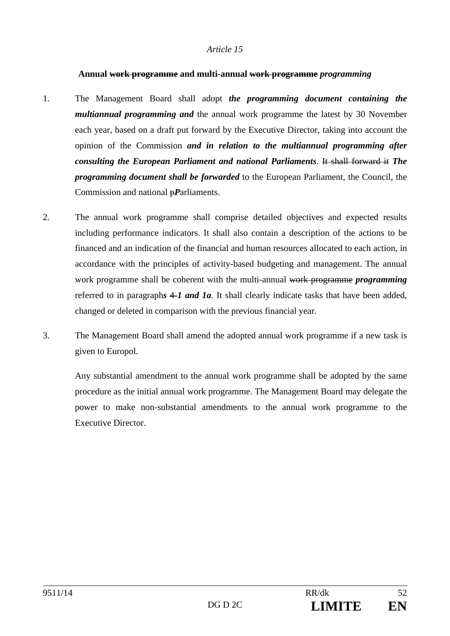#### **Annual work programme and multi-annual work programme** *programming*

- 1. The Management Board shall adopt *the programming document containing the multiannual programming and* the annual work programme the latest by 30 November each year, based on a draft put forward by the Executive Director, taking into account the opinion of the Commission *and in relation to the multiannual programming after consulting the European Parliament and national Parliaments*. It shall forward it *The programming document shall be forwarded* to the European Parliament, the Council, the Commission and national p*P*arliaments.
- 2. The annual work programme shall comprise detailed objectives and expected results including performance indicators. It shall also contain a description of the actions to be financed and an indication of the financial and human resources allocated to each action, in accordance with the principles of activity-based budgeting and management. The annual work programme shall be coherent with the multi-annual work programme *programming* referred to in paragraphs  $\neq 1$  and  $1a$ . It shall clearly indicate tasks that have been added, changed or deleted in comparison with the previous financial year.
- 3. The Management Board shall amend the adopted annual work programme if a new task is given to Europol.

Any substantial amendment to the annual work programme shall be adopted by the same procedure as the initial annual work programme. The Management Board may delegate the power to make non-substantial amendments to the annual work programme to the Executive Director.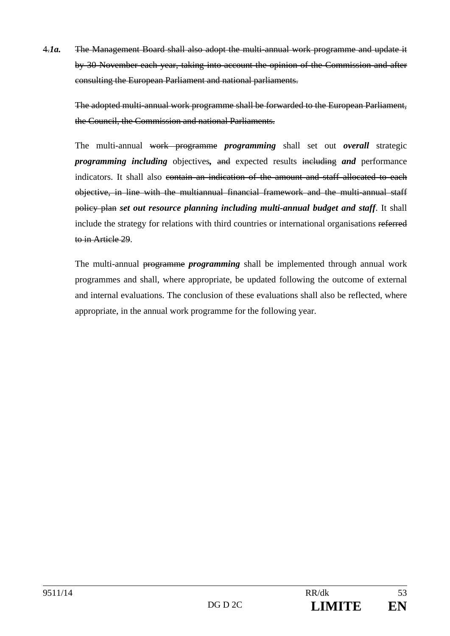4.*1a.* The Management Board shall also adopt the multi-annual work programme and update it by 30 November each year, taking into account the opinion of the Commission and after consulting the European Parliament and national parliaments.

The adopted multi-annual work programme shall be forwarded to the European Parliament, the Council, the Commission and national Parliaments.

The multi-annual work programme *programming* shall set out *overall* strategic *programming including* objectives*,* and expected results including *and* performance indicators. It shall also contain an indication of the amount and staff allocated to each objective, in line with the multiannual financial framework and the multi-annual staff policy plan *set out resource planning including multi-annual budget and staff*. It shall include the strategy for relations with third countries or international organisations referred to in Article 29.

The multi-annual programme *programming* shall be implemented through annual work programmes and shall, where appropriate, be updated following the outcome of external and internal evaluations. The conclusion of these evaluations shall also be reflected, where appropriate, in the annual work programme for the following year.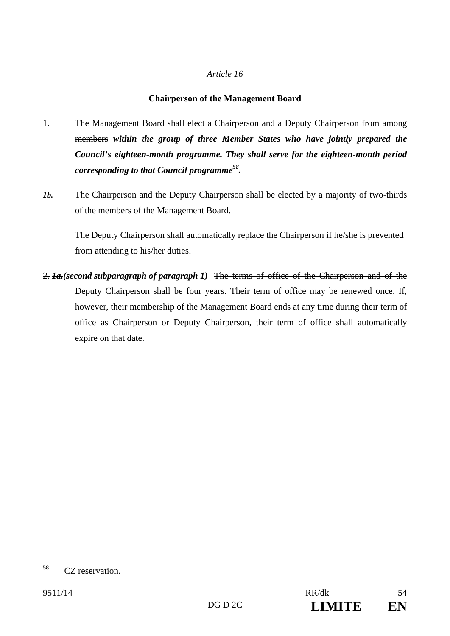## **Chairperson of the Management Board**

- 1. The Management Board shall elect a Chairperson and a Deputy Chairperson from among members *within the group of three Member States who have jointly prepared the Council's eighteen-month programme. They shall serve for the eighteen-month period corresponding to that Council programme58.*
- *1b.* The Chairperson and the Deputy Chairperson shall be elected by a majority of two-thirds of the members of the Management Board.

The Deputy Chairperson shall automatically replace the Chairperson if he/she is prevented from attending to his/her duties.

2. *1a.(second subparagraph of paragraph 1)* The terms of office of the Chairperson and of the Deputy Chairperson shall be four years. Their term of office may be renewed once. If, however, their membership of the Management Board ends at any time during their term of office as Chairperson or Deputy Chairperson, their term of office shall automatically expire on that date.

<sup>58</sup> **<sup>58</sup>** CZ reservation.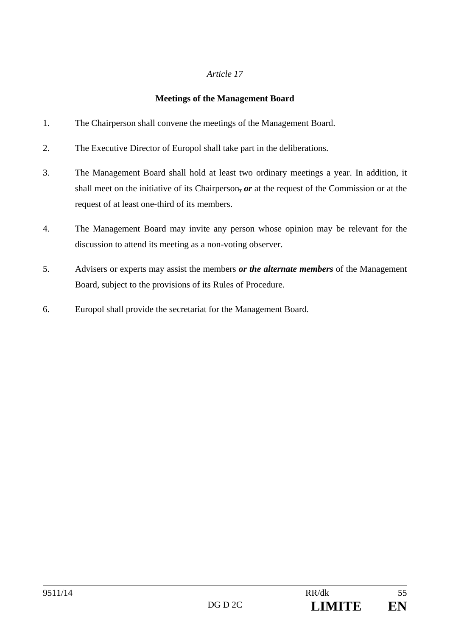# **Meetings of the Management Board**

- 1. The Chairperson shall convene the meetings of the Management Board.
- 2. The Executive Director of Europol shall take part in the deliberations.
- 3. The Management Board shall hold at least two ordinary meetings a year. In addition, it shall meet on the initiative of its Chairperson, *or* at the request of the Commission or at the request of at least one-third of its members.
- 4. The Management Board may invite any person whose opinion may be relevant for the discussion to attend its meeting as a non-voting observer.
- 5. Advisers or experts may assist the members *or the alternate members* of the Management Board, subject to the provisions of its Rules of Procedure.
- 6. Europol shall provide the secretariat for the Management Board.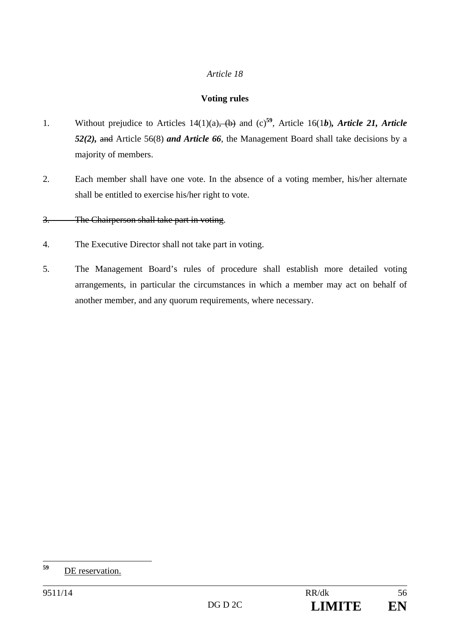# **Voting rules**

- 1. Without prejudice to Articles 14(1)(a), (b) and (c)**<sup>59</sup>**, Article 16(1*b*)*, Article 21, Article 52(2),* and Article 56(8) *and Article 66*, the Management Board shall take decisions by a majority of members.
- 2. Each member shall have one vote. In the absence of a voting member, his/her alternate shall be entitled to exercise his/her right to vote.

# 3. The Chairperson shall take part in voting.

- 4. The Executive Director shall not take part in voting.
- 5. The Management Board's rules of procedure shall establish more detailed voting arrangements, in particular the circumstances in which a member may act on behalf of another member, and any quorum requirements, where necessary.

<sup>59</sup> **<sup>59</sup>** DE reservation.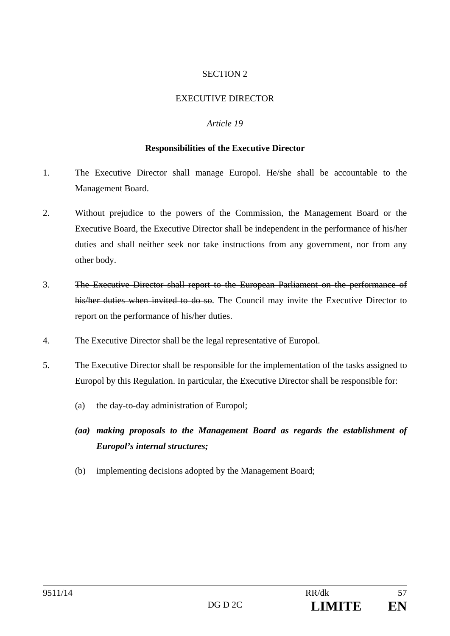## EXECUTIVE DIRECTOR

#### *Article 19*

#### **Responsibilities of the Executive Director**

- 1. The Executive Director shall manage Europol. He/she shall be accountable to the Management Board.
- 2. Without prejudice to the powers of the Commission, the Management Board or the Executive Board, the Executive Director shall be independent in the performance of his/her duties and shall neither seek nor take instructions from any government, nor from any other body.
- 3. The Executive Director shall report to the European Parliament on the performance of his/her duties when invited to do so. The Council may invite the Executive Director to report on the performance of his/her duties.
- 4. The Executive Director shall be the legal representative of Europol.
- 5. The Executive Director shall be responsible for the implementation of the tasks assigned to Europol by this Regulation. In particular, the Executive Director shall be responsible for:
	- (a) the day-to-day administration of Europol;
	- *(aa) making proposals to the Management Board as regards the establishment of Europol's internal structures;*
	- (b) implementing decisions adopted by the Management Board;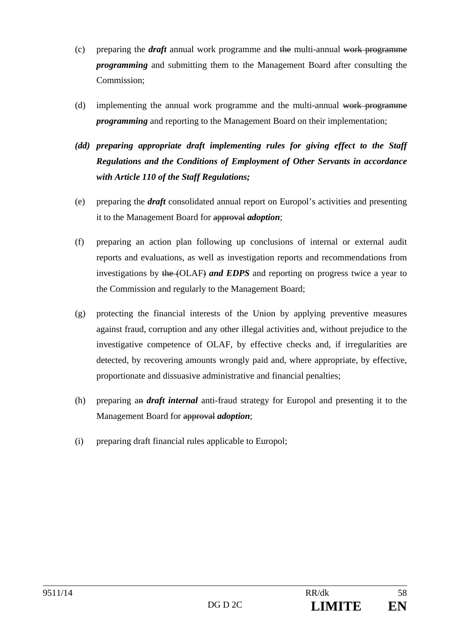- (c) preparing the *draft* annual work programme and the multi-annual work programme *programming* and submitting them to the Management Board after consulting the Commission;
- (d) implementing the annual work programme and the multi-annual work programme *programming* and reporting to the Management Board on their implementation;
- *(dd) preparing appropriate draft implementing rules for giving effect to the Staff Regulations and the Conditions of Employment of Other Servants in accordance with Article 110 of the Staff Regulations;*
- (e) preparing the *draft* consolidated annual report on Europol's activities and presenting it to the Management Board for approval *adoption*;
- (f) preparing an action plan following up conclusions of internal or external audit reports and evaluations, as well as investigation reports and recommendations from investigations by the (OLAF) *and EDPS* and reporting on progress twice a year to the Commission and regularly to the Management Board;
- (g) protecting the financial interests of the Union by applying preventive measures against fraud, corruption and any other illegal activities and, without prejudice to the investigative competence of OLAF, by effective checks and, if irregularities are detected, by recovering amounts wrongly paid and, where appropriate, by effective, proportionate and dissuasive administrative and financial penalties;
- (h) preparing an *draft internal* anti-fraud strategy for Europol and presenting it to the Management Board for approval *adoption*;
- (i) preparing draft financial rules applicable to Europol;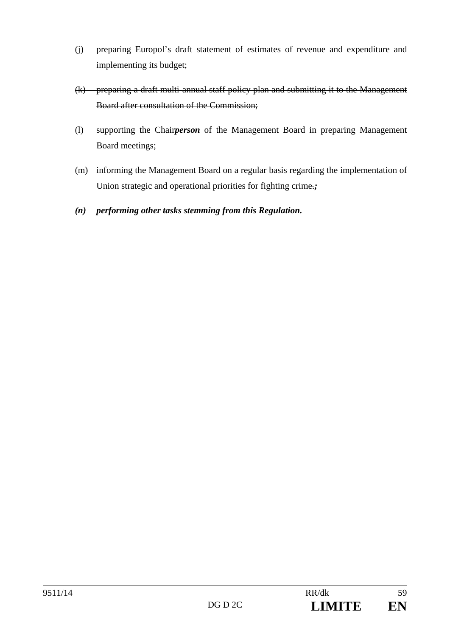- (j) preparing Europol's draft statement of estimates of revenue and expenditure and implementing its budget;
- (k) preparing a draft multi-annual staff policy plan and submitting it to the Management Board after consultation of the Commission;
- (l) supporting the Chair*person* of the Management Board in preparing Management Board meetings;
- (m) informing the Management Board on a regular basis regarding the implementation of Union strategic and operational priorities for fighting crime.;
- *(n) performing other tasks stemming from this Regulation.*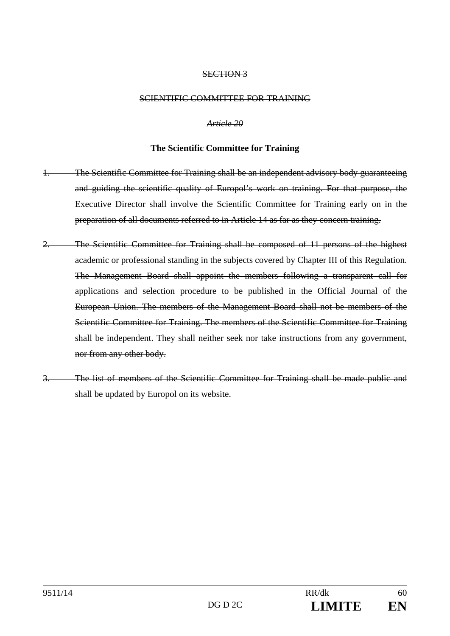#### SCIENTIFIC COMMITTEE FOR TRAINING

*Article 20* 

#### **The Scientific Committee for Training**

- 1. The Scientific Committee for Training shall be an independent advisory body guaranteeing and guiding the scientific quality of Europol's work on training. For that purpose, the Executive Director shall involve the Scientific Committee for Training early on in the preparation of all documents referred to in Article 14 as far as they concern training.
- 2. The Scientific Committee for Training shall be composed of 11 persons of the highest academic or professional standing in the subjects covered by Chapter III of this Regulation. The Management Board shall appoint the members following a transparent call for applications and selection procedure to be published in the Official Journal of the European Union. The members of the Management Board shall not be members of the Scientific Committee for Training. The members of the Scientific Committee for Training shall be independent. They shall neither seek nor take instructions from any government, nor from any other body.
- 3. The list of members of the Scientific Committee for Training shall be made public and shall be updated by Europol on its website.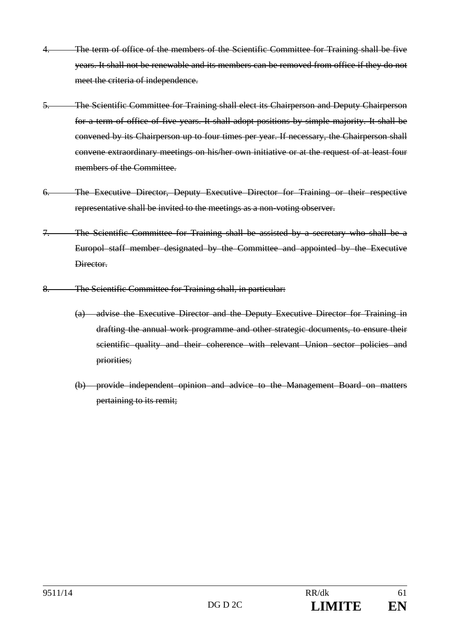- The term of office of the members of the Scientific Committee for Training shall be five years. It shall not be renewable and its members can be removed from office if they do not meet the criteria of independence.
- 5. The Scientific Committee for Training shall elect its Chairperson and Deputy Chairperson for a term of office of five years. It shall adopt positions by simple majority. It shall be convened by its Chairperson up to four times per year. If necessary, the Chairperson shall convene extraordinary meetings on his/her own initiative or at the request of at least four members of the Committee.
- 6. The Executive Director, Deputy Executive Director for Training or their respective representative shall be invited to the meetings as a non-voting observer.
- 7. The Scientific Committee for Training shall be assisted by a secretary who shall be a Europol staff member designated by the Committee and appointed by the Executive Director.
- 8. The Scientific Committee for Training shall, in particular:
	- (a) advise the Executive Director and the Deputy Executive Director for Training in drafting the annual work programme and other strategic documents, to ensure their scientific quality and their coherence with relevant Union sector policies and priorities;
	- (b) provide independent opinion and advice to the Management Board on matters pertaining to its remit;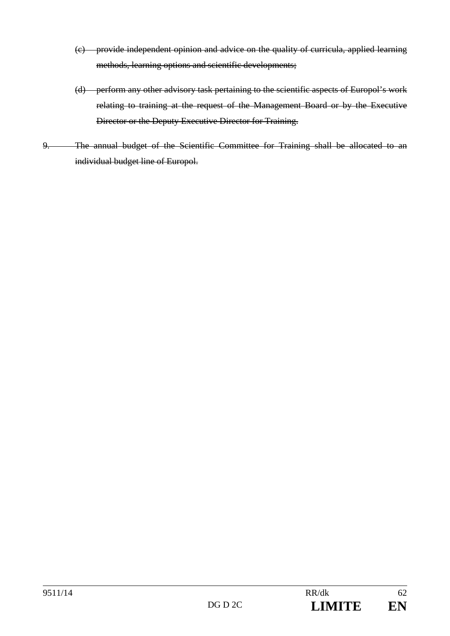- (c) provide independent opinion and advice on the quality of curricula, applied learning methods, learning options and scientific developments;
- (d) perform any other advisory task pertaining to the scientific aspects of Europol's work relating to training at the request of the Management Board or by the Executive Director or the Deputy Executive Director for Training.
- 9. The annual budget of the Scientific Committee for Training shall be allocated to an individual budget line of Europol.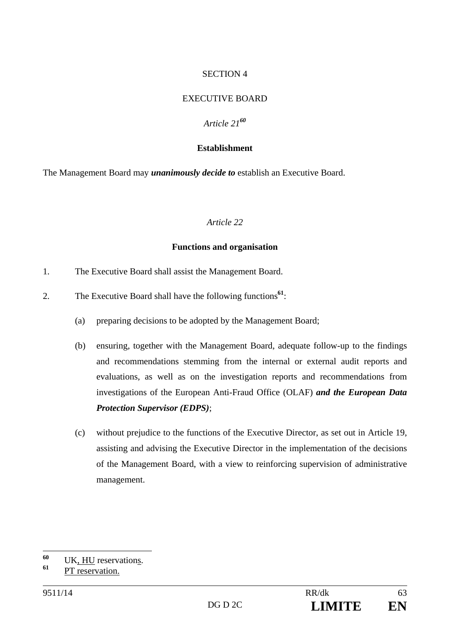## EXECUTIVE BOARD

## *Article 21<sup>60</sup>*

#### **Establishment**

The Management Board may *unanimously decide to* establish an Executive Board.

#### *Article 22*

#### **Functions and organisation**

- 1. The Executive Board shall assist the Management Board.
- 2. The Executive Board shall have the following functions**<sup>61</sup>**:
	- (a) preparing decisions to be adopted by the Management Board;
	- (b) ensuring, together with the Management Board, adequate follow-up to the findings and recommendations stemming from the internal or external audit reports and evaluations, as well as on the investigation reports and recommendations from investigations of the European Anti-Fraud Office (OLAF) *and the European Data Protection Supervisor (EDPS)*;
	- (c) without prejudice to the functions of the Executive Director, as set out in Article 19, assisting and advising the Executive Director in the implementation of the decisions of the Management Board, with a view to reinforcing supervision of administrative management.

<sup>60</sup> <sup>60</sup> UK, <u>HU</u> reservations.

**<sup>61</sup>** PT reservation.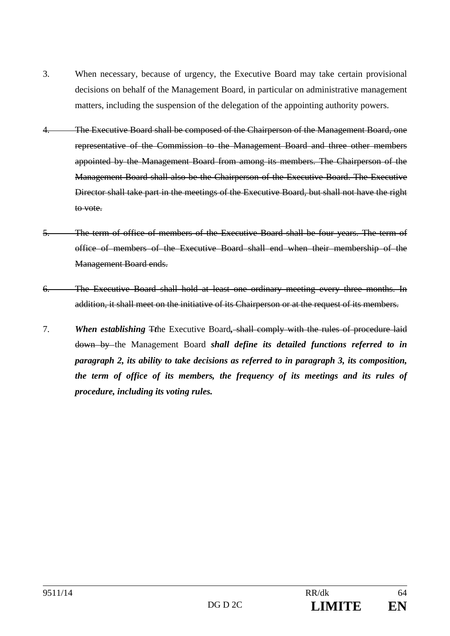- 3. When necessary, because of urgency, the Executive Board may take certain provisional decisions on behalf of the Management Board, in particular on administrative management matters, including the suspension of the delegation of the appointing authority powers.
- 4. The Executive Board shall be composed of the Chairperson of the Management Board, one representative of the Commission to the Management Board and three other members appointed by the Management Board from among its members. The Chairperson of the Management Board shall also be the Chairperson of the Executive Board. The Executive Director shall take part in the meetings of the Executive Board, but shall not have the right to vote.
- 5. The term of office of members of the Executive Board shall be four years. The term of office of members of the Executive Board shall end when their membership of the Management Board ends.
- 6. The Executive Board shall hold at least one ordinary meeting every three months. In addition, it shall meet on the initiative of its Chairperson or at the request of its members.
- 7. *When establishing* T*t*he Executive Board*,* shall comply with the rules of procedure laid down by the Management Board *shall define its detailed functions referred to in paragraph 2, its ability to take decisions as referred to in paragraph 3, its composition, the term of office of its members, the frequency of its meetings and its rules of procedure, including its voting rules.*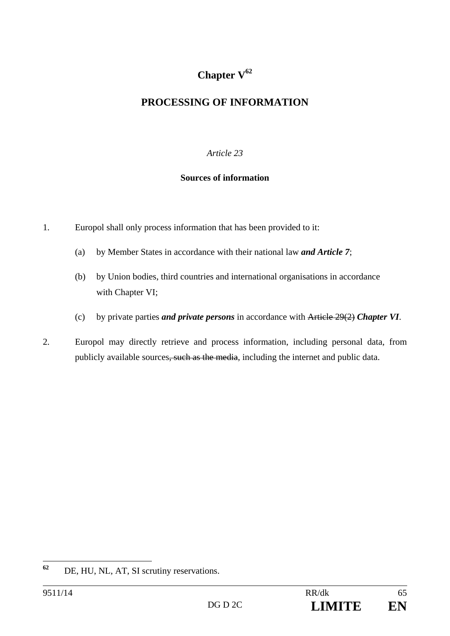# **Chapter V<sup>62</sup>**

# **PROCESSING OF INFORMATION**

# *Article 23*

# **Sources of information**

- 1. Europol shall only process information that has been provided to it:
	- (a) by Member States in accordance with their national law *and Article 7*;
	- (b) by Union bodies, third countries and international organisations in accordance with Chapter VI;
	- (c) by private parties *and private persons* in accordance with Article 29(2) *Chapter VI*.
- 2. Europol may directly retrieve and process information, including personal data, from publicly available sources, such as the media, including the internet and public data.

 $62$ DE, HU, NL, AT, SI scrutiny reservations.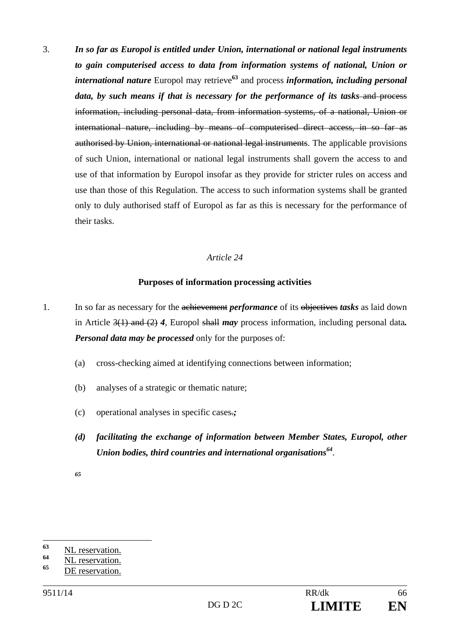3. *In so far as Europol is entitled under Union, international or national legal instruments to gain computerised access to data from information systems of national, Union or international nature* Europol may retrieve**<sup>63</sup>** and process *information, including personal*  data, by such means if that is necessary for the performance of its tasks–and process information, including personal data, from information systems, of a national, Union or international nature, including by means of computerised direct access, in so far as authorised by Union, international or national legal instruments. The applicable provisions of such Union, international or national legal instruments shall govern the access to and use of that information by Europol insofar as they provide for stricter rules on access and use than those of this Regulation. The access to such information systems shall be granted only to duly authorised staff of Europol as far as this is necessary for the performance of their tasks.

## *Article 24*

## **Purposes of information processing activities**

- 1. In so far as necessary for the achievement *performance* of its objectives *tasks* as laid down in Article 3(1) and (2) *4*, Europol shall *may* process information, including personal data*. Personal data may be processed* only for the purposes of:
	- (a) cross-checking aimed at identifying connections between information;
	- (b) analyses of a strategic or thematic nature;
	- (c) operational analyses in specific cases.*;*
	- *(d) facilitating the exchange of information between Member States, Europol, other Union bodies, third countries and international organisations<sup>64</sup>.*
	- *65*

<sup>63</sup> <sup>63</sup> NL reservation.

<sup>&</sup>lt;sup>64</sup> NL reservation.

**<sup>65</sup>** DE reservation.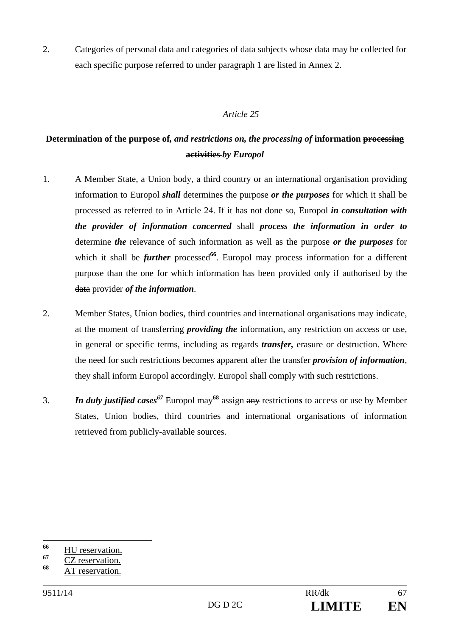2. Categories of personal data and categories of data subjects whose data may be collected for each specific purpose referred to under paragraph 1 are listed in Annex 2.

# *Article 25*

# **Determination of the purpose of***, and restrictions on, the processing of* **information processing activities** *by Europol*

- 1. A Member State, a Union body, a third country or an international organisation providing information to Europol *shall* determines the purpose *or the purposes* for which it shall be processed as referred to in Article 24. If it has not done so, Europol *in consultation with the provider of information concerned* shall *process the information in order to* determine *the* relevance of such information as well as the purpose *or the purposes* for which it shall be *further* processed<sup>66</sup>. Europol may process information for a different purpose than the one for which information has been provided only if authorised by the data provider *of the information*.
- 2. Member States, Union bodies, third countries and international organisations may indicate, at the moment of transferring *providing the* information, any restriction on access or use, in general or specific terms, including as regards *transfer,* erasure or destruction. Where the need for such restrictions becomes apparent after the transfer *provision of information*, they shall inform Europol accordingly. Europol shall comply with such restrictions.
- 3. *In duly justified cases67* Europol may**<sup>68</sup>** assign any restriction*s* to access or use by Member States, Union bodies, third countries and international organisations of information retrieved from publicly-available sources.

<sup>66</sup> <sup>66</sup> HU reservation.

 $\frac{67}{68}$  CZ reservation.

**<sup>68</sup>** AT reservation.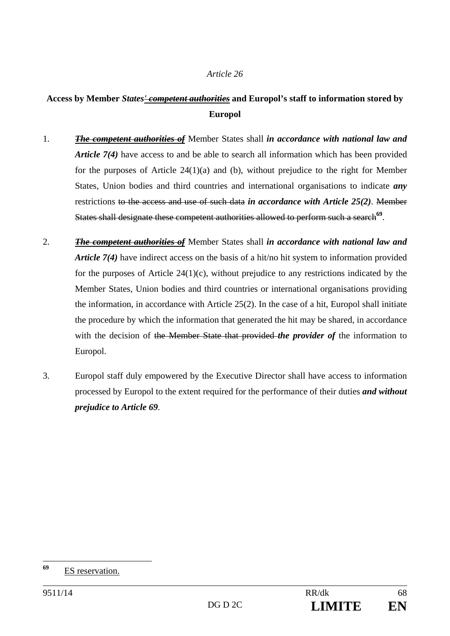# **Access by Member** *States' competent authorities* **and Europol's staff to information stored by Europol**

- 1. *The competent authorities of* Member States shall *in accordance with national law and Article 7(4)* have access to and be able to search all information which has been provided for the purposes of Article 24(1)(a) and (b), without prejudice to the right for Member States, Union bodies and third countries and international organisations to indicate *any* restrictions to the access and use of such data *in accordance with Article 25(2)*. Member States shall designate these competent authorities allowed to perform such a search<sup>69</sup>.
- 2. *The competent authorities of* Member States shall *in accordance with national law and Article 7(4)* have indirect access on the basis of a hit/no hit system to information provided for the purposes of Article  $24(1)(c)$ , without prejudice to any restrictions indicated by the Member States, Union bodies and third countries or international organisations providing the information, in accordance with Article 25(2). In the case of a hit, Europol shall initiate the procedure by which the information that generated the hit may be shared, in accordance with the decision of the Member State that provided *the provider of* the information to Europol.
- 3. Europol staff duly empowered by the Executive Director shall have access to information processed by Europol to the extent required for the performance of their duties *and without prejudice to Article 69*.

<sup>69</sup> **<sup>69</sup>** ES reservation.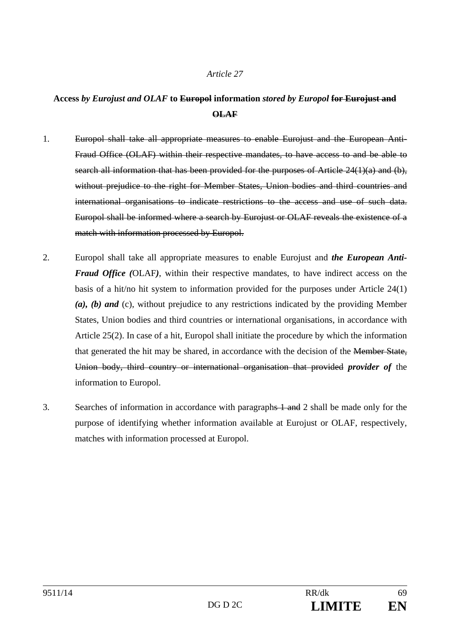# **Access** *by Eurojust and OLAF* **to Europol information** *stored by Europol* **for Eurojust and OLAF**

- 1. Europol shall take all appropriate measures to enable Eurojust and the European Anti-Fraud Office (OLAF) within their respective mandates, to have access to and be able to search all information that has been provided for the purposes of Article 24(1)(a) and (b), without prejudice to the right for Member States, Union bodies and third countries and international organisations to indicate restrictions to the access and use of such data. Europol shall be informed where a search by Eurojust or OLAF reveals the existence of a match with information processed by Europol.
- 2. Europol shall take all appropriate measures to enable Eurojust and *the European Anti-Fraud Office (*OLAF*)*, within their respective mandates, to have indirect access on the basis of a hit/no hit system to information provided for the purposes under Article 24(1) *(a), (b) and* (c), without prejudice to any restrictions indicated by the providing Member States, Union bodies and third countries or international organisations, in accordance with Article 25(2). In case of a hit, Europol shall initiate the procedure by which the information that generated the hit may be shared, in accordance with the decision of the Member State, Union body, third country or international organisation that provided *provider of* the information to Europol.
- 3. Searches of information in accordance with paragraphs 1 and 2 shall be made only for the purpose of identifying whether information available at Eurojust or OLAF, respectively, matches with information processed at Europol.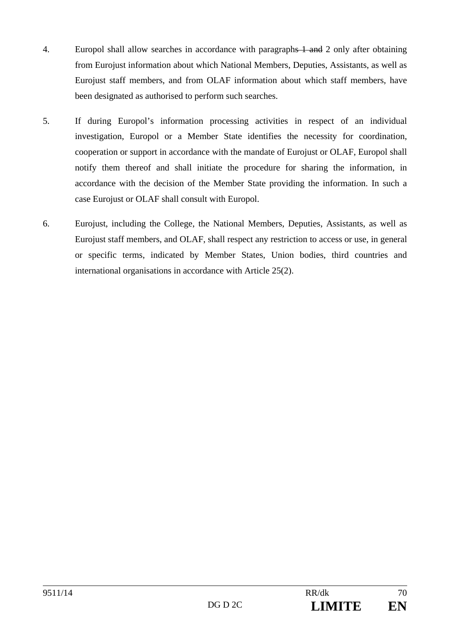- 4. Europol shall allow searches in accordance with paragraphs 1 and 2 only after obtaining from Eurojust information about which National Members, Deputies, Assistants, as well as Eurojust staff members, and from OLAF information about which staff members, have been designated as authorised to perform such searches.
- 5. If during Europol's information processing activities in respect of an individual investigation, Europol or a Member State identifies the necessity for coordination, cooperation or support in accordance with the mandate of Eurojust or OLAF, Europol shall notify them thereof and shall initiate the procedure for sharing the information, in accordance with the decision of the Member State providing the information. In such a case Eurojust or OLAF shall consult with Europol.
- 6. Eurojust, including the College, the National Members, Deputies, Assistants, as well as Eurojust staff members, and OLAF, shall respect any restriction to access or use, in general or specific terms, indicated by Member States, Union bodies, third countries and international organisations in accordance with Article 25(2).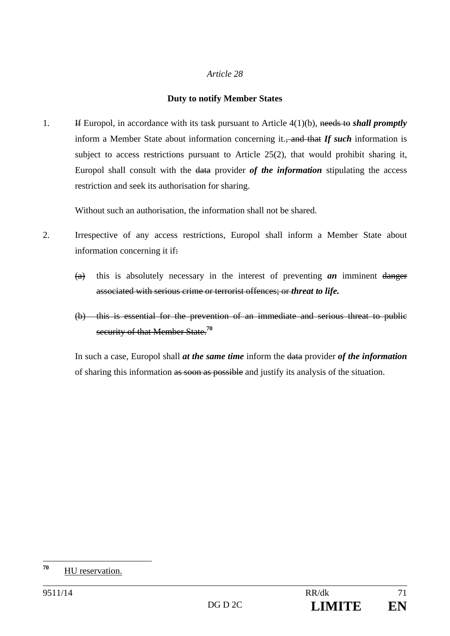## **Duty to notify Member States**

1. If Europol, in accordance with its task pursuant to Article 4(1)(b), needs to *shall promptly* inform a Member State about information concerning it., and that *If such* information is subject to access restrictions pursuant to Article 25(2), that would prohibit sharing it, Europol shall consult with the data provider *of the information* stipulating the access restriction and seek its authorisation for sharing.

Without such an authorisation, the information shall not be shared.

- 2. Irrespective of any access restrictions, Europol shall inform a Member State about information concerning it if.
	- (a) this is absolutely necessary in the interest of preventing *an* imminent danger associated with serious crime or terrorist offences; or *threat to life.*
	- (b) this is essential for the prevention of an immediate and serious threat to public security of that Member State.**<sup>70</sup>**

In such a case, Europol shall *at the same time* inform the data provider *of the information* of sharing this information as soon as possible and justify its analysis of the situation.

<sup>70</sup> **<sup>70</sup>** HU reservation.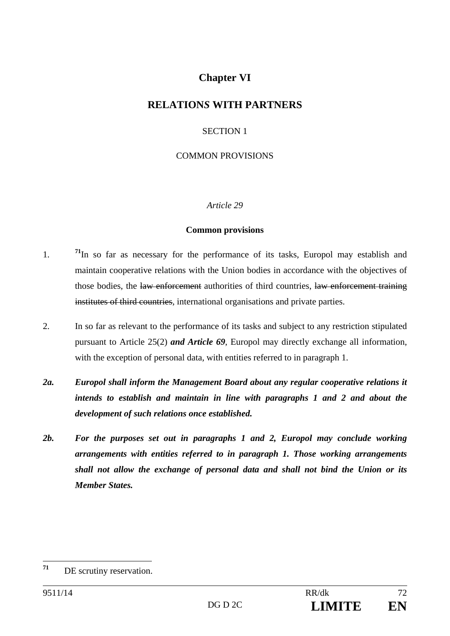# **Chapter VI**

# **RELATION***S* **WITH PARTNERS**

# SECTION 1

# COMMON PROVISIONS

# *Article 29*

## **Common provisions**

- 1. **<sup>71</sup>**In so far as necessary for the performance of its tasks, Europol may establish and maintain cooperative relations with the Union bodies in accordance with the objectives of those bodies, the law enforcement authorities of third countries, law enforcement training institutes of third countries, international organisations and private parties.
- 2. In so far as relevant to the performance of its tasks and subject to any restriction stipulated pursuant to Article 25(2) *and Article 69*, Europol may directly exchange all information, with the exception of personal data, with entities referred to in paragraph 1.
- *2a. Europol shall inform the Management Board about any regular cooperative relations it intends to establish and maintain in line with paragraphs 1 and 2 and about the development of such relations once established.*
- *2b. For the purposes set out in paragraphs 1 and 2, Europol may conclude working arrangements with entities referred to in paragraph 1. Those working arrangements shall not allow the exchange of personal data and shall not bind the Union or its Member States.*

 $71$ **<sup>71</sup>** DE scrutiny reservation.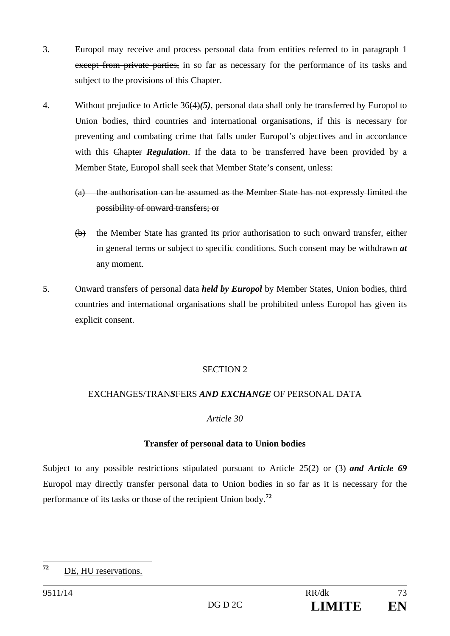- 3. Europol may receive and process personal data from entities referred to in paragraph 1 except from private parties, in so far as necessary for the performance of its tasks and subject to the provisions of this Chapter.
- 4. Without prejudice to Article 36(4)*(5)*, personal data shall only be transferred by Europol to Union bodies, third countries and international organisations, if this is necessary for preventing and combating crime that falls under Europol's objectives and in accordance with this Chapter *Regulation*. If the data to be transferred have been provided by a Member State, Europol shall seek that Member State's consent, unless
	- (a) the authorisation can be assumed as the Member State has not expressly limited the possibility of onward transfers; or
	- (b) the Member State has granted its prior authorisation to such onward transfer, either in general terms or subject to specific conditions. Such consent may be withdrawn *at*  any moment.
- 5. Onward transfers of personal data *held by Europol* by Member States, Union bodies, third countries and international organisations shall be prohibited unless Europol has given its explicit consent.

# SECTION 2

# EXCHANGES/TRAN*S*FERS *AND EXCHANGE* OF PERSONAL DATA

# *Article 30*

# **Transfer of personal data to Union bodies**

Subject to any possible restrictions stipulated pursuant to Article 25(2) or (3) *and Article 69*  Europol may directly transfer personal data to Union bodies in so far as it is necessary for the performance of its tasks or those of the recipient Union body.**<sup>72</sup>**

 $72$ **<sup>72</sup>** DE, HU reservations.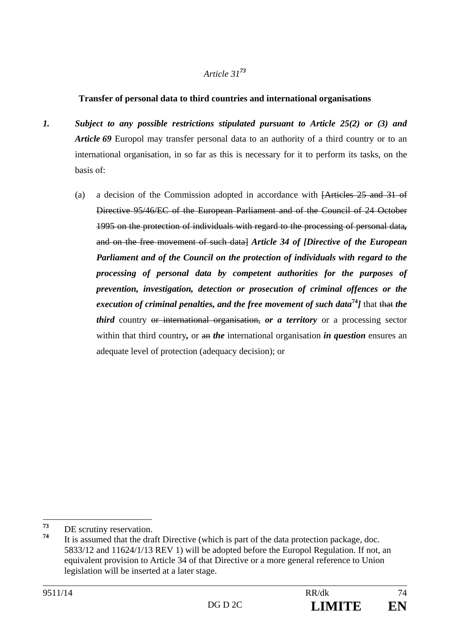# **Transfer of personal data to third countries and international organisations**

- *1. Subject to any possible restrictions stipulated pursuant to Article 25(2) or (3) and Article 69* Europol may transfer personal data to an authority of a third country or to an international organisation, in so far as this is necessary for it to perform its tasks, on the basis of:
	- (a) a decision of the Commission adopted in accordance with [Articles 25 and 31 of Directive 95/46/EC of the European Parliament and of the Council of 24 October 1995 on the protection of individuals with regard to the processing of personal data*,* and on the free movement of such data] *Article 34 of [Directive of the European Parliament and of the Council on the protection of individuals with regard to the processing of personal data by competent authorities for the purposes of prevention, investigation, detection or prosecution of criminal offences or the execution of criminal penalties, and the free movement of such data***<sup>74</sup>***]* that that *the third* country <del>or international organisation,</del> *or a territory* or a processing sector within that third country, or an *the* international organisation *in question* ensures an adequate level of protection (adequacy decision); or

<sup>73</sup>  $\frac{73}{74}$  DE scrutiny reservation.

It is assumed that the draft Directive (which is part of the data protection package, doc. 5833/12 and 11624/1/13 REV 1) will be adopted before the Europol Regulation. If not, an equivalent provision to Article 34 of that Directive or a more general reference to Union legislation will be inserted at a later stage.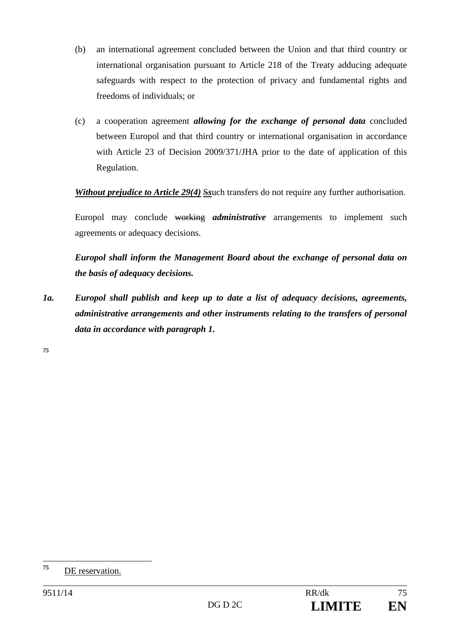- (b) an international agreement concluded between the Union and that third country or international organisation pursuant to Article 218 of the Treaty adducing adequate safeguards with respect to the protection of privacy and fundamental rights and freedoms of individuals; or
- (c) a cooperation agreement *allowing for the exchange of personal data* concluded between Europol and that third country or international organisation in accordance with Article 23 of Decision 2009/371/JHA prior to the date of application of this Regulation.

*Without prejudice to Article 29(4)* Ssuch transfers do not require any further authorisation.

Europol may conclude working *administrative* arrangements to implement such agreements or adequacy decisions.

*Europol shall inform the Management Board about the exchange of personal data on the basis of adequacy decisions.* 

*1a. Europol shall publish and keep up to date a list of adequacy decisions, agreements, administrative arrangements and other instruments relating to the transfers of personal data in accordance with paragraph 1.* 

*75*

 $75$ **<sup>75</sup>** DE reservation.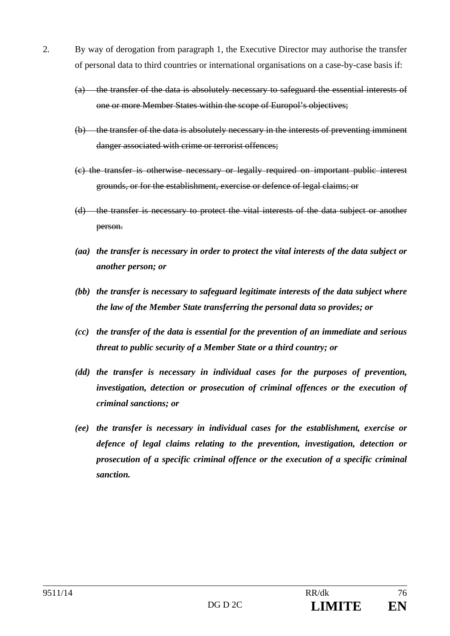- 2. By way of derogation from paragraph 1, the Executive Director may authorise the transfer of personal data to third countries or international organisations on a case-by-case basis if:
	- (a) the transfer of the data is absolutely necessary to safeguard the essential interests of one or more Member States within the scope of Europol's objectives;
	- (b) the transfer of the data is absolutely necessary in the interests of preventing imminent danger associated with crime or terrorist offences;
	- (c) the transfer is otherwise necessary or legally required on important public interest grounds, or for the establishment, exercise or defence of legal claims; or
	- (d) the transfer is necessary to protect the vital interests of the data subject or another person.
	- *(aa) the transfer is necessary in order to protect the vital interests of the data subject or another person; or*
	- *(bb) the transfer is necessary to safeguard legitimate interests of the data subject where the law of the Member State transferring the personal data so provides; or*
	- *(cc) the transfer of the data is essential for the prevention of an immediate and serious threat to public security of a Member State or a third country; or*
	- *(dd) the transfer is necessary in individual cases for the purposes of prevention, investigation, detection or prosecution of criminal offences or the execution of criminal sanctions; or*
	- *(ee) the transfer is necessary in individual cases for the establishment, exercise or defence of legal claims relating to the prevention, investigation, detection or prosecution of a specific criminal offence or the execution of a specific criminal sanction.*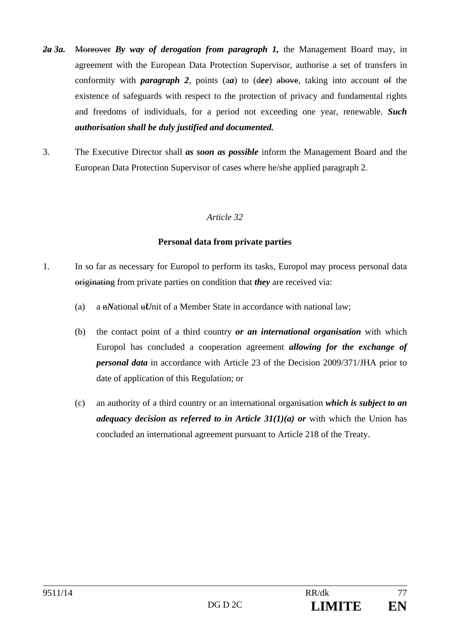- *2a 3a.* Moreover *By way of derogation from paragraph 1,* the Management Board may, in agreement with the European Data Protection Supervisor, authorise a set of transfers in conformity with *paragraph 2*, points (a*a*) to (d*ee*) above, taking into account of the existence of safeguards with respect to the protection of privacy and fundamental rights and freedoms of individuals, for a period not exceeding one year, renewable. *Such authorisation shall be duly justified and documented.*
- 3. The Executive Director shall *as soon as possible* inform the Management Board and the European Data Protection Supervisor of cases where he/she applied paragraph 2.

#### **Personal data from private parties**

- 1. In so far as necessary for Europol to perform its tasks, Europol may process personal data originating from private parties on condition that *they* are received via:
	- (a) a  $\mu$ National  $\mu$ Unit of a Member State in accordance with national law;
	- (b) the contact point of a third country *or an international organisation* with which Europol has concluded a cooperation agreement *allowing for the exchange of personal data* in accordance with Article 23 of the Decision 2009/371/JHA prior to date of application of this Regulation; or
	- (c) an authority of a third country or an international organisation *which is subject to an adequacy decision as referred to in Article 31(1)(a) or* with which the Union has concluded an international agreement pursuant to Article 218 of the Treaty.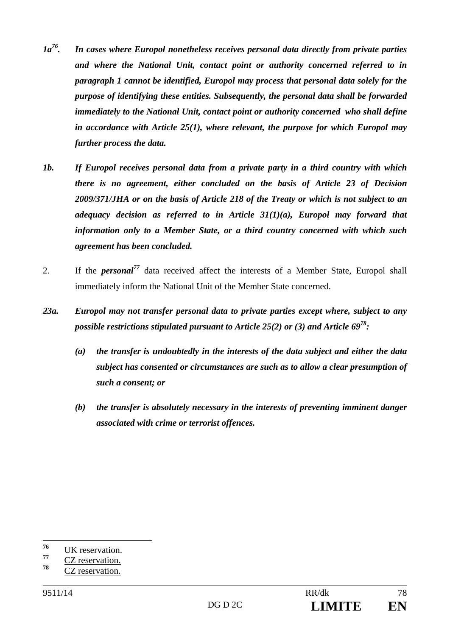- *1a76. In cases where Europol nonetheless receives personal data directly from private parties and where the National Unit, contact point or authority concerned referred to in paragraph 1 cannot be identified, Europol may process that personal data solely for the purpose of identifying these entities. Subsequently, the personal data shall be forwarded immediately to the National Unit, contact point or authority concerned who shall define in accordance with Article 25(1), where relevant, the purpose for which Europol may further process the data.*
- *1b. If Europol receives personal data from a private party in a third country with which there is no agreement, either concluded on the basis of Article 23 of Decision 2009/371/JHA or on the basis of Article 218 of the Treaty or which is not subject to an adequacy decision as referred to in Article 31(1)(a), Europol may forward that information only to a Member State, or a third country concerned with which such agreement has been concluded.*
- 2. If the *personal<sup>77</sup>* data received affect the interests of a Member State, Europol shall immediately inform the National Unit of the Member State concerned.
- *23a. Europol may not transfer personal data to private parties except where, subject to any possible restrictions stipulated pursuant to Article 25(2) or (3) and Article 6978:* 
	- *(a) the transfer is undoubtedly in the interests of the data subject and either the data subject has consented or circumstances are such as to allow a clear presumption of such a consent; or*
	- *(b) the transfer is absolutely necessary in the interests of preventing imminent danger associated with crime or terrorist offences.*

<sup>76</sup>  $\frac{76}{77}$  UK reservation.

 $\frac{77}{78}$  CZ reservation.

**<sup>78</sup>** CZ reservation.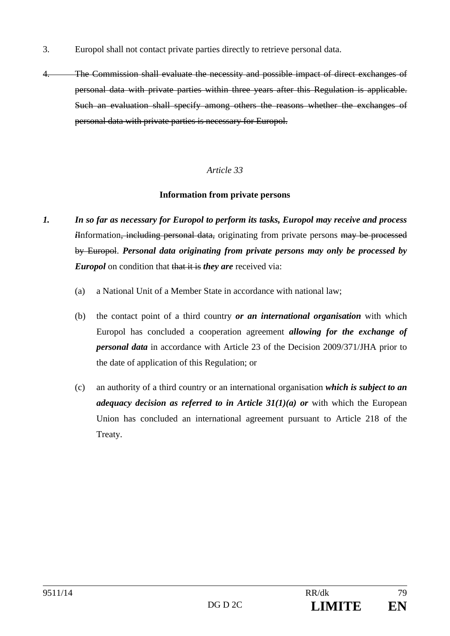- 3. Europol shall not contact private parties directly to retrieve personal data.
- 4. The Commission shall evaluate the necessity and possible impact of direct exchanges of personal data with private parties within three years after this Regulation is applicable. Such an evaluation shall specify among others the reasons whether the exchanges of personal data with private parties is necessary for Europol.

#### **Information from private persons**

- *1. In so far as necessary for Europol to perform its tasks, Europol may receive and process i*Information, including personal data, originating from private persons may be processed by Europol. *Personal data originating from private persons may only be processed by Europol* on condition that that it is *they are* received via:
	- (a) a National Unit of a Member State in accordance with national law;
	- (b) the contact point of a third country *or an international organisation* with which Europol has concluded a cooperation agreement *allowing for the exchange of personal data* in accordance with Article 23 of the Decision 2009/371/JHA prior to the date of application of this Regulation; or
	- (c) an authority of a third country or an international organisation *which is subject to an adequacy decision as referred to in Article*  $31(1)(a)$  *or with which the European* Union has concluded an international agreement pursuant to Article 218 of the Treaty.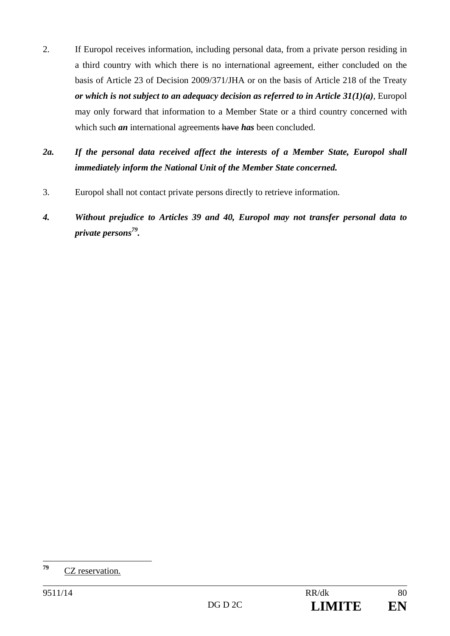- 2. If Europol receives information, including personal data, from a private person residing in a third country with which there is no international agreement, either concluded on the basis of Article 23 of Decision 2009/371/JHA or on the basis of Article 218 of the Treaty *or which is not subject to an adequacy decision as referred to in Article 31(1)(a)*, Europol may only forward that information to a Member State or a third country concerned with which such *an* international agreements have *has* been concluded.
- *2a. If the personal data received affect the interests of a Member State, Europol shall immediately inform the National Unit of the Member State concerned.*
- 3. Europol shall not contact private persons directly to retrieve information.
- *4. Without prejudice to Articles 39 and 40, Europol may not transfer personal data to private persons79.*

<sup>79</sup> **<sup>79</sup>** CZ reservation.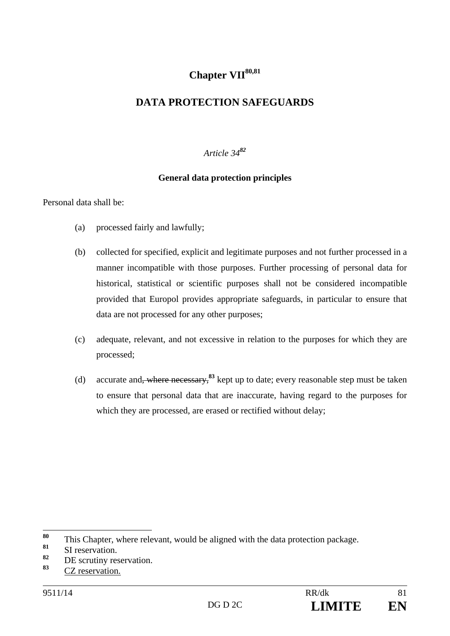# **Chapter VII80,81**

# **DATA PROTECTION SAFEGUARDS**

*Article 34<sup>82</sup>*

### **General data protection principles**

Personal data shall be:

- (a) processed fairly and lawfully;
- (b) collected for specified, explicit and legitimate purposes and not further processed in a manner incompatible with those purposes. Further processing of personal data for historical, statistical or scientific purposes shall not be considered incompatible provided that Europol provides appropriate safeguards, in particular to ensure that data are not processed for any other purposes;
- (c) adequate, relevant, and not excessive in relation to the purposes for which they are processed;
- (d) accurate and, where necessary,**<sup>83</sup>** kept up to date; every reasonable step must be taken to ensure that personal data that are inaccurate, having regard to the purposes for which they are processed, are erased or rectified without delay;

<sup>80</sup> <sup>80</sup> This Chapter, where relevant, would be aligned with the data protection package.

 $\begin{array}{c} 81 \\ 82 \end{array}$  SI reservation.

<sup>&</sup>lt;sup>82</sup> DE scrutiny reservation.

**<sup>83</sup>** CZ reservation.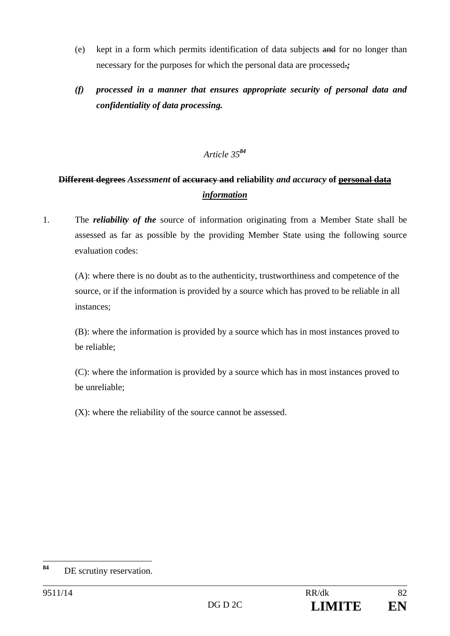- (e) kept in a form which permits identification of data subjects and for no longer than necessary for the purposes for which the personal data are processed.*;*
- *(f) processed in a manner that ensures appropriate security of personal data and confidentiality of data processing.*

# **Different degrees** *Assessment* **of accuracy and reliability** *and accuracy* **of personal data**  *information*

1. The *reliability of the* source of information originating from a Member State shall be assessed as far as possible by the providing Member State using the following source evaluation codes:

(A): where there is no doubt as to the authenticity, trustworthiness and competence of the source, or if the information is provided by a source which has proved to be reliable in all instances;

(B): where the information is provided by a source which has in most instances proved to be reliable;

(C): where the information is provided by a source which has in most instances proved to be unreliable;

(X): where the reliability of the source cannot be assessed.

<sup>84</sup> **DE** scrutiny reservation.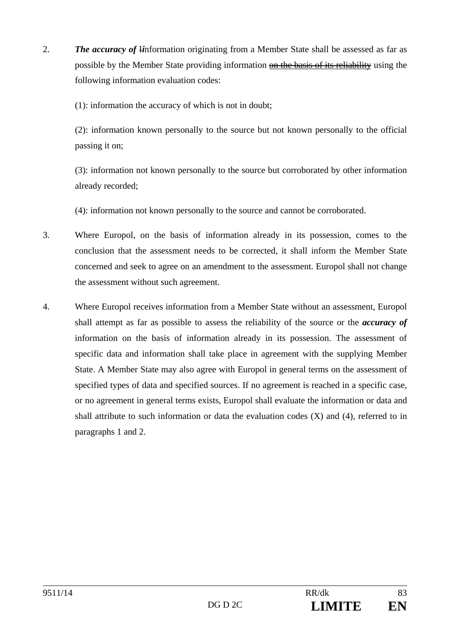2. *The accuracy of* I*i*nformation originating from a Member State shall be assessed as far as possible by the Member State providing information on the basis of its reliability using the following information evaluation codes:

(1): information the accuracy of which is not in doubt;

(2): information known personally to the source but not known personally to the official passing it on;

(3): information not known personally to the source but corroborated by other information already recorded;

(4): information not known personally to the source and cannot be corroborated.

- 3. Where Europol, on the basis of information already in its possession, comes to the conclusion that the assessment needs to be corrected, it shall inform the Member State concerned and seek to agree on an amendment to the assessment. Europol shall not change the assessment without such agreement.
- 4. Where Europol receives information from a Member State without an assessment, Europol shall attempt as far as possible to assess the reliability of the source or the *accuracy of* information on the basis of information already in its possession. The assessment of specific data and information shall take place in agreement with the supplying Member State. A Member State may also agree with Europol in general terms on the assessment of specified types of data and specified sources. If no agreement is reached in a specific case, or no agreement in general terms exists, Europol shall evaluate the information or data and shall attribute to such information or data the evaluation codes  $(X)$  and  $(4)$ , referred to in paragraphs 1 and 2.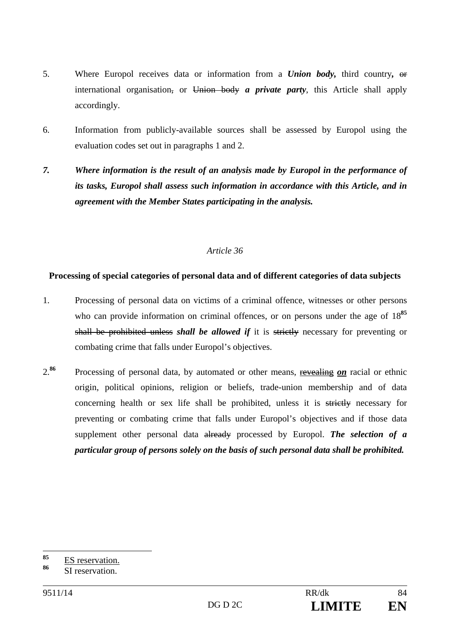- 5. Where Europol receives data or information from a *Union body,* third country*,* or international organisation, or Union body *a private party*, this Article shall apply accordingly.
- 6. Information from publicly-available sources shall be assessed by Europol using the evaluation codes set out in paragraphs 1 and 2.
- *7. Where information is the result of an analysis made by Europol in the performance of its tasks, Europol shall assess such information in accordance with this Article, and in agreement with the Member States participating in the analysis.*

### **Processing of special categories of personal data and of different categories of data subjects**

- 1. Processing of personal data on victims of a criminal offence, witnesses or other persons who can provide information on criminal offences, or on persons under the age of  $18^{85}$ shall be prohibited unless *shall be allowed if* it is strictly necessary for preventing or combating crime that falls under Europol's objectives.
- 2.**<sup>86</sup>** Processing of personal data, by automated or other means, revealing *on* racial or ethnic origin, political opinions, religion or beliefs, trade-union membership and of data concerning health or sex life shall be prohibited, unless it is strictly necessary for preventing or combating crime that falls under Europol's objectives and if those data supplement other personal data already processed by Europol. *The selection of a particular group of persons solely on the basis of such personal data shall be prohibited.*

 $Q\subseteq$  $\frac{85}{86}$  ES reservation.

**<sup>86</sup>** SI reservation.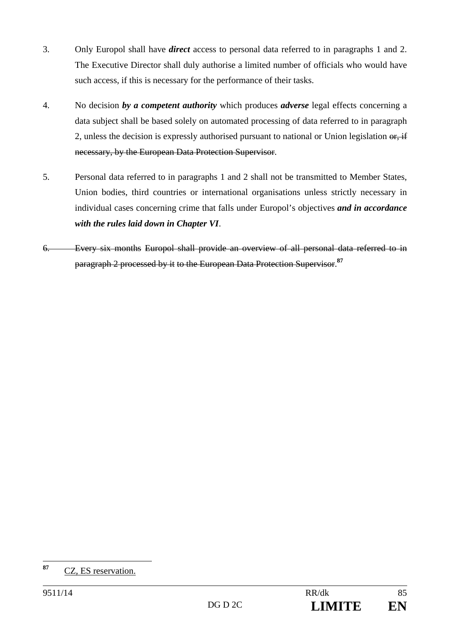- 3. Only Europol shall have *direct* access to personal data referred to in paragraphs 1 and 2. The Executive Director shall duly authorise a limited number of officials who would have such access, if this is necessary for the performance of their tasks.
- 4. No decision *by a competent authority* which produces *adverse* legal effects concerning a data subject shall be based solely on automated processing of data referred to in paragraph 2, unless the decision is expressly authorised pursuant to national or Union legislation or, if necessary, by the European Data Protection Supervisor.
- 5. Personal data referred to in paragraphs 1 and 2 shall not be transmitted to Member States, Union bodies, third countries or international organisations unless strictly necessary in individual cases concerning crime that falls under Europol's objectives *and in accordance with the rules laid down in Chapter VI*.
- 6. Every six months Europol shall provide an overview of all personal data referred to in paragraph 2 processed by it to the European Data Protection Supervisor.**<sup>87</sup>**

<sup>87</sup> **<sup>87</sup>** CZ, ES reservation.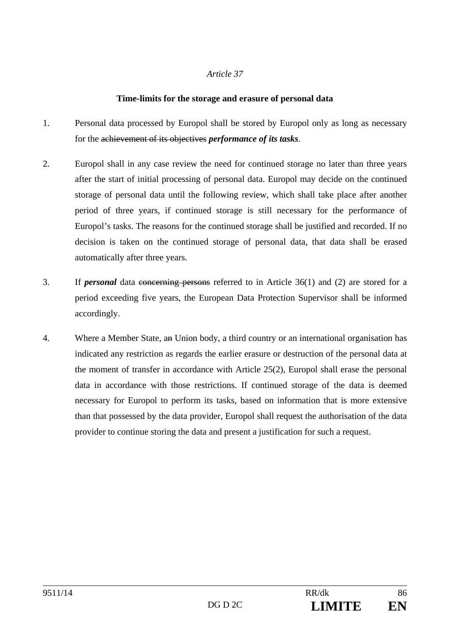## **Time-limits for the storage and erasure of personal data**

- 1. Personal data processed by Europol shall be stored by Europol only as long as necessary for the achievement of its objectives *performance of its tasks*.
- 2. Europol shall in any case review the need for continued storage no later than three years after the start of initial processing of personal data. Europol may decide on the continued storage of personal data until the following review, which shall take place after another period of three years, if continued storage is still necessary for the performance of Europol's tasks. The reasons for the continued storage shall be justified and recorded. If no decision is taken on the continued storage of personal data, that data shall be erased automatically after three years.
- 3. If *personal* data concerning persons referred to in Article 36(1) and (2) are stored for a period exceeding five years, the European Data Protection Supervisor shall be informed accordingly.
- 4. Where a Member State, an Union body, a third country or an international organisation has indicated any restriction as regards the earlier erasure or destruction of the personal data at the moment of transfer in accordance with Article 25(2), Europol shall erase the personal data in accordance with those restrictions. If continued storage of the data is deemed necessary for Europol to perform its tasks, based on information that is more extensive than that possessed by the data provider, Europol shall request the authorisation of the data provider to continue storing the data and present a justification for such a request.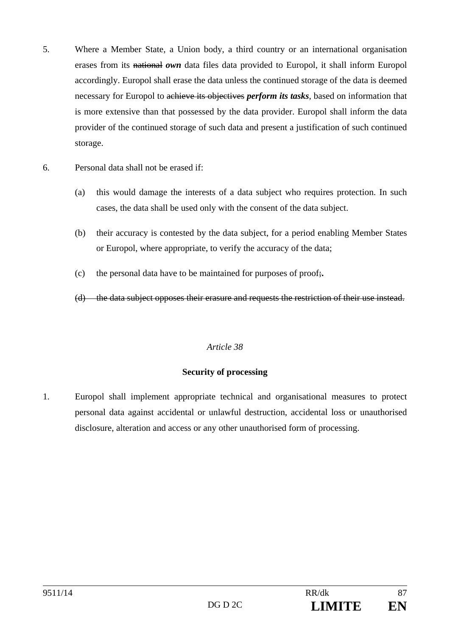- 5. Where a Member State, a Union body, a third country or an international organisation erases from its national *own* data files data provided to Europol, it shall inform Europol accordingly. Europol shall erase the data unless the continued storage of the data is deemed necessary for Europol to achieve its objectives *perform its tasks*, based on information that is more extensive than that possessed by the data provider. Europol shall inform the data provider of the continued storage of such data and present a justification of such continued storage.
- 6. Personal data shall not be erased if:
	- (a) this would damage the interests of a data subject who requires protection. In such cases, the data shall be used only with the consent of the data subject.
	- (b) their accuracy is contested by the data subject, for a period enabling Member States or Europol, where appropriate, to verify the accuracy of the data;
	- (c) the personal data have to be maintained for purposes of proof;**.**

(d) the data subject opposes their erasure and requests the restriction of their use instead.

# *Article 38*

#### **Security of processing**

1. Europol shall implement appropriate technical and organisational measures to protect personal data against accidental or unlawful destruction, accidental loss or unauthorised disclosure, alteration and access or any other unauthorised form of processing.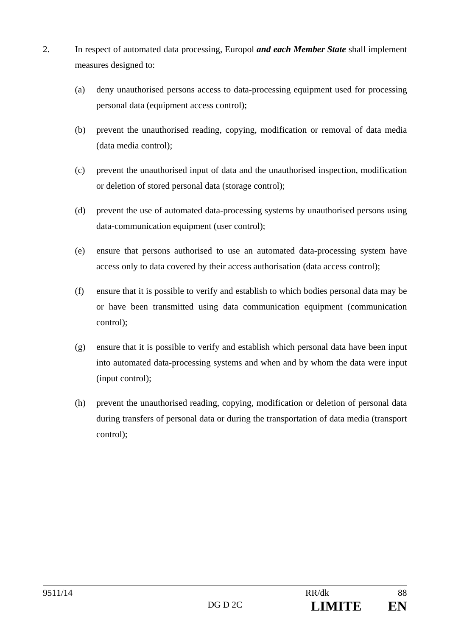- 2. In respect of automated data processing, Europol *and each Member State* shall implement measures designed to:
	- (a) deny unauthorised persons access to data-processing equipment used for processing personal data (equipment access control);
	- (b) prevent the unauthorised reading, copying, modification or removal of data media (data media control);
	- (c) prevent the unauthorised input of data and the unauthorised inspection, modification or deletion of stored personal data (storage control);
	- (d) prevent the use of automated data-processing systems by unauthorised persons using data-communication equipment (user control);
	- (e) ensure that persons authorised to use an automated data-processing system have access only to data covered by their access authorisation (data access control);
	- (f) ensure that it is possible to verify and establish to which bodies personal data may be or have been transmitted using data communication equipment (communication control);
	- (g) ensure that it is possible to verify and establish which personal data have been input into automated data-processing systems and when and by whom the data were input (input control);
	- (h) prevent the unauthorised reading, copying, modification or deletion of personal data during transfers of personal data or during the transportation of data media (transport control);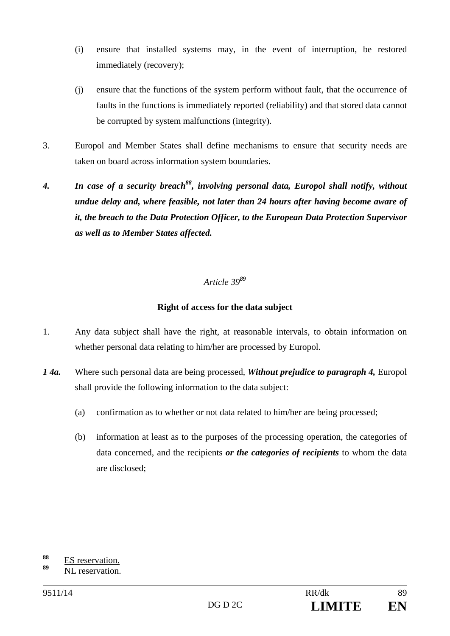- (i) ensure that installed systems may, in the event of interruption, be restored immediately (recovery);
- (j) ensure that the functions of the system perform without fault, that the occurrence of faults in the functions is immediately reported (reliability) and that stored data cannot be corrupted by system malfunctions (integrity).
- 3. Europol and Member States shall define mechanisms to ensure that security needs are taken on board across information system boundaries.
- 4. *In case of a security breach*<sup>88</sup>, involving personal data, Europol shall notify, without *undue delay and, where feasible, not later than 24 hours after having become aware of it, the breach to the Data Protection Officer, to the European Data Protection Supervisor as well as to Member States affected.*

### **Right of access for the data subject**

- 1. Any data subject shall have the right, at reasonable intervals, to obtain information on whether personal data relating to him/her are processed by Europol.
- *1 4a.* Where such personal data are being processed, *Without prejudice to paragraph 4,* Europol shall provide the following information to the data subject:
	- (a) confirmation as to whether or not data related to him/her are being processed;
	- (b) information at least as to the purposes of the processing operation, the categories of data concerned, and the recipients *or the categories of recipients* to whom the data are disclosed;

 $88$ <sup>88</sup> ES reservation.

**<sup>89</sup>** NL reservation.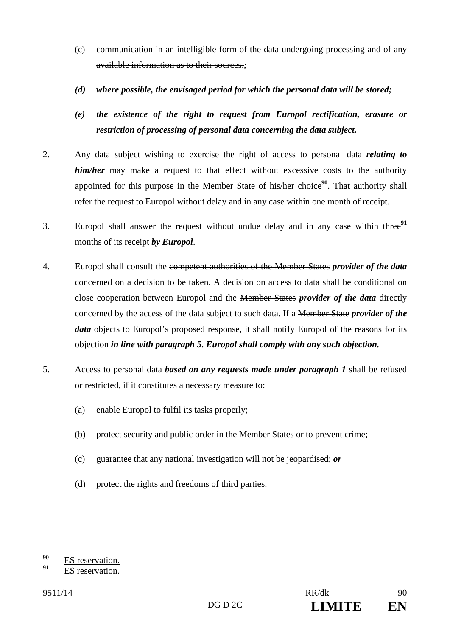- (c) communication in an intelligible form of the data undergoing processing and of any available information as to their sources.*;*
- *(d) where possible, the envisaged period for which the personal data will be stored;*
- *(e) the existence of the right to request from Europol rectification, erasure or restriction of processing of personal data concerning the data subject.*
- 2. Any data subject wishing to exercise the right of access to personal data *relating to him/her* may make a request to that effect without excessive costs to the authority appointed for this purpose in the Member State of his/her choice<sup>90</sup>. That authority shall refer the request to Europol without delay and in any case within one month of receipt.
- 3. Europol shall answer the request without undue delay and in any case within three**<sup>91</sup>** months of its receipt *by Europol*.
- 4. Europol shall consult the competent authorities of the Member States *provider of the data* concerned on a decision to be taken. A decision on access to data shall be conditional on close cooperation between Europol and the Member States *provider of the data* directly concerned by the access of the data subject to such data. If a Member State *provider of the data* objects to Europol's proposed response, it shall notify Europol of the reasons for its objection *in line with paragraph 5*. *Europol shall comply with any such objection.*
- 5. Access to personal data *based on any requests made under paragraph 1* shall be refused or restricted, if it constitutes a necessary measure to:
	- (a) enable Europol to fulfil its tasks properly;
	- (b) protect security and public order  $\frac{1}{2}$  in the Member States or to prevent crime;
	- (c) guarantee that any national investigation will not be jeopardised; *or*
	- (d) protect the rights and freedoms of third parties.

 $90$  $\frac{90}{91}$  ES reservation.

**<sup>91</sup>** ES reservation.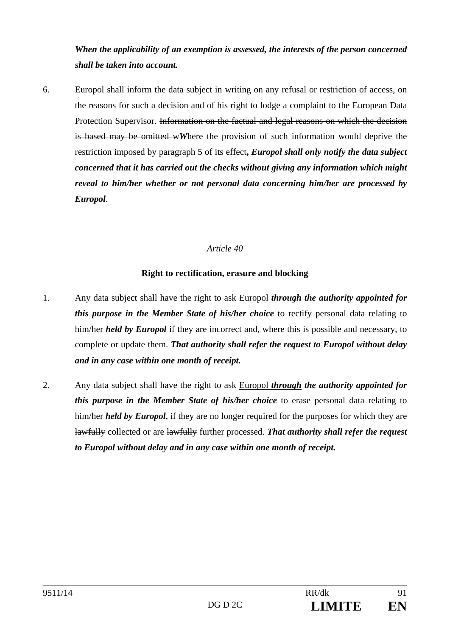*When the applicability of an exemption is assessed, the interests of the person concerned shall be taken into account.* 

6. Europol shall inform the data subject in writing on any refusal or restriction of access, on the reasons for such a decision and of his right to lodge a complaint to the European Data Protection Supervisor. Information on the factual and legal reasons on which the decision is based may be omitted w*W*here the provision of such information would deprive the restriction imposed by paragraph 5 of its effect**,** *Europol shall only notify the data subject concerned that it has carried out the checks without giving any information which might reveal to him/her whether or not personal data concerning him/her are processed by Europol*.

#### *Article 40*

### **Right to rectification, erasure and blocking**

- 1. Any data subject shall have the right to ask Europol *through the authority appointed for this purpose in the Member State of his/her choice* to rectify personal data relating to him/her *held by Europol* if they are incorrect and, where this is possible and necessary, to complete or update them. *That authority shall refer the request to Europol without delay and in any case within one month of receipt.*
- 2. Any data subject shall have the right to ask Europol *through the authority appointed for this purpose in the Member State of his/her choice* to erase personal data relating to him/her *held by Europol*, if they are no longer required for the purposes for which they are lawfully collected or are lawfully further processed. *That authority shall refer the request to Europol without delay and in any case within one month of receipt.*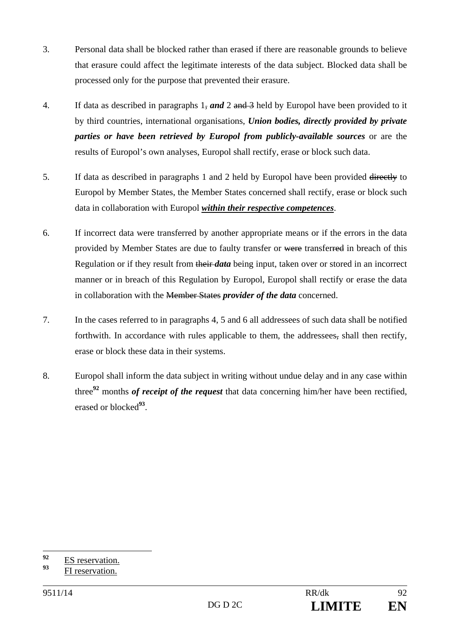- 3. Personal data shall be blocked rather than erased if there are reasonable grounds to believe that erasure could affect the legitimate interests of the data subject. Blocked data shall be processed only for the purpose that prevented their erasure.
- 4. If data as described in paragraphs 1, *and* 2 and 3 held by Europol have been provided to it by third countries, international organisations, *Union bodies, directly provided by private parties or have been retrieved by Europol from publicly-available sources* or are the results of Europol's own analyses, Europol shall rectify, erase or block such data.
- 5. If data as described in paragraphs 1 and 2 held by Europol have been provided directly to Europol by Member States, the Member States concerned shall rectify, erase or block such data in collaboration with Europol *within their respective competences*.
- 6. If incorrect data were transferred by another appropriate means or if the errors in the data provided by Member States are due to faulty transfer or were transferred in breach of this Regulation or if they result from their *data* being input, taken over or stored in an incorrect manner or in breach of this Regulation by Europol, Europol shall rectify or erase the data in collaboration with the Member States *provider of the data* concerned.
- 7. In the cases referred to in paragraphs 4, 5 and 6 all addressees of such data shall be notified forthwith. In accordance with rules applicable to them, the addressees, shall then rectify, erase or block these data in their systems.
- 8. Europol shall inform the data subject in writing without undue delay and in any case within three**<sup>92</sup>** months *of receipt of the request* that data concerning him/her have been rectified, erased or blocked**<sup>93</sup>**.

 $92$  $\frac{92}{93}$  ES reservation.

**<sup>93</sup>** FI reservation.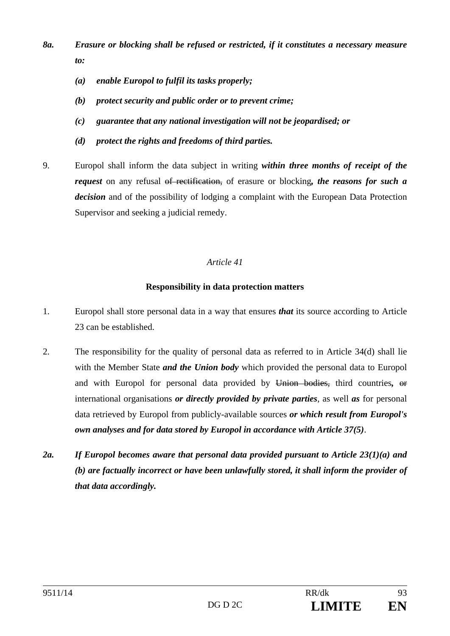- *8a. Erasure or blocking shall be refused or restricted, if it constitutes a necessary measure to:* 
	- *(a) enable Europol to fulfil its tasks properly;*
	- *(b) protect security and public order or to prevent crime;*
	- *(c) guarantee that any national investigation will not be jeopardised; or*
	- *(d) protect the rights and freedoms of third parties.*
- 9. Europol shall inform the data subject in writing *within three months of receipt of the request* on any refusal of rectification, of erasure or blocking, the reasons for such a *decision* and of the possibility of lodging a complaint with the European Data Protection Supervisor and seeking a judicial remedy.

# **Responsibility in data protection matters**

- 1. Europol shall store personal data in a way that ensures *that* its source according to Article 23 can be established.
- 2. The responsibility for the quality of personal data as referred to in Article 34(d) shall lie with the Member State *and the Union body* which provided the personal data to Europol and with Europol for personal data provided by Union bodies, third countries*,* or international organisations *or directly provided by private parties*, as well *as* for personal data retrieved by Europol from publicly-available sources *or which result from Europol's own analyses and for data stored by Europol in accordance with Article 37(5)*.
- *2a. If Europol becomes aware that personal data provided pursuant to Article 23(1)(a) and (b) are factually incorrect or have been unlawfully stored, it shall inform the provider of that data accordingly.*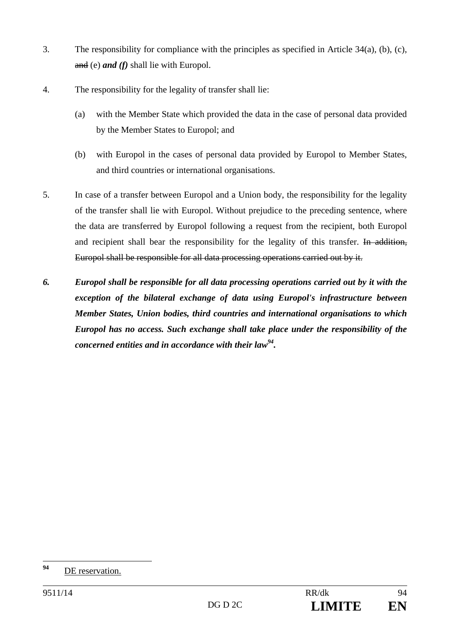- 3. The responsibility for compliance with the principles as specified in Article 34(a), (b), (c), and (e) *and (f)* shall lie with Europol.
- 4. The responsibility for the legality of transfer shall lie:
	- (a) with the Member State which provided the data in the case of personal data provided by the Member States to Europol; and
	- (b) with Europol in the cases of personal data provided by Europol to Member States, and third countries or international organisations.
- 5. In case of a transfer between Europol and a Union body, the responsibility for the legality of the transfer shall lie with Europol. Without prejudice to the preceding sentence, where the data are transferred by Europol following a request from the recipient, both Europol and recipient shall bear the responsibility for the legality of this transfer. In addition, Europol shall be responsible for all data processing operations carried out by it.
- *6. Europol shall be responsible for all data processing operations carried out by it with the exception of the bilateral exchange of data using Europol's infrastructure between Member States, Union bodies, third countries and international organisations to which Europol has no access. Such exchange shall take place under the responsibility of the concerned entities and in accordance with their law94.*

 $94$ **<sup>94</sup>** DE reservation.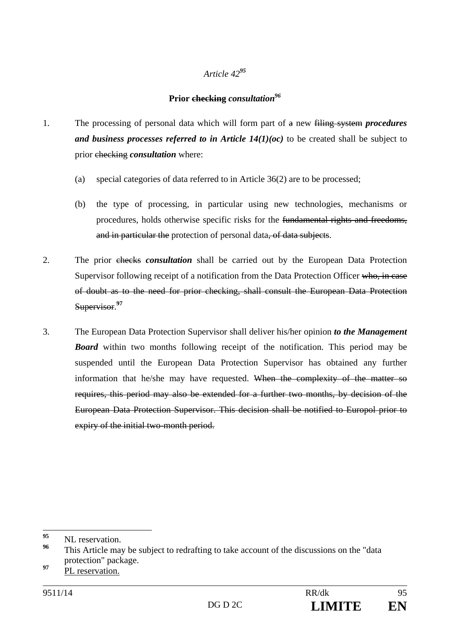# **Prior checking** *consultation96*

- 1. The processing of personal data which will form part of a new filing system *procedures and business processes referred to in Article*  $14(1)(oc)$  *to be created shall be subject to* prior checking *consultation* where:
	- (a) special categories of data referred to in Article 36(2) are to be processed;
	- (b) the type of processing, in particular using new technologies, mechanisms or procedures, holds otherwise specific risks for the fundamental rights and freedoms, and in particular the protection of personal data, of data subjects.
- 2. The prior checks *consultation* shall be carried out by the European Data Protection Supervisor following receipt of a notification from the Data Protection Officer who, in case of doubt as to the need for prior checking, shall consult the European Data Protection Supervisor.**<sup>97</sup>**
- 3. The European Data Protection Supervisor shall deliver his/her opinion *to the Management Board* within two months following receipt of the notification. This period may be suspended until the European Data Protection Supervisor has obtained any further information that he/she may have requested. When the complexity of the matter so requires, this period may also be extended for a further two months, by decision of the European Data Protection Supervisor. This decision shall be notified to Europol prior to expiry of the initial two-month period.

<sup>95</sup> <sup>95</sup> NL reservation.

This Article may be subject to redrafting to take account of the discussions on the "data" protection" package.

**<sup>97</sup>** PL reservation.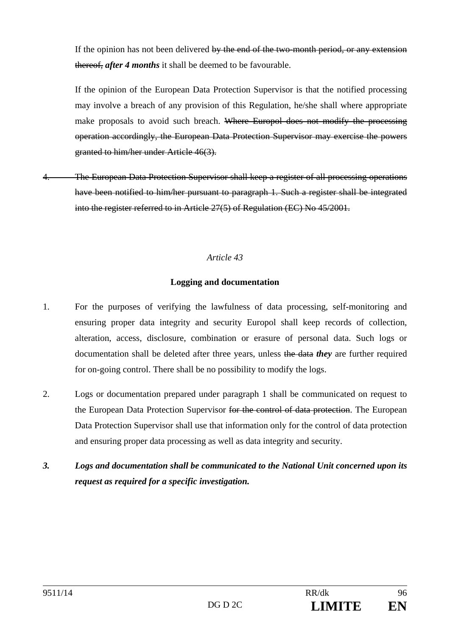If the opinion has not been delivered by the end of the two-month period, or any extension thereof, *after 4 months* it shall be deemed to be favourable.

If the opinion of the European Data Protection Supervisor is that the notified processing may involve a breach of any provision of this Regulation, he/she shall where appropriate make proposals to avoid such breach. Where Europol does not modify the processing operation accordingly, the European Data Protection Supervisor may exercise the powers granted to him/her under Article 46(3).

The European Data Protection Supervisor shall keep a register of all processing operations have been notified to him/her pursuant to paragraph 1. Such a register shall be integrated into the register referred to in Article 27(5) of Regulation (EC) No 45/2001.

# *Article 43*

### **Logging and documentation**

- 1. For the purposes of verifying the lawfulness of data processing, self-monitoring and ensuring proper data integrity and security Europol shall keep records of collection, alteration, access, disclosure, combination or erasure of personal data. Such logs or documentation shall be deleted after three years, unless the data *they* are further required for on-going control. There shall be no possibility to modify the logs.
- 2. Logs or documentation prepared under paragraph 1 shall be communicated on request to the European Data Protection Supervisor for the control of data protection. The European Data Protection Supervisor shall use that information only for the control of data protection and ensuring proper data processing as well as data integrity and security.
- *3. Logs and documentation shall be communicated to the National Unit concerned upon its request as required for a specific investigation.*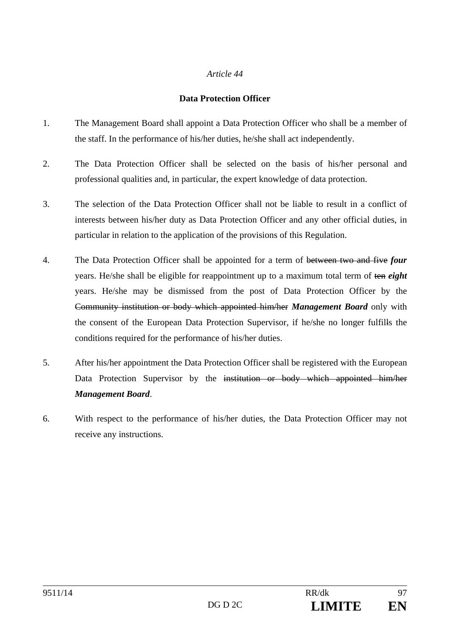#### **Data Protection Officer**

- 1. The Management Board shall appoint a Data Protection Officer who shall be a member of the staff. In the performance of his/her duties, he/she shall act independently.
- 2. The Data Protection Officer shall be selected on the basis of his/her personal and professional qualities and, in particular, the expert knowledge of data protection.
- 3. The selection of the Data Protection Officer shall not be liable to result in a conflict of interests between his/her duty as Data Protection Officer and any other official duties, in particular in relation to the application of the provisions of this Regulation.
- 4. The Data Protection Officer shall be appointed for a term of between two and five *four* years. He/she shall be eligible for reappointment up to a maximum total term of ten *eight* years. He/she may be dismissed from the post of Data Protection Officer by the Community institution or body which appointed him/her *Management Board* only with the consent of the European Data Protection Supervisor, if he/she no longer fulfills the conditions required for the performance of his/her duties.
- 5. After his/her appointment the Data Protection Officer shall be registered with the European Data Protection Supervisor by the institution or body which appointed him/her *Management Board*.
- 6. With respect to the performance of his/her duties, the Data Protection Officer may not receive any instructions.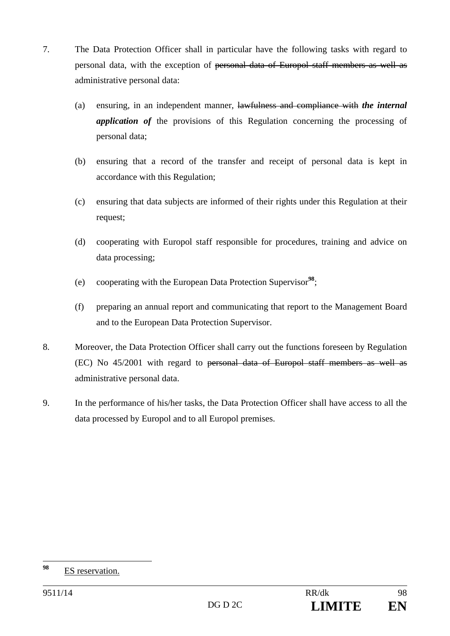- 7. The Data Protection Officer shall in particular have the following tasks with regard to personal data, with the exception of personal data of Europol staff members as well as administrative personal data:
	- (a) ensuring, in an independent manner, lawfulness and compliance with *the internal application of* the provisions of this Regulation concerning the processing of personal data;
	- (b) ensuring that a record of the transfer and receipt of personal data is kept in accordance with this Regulation;
	- (c) ensuring that data subjects are informed of their rights under this Regulation at their request;
	- (d) cooperating with Europol staff responsible for procedures, training and advice on data processing;
	- (e) cooperating with the European Data Protection Supervisor**<sup>98</sup>**;
	- (f) preparing an annual report and communicating that report to the Management Board and to the European Data Protection Supervisor.
- 8. Moreover, the Data Protection Officer shall carry out the functions foreseen by Regulation (EC) No 45/2001 with regard to personal data of Europol staff members as well as administrative personal data.
- 9. In the performance of his/her tasks, the Data Protection Officer shall have access to all the data processed by Europol and to all Europol premises.

<sup>98</sup> **<sup>98</sup>** ES reservation.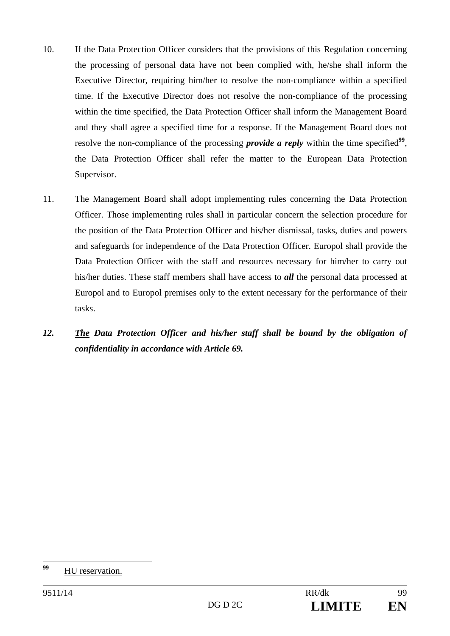- 10. If the Data Protection Officer considers that the provisions of this Regulation concerning the processing of personal data have not been complied with, he/she shall inform the Executive Director, requiring him/her to resolve the non-compliance within a specified time. If the Executive Director does not resolve the non-compliance of the processing within the time specified, the Data Protection Officer shall inform the Management Board and they shall agree a specified time for a response. If the Management Board does not resolve the non-compliance of the processing *provide a reply* within the time specified<sup>99</sup>, the Data Protection Officer shall refer the matter to the European Data Protection Supervisor.
- 11. The Management Board shall adopt implementing rules concerning the Data Protection Officer. Those implementing rules shall in particular concern the selection procedure for the position of the Data Protection Officer and his/her dismissal, tasks, duties and powers and safeguards for independence of the Data Protection Officer. Europol shall provide the Data Protection Officer with the staff and resources necessary for him/her to carry out his/her duties. These staff members shall have access to *all* the personal data processed at Europol and to Europol premises only to the extent necessary for the performance of their tasks.
- *12. The Data Protection Officer and his/her staff shall be bound by the obligation of confidentiality in accordance with Article 69.*

<sup>99</sup> **<sup>99</sup>** HU reservation.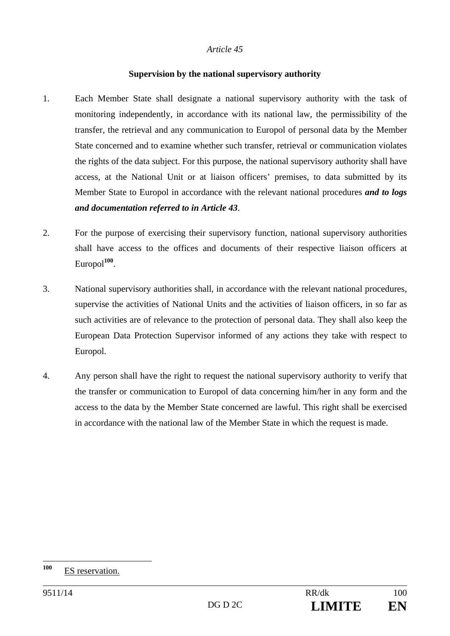#### **Supervision by the national supervisory authority**

- 1. Each Member State shall designate a national supervisory authority with the task of monitoring independently, in accordance with its national law, the permissibility of the transfer, the retrieval and any communication to Europol of personal data by the Member State concerned and to examine whether such transfer, retrieval or communication violates the rights of the data subject. For this purpose, the national supervisory authority shall have access, at the National Unit or at liaison officers' premises, to data submitted by its Member State to Europol in accordance with the relevant national procedures *and to logs and documentation referred to in Article 43*.
- 2. For the purpose of exercising their supervisory function, national supervisory authorities shall have access to the offices and documents of their respective liaison officers at Europol**<sup>100</sup>**.
- 3. National supervisory authorities shall, in accordance with the relevant national procedures, supervise the activities of National Units and the activities of liaison officers, in so far as such activities are of relevance to the protection of personal data. They shall also keep the European Data Protection Supervisor informed of any actions they take with respect to Europol.
- 4. Any person shall have the right to request the national supervisory authority to verify that the transfer or communication to Europol of data concerning him/her in any form and the access to the data by the Member State concerned are lawful. This right shall be exercised in accordance with the national law of the Member State in which the request is made.

<sup>100</sup> **ES** reservation.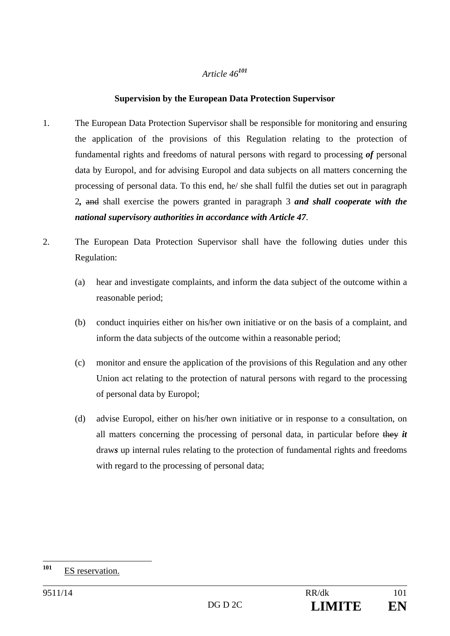## **Supervision by the European Data Protection Supervisor**

- 1. The European Data Protection Supervisor shall be responsible for monitoring and ensuring the application of the provisions of this Regulation relating to the protection of fundamental rights and freedoms of natural persons with regard to processing *of* personal data by Europol, and for advising Europol and data subjects on all matters concerning the processing of personal data. To this end, he/ she shall fulfil the duties set out in paragraph 2*,* and shall exercise the powers granted in paragraph 3 *and shall cooperate with the national supervisory authorities in accordance with Article 47*.
- 2. The European Data Protection Supervisor shall have the following duties under this Regulation:
	- (a) hear and investigate complaints, and inform the data subject of the outcome within a reasonable period;
	- (b) conduct inquiries either on his/her own initiative or on the basis of a complaint, and inform the data subjects of the outcome within a reasonable period;
	- (c) monitor and ensure the application of the provisions of this Regulation and any other Union act relating to the protection of natural persons with regard to the processing of personal data by Europol;
	- (d) advise Europol, either on his/her own initiative or in response to a consultation, on all matters concerning the processing of personal data, in particular before they *it* draw*s* up internal rules relating to the protection of fundamental rights and freedoms with regard to the processing of personal data;

 $101$ **ES** reservation.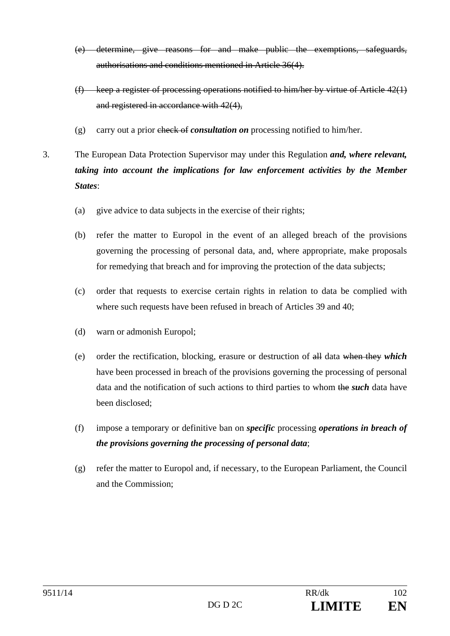- (e) determine, give reasons for and make public the exemptions, safeguards, authorisations and conditions mentioned in Article 36(4).
- (f) keep a register of processing operations notified to him/her by virtue of Article 42(1) and registered in accordance with 42(4),
- (g) carry out a prior check of *consultation on* processing notified to him/her.
- 3. The European Data Protection Supervisor may under this Regulation *and, where relevant, taking into account the implications for law enforcement activities by the Member States*:
	- (a) give advice to data subjects in the exercise of their rights;
	- (b) refer the matter to Europol in the event of an alleged breach of the provisions governing the processing of personal data, and, where appropriate, make proposals for remedying that breach and for improving the protection of the data subjects;
	- (c) order that requests to exercise certain rights in relation to data be complied with where such requests have been refused in breach of Articles 39 and 40;
	- (d) warn or admonish Europol;
	- (e) order the rectification, blocking, erasure or destruction of all data when they *which* have been processed in breach of the provisions governing the processing of personal data and the notification of such actions to third parties to whom the *such* data have been disclosed;
	- (f) impose a temporary or definitive ban on *specific* processing *operations in breach of the provisions governing the processing of personal data*;
	- (g) refer the matter to Europol and, if necessary, to the European Parliament, the Council and the Commission;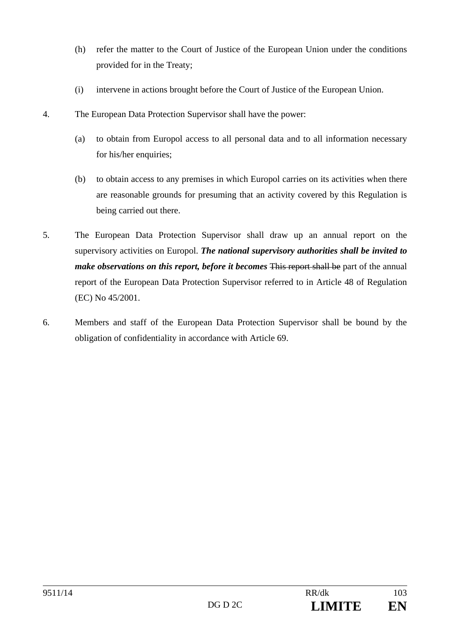- (h) refer the matter to the Court of Justice of the European Union under the conditions provided for in the Treaty;
- (i) intervene in actions brought before the Court of Justice of the European Union.
- 4. The European Data Protection Supervisor shall have the power:
	- (a) to obtain from Europol access to all personal data and to all information necessary for his/her enquiries;
	- (b) to obtain access to any premises in which Europol carries on its activities when there are reasonable grounds for presuming that an activity covered by this Regulation is being carried out there.
- 5. The European Data Protection Supervisor shall draw up an annual report on the supervisory activities on Europol. *The national supervisory authorities shall be invited to make observations on this report, before it becomes* This report shall be part of the annual report of the European Data Protection Supervisor referred to in Article 48 of Regulation (EC) No 45/2001.
- 6. Members and staff of the European Data Protection Supervisor shall be bound by the obligation of confidentiality in accordance with Article 69.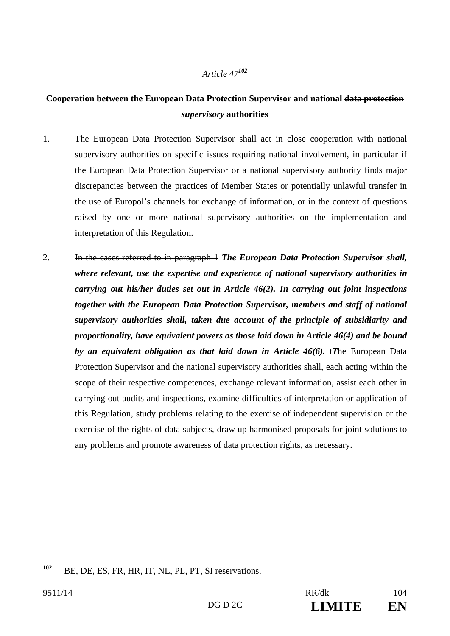# **Cooperation between the European Data Protection Supervisor and national data protection**  *supervisory* **authorities**

- 1. The European Data Protection Supervisor shall act in close cooperation with national supervisory authorities on specific issues requiring national involvement, in particular if the European Data Protection Supervisor or a national supervisory authority finds major discrepancies between the practices of Member States or potentially unlawful transfer in the use of Europol's channels for exchange of information, or in the context of questions raised by one or more national supervisory authorities on the implementation and interpretation of this Regulation.
- 2. In the cases referred to in paragraph 1 *The European Data Protection Supervisor shall, where relevant, use the expertise and experience of national supervisory authorities in carrying out his/her duties set out in Article 46(2). In carrying out joint inspections together with the European Data Protection Supervisor, members and staff of national supervisory authorities shall, taken due account of the principle of subsidiarity and proportionality, have equivalent powers as those laid down in Article 46(4) and be bound by an equivalent obligation as that laid down in Article 46(6).* t*T*he European Data Protection Supervisor and the national supervisory authorities shall, each acting within the scope of their respective competences, exchange relevant information, assist each other in carrying out audits and inspections, examine difficulties of interpretation or application of this Regulation, study problems relating to the exercise of independent supervision or the exercise of the rights of data subjects, draw up harmonised proposals for joint solutions to any problems and promote awareness of data protection rights, as necessary.

 $102$ **<sup>102</sup>** BE, DE, ES, FR, HR, IT, NL, PL, PT, SI reservations.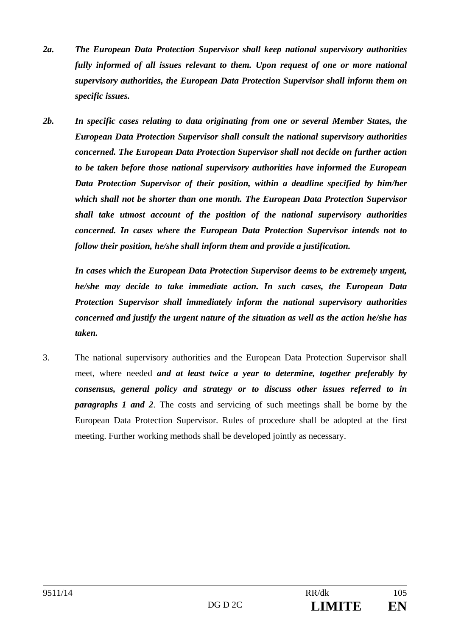- *2a. The European Data Protection Supervisor shall keep national supervisory authorities fully informed of all issues relevant to them. Upon request of one or more national supervisory authorities, the European Data Protection Supervisor shall inform them on specific issues.*
- *2b. In specific cases relating to data originating from one or several Member States, the European Data Protection Supervisor shall consult the national supervisory authorities concerned. The European Data Protection Supervisor shall not decide on further action to be taken before those national supervisory authorities have informed the European Data Protection Supervisor of their position, within a deadline specified by him/her which shall not be shorter than one month. The European Data Protection Supervisor shall take utmost account of the position of the national supervisory authorities concerned. In cases where the European Data Protection Supervisor intends not to follow their position, he/she shall inform them and provide a justification.*

 *In cases which the European Data Protection Supervisor deems to be extremely urgent, he/she may decide to take immediate action. In such cases, the European Data Protection Supervisor shall immediately inform the national supervisory authorities concerned and justify the urgent nature of the situation as well as the action he/she has taken.* 

3. The national supervisory authorities and the European Data Protection Supervisor shall meet, where needed *and at least twice a year to determine, together preferably by consensus, general policy and strategy or to discuss other issues referred to in paragraphs 1 and 2*. The costs and servicing of such meetings shall be borne by the European Data Protection Supervisor. Rules of procedure shall be adopted at the first meeting. Further working methods shall be developed jointly as necessary.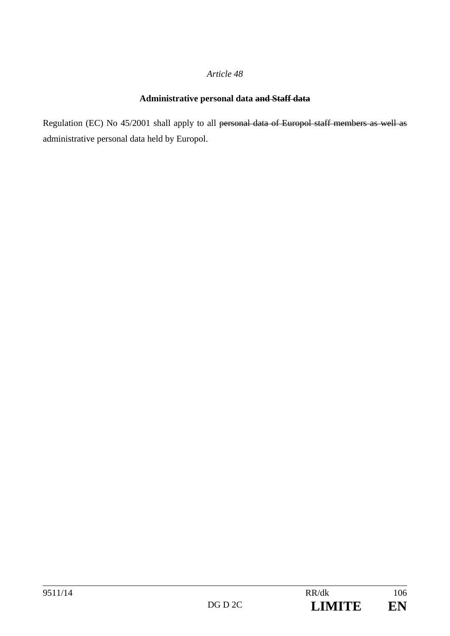# **Administrative personal data and Staff data**

Regulation (EC) No 45/2001 shall apply to all personal data of Europol staff members as well as administrative personal data held by Europol.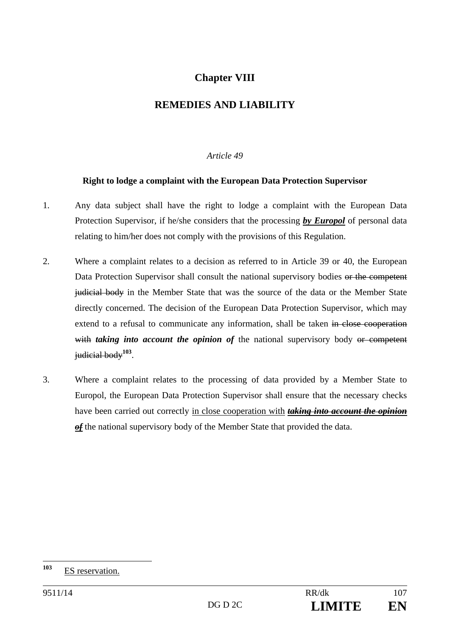# **Chapter VIII**

# **REMEDIES AND LIABILITY**

### *Article 49*

### **Right to lodge a complaint with the European Data Protection Supervisor**

- 1. Any data subject shall have the right to lodge a complaint with the European Data Protection Supervisor, if he/she considers that the processing *by Europol* of personal data relating to him/her does not comply with the provisions of this Regulation.
- 2. Where a complaint relates to a decision as referred to in Article 39 or 40, the European Data Protection Supervisor shall consult the national supervisory bodies or the competent judicial body in the Member State that was the source of the data or the Member State directly concerned. The decision of the European Data Protection Supervisor, which may extend to a refusal to communicate any information, shall be taken in close cooperation with *taking into account the opinion of* the national supervisory body or competent judicial body**<sup>103</sup>**.
- 3. Where a complaint relates to the processing of data provided by a Member State to Europol, the European Data Protection Supervisor shall ensure that the necessary checks have been carried out correctly in close cooperation with *taking into account the opinion of* the national supervisory body of the Member State that provided the data.

<sup>103</sup> **<sup>103</sup>** ES reservation.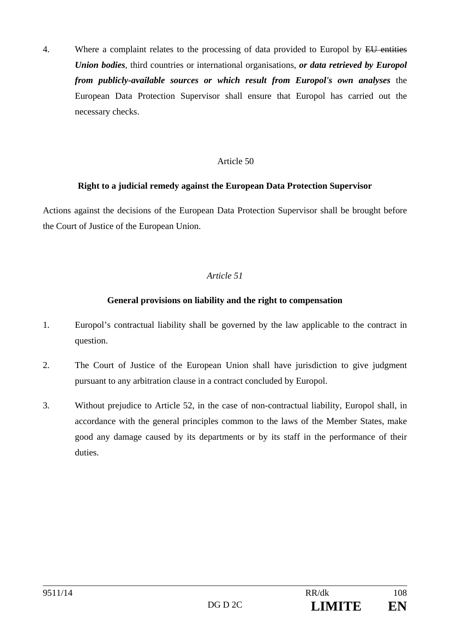4. Where a complaint relates to the processing of data provided to Europol by EU entities *Union bodies*, third countries or international organisations, *or data retrieved by Europol from publicly-available sources or which result from Europol's own analyses* the European Data Protection Supervisor shall ensure that Europol has carried out the necessary checks.

#### Article 50

#### **Right to a judicial remedy against the European Data Protection Supervisor**

Actions against the decisions of the European Data Protection Supervisor shall be brought before the Court of Justice of the European Union.

### *Article 51*

#### **General provisions on liability and the right to compensation**

- 1. Europol's contractual liability shall be governed by the law applicable to the contract in question.
- 2. The Court of Justice of the European Union shall have jurisdiction to give judgment pursuant to any arbitration clause in a contract concluded by Europol.
- 3. Without prejudice to Article 52, in the case of non-contractual liability, Europol shall, in accordance with the general principles common to the laws of the Member States, make good any damage caused by its departments or by its staff in the performance of their duties.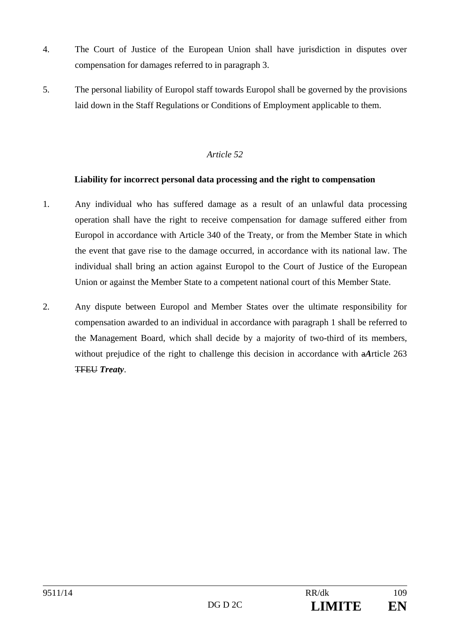- 4. The Court of Justice of the European Union shall have jurisdiction in disputes over compensation for damages referred to in paragraph 3.
- 5. The personal liability of Europol staff towards Europol shall be governed by the provisions laid down in the Staff Regulations or Conditions of Employment applicable to them.

# **Liability for incorrect personal data processing and the right to compensation**

- 1. Any individual who has suffered damage as a result of an unlawful data processing operation shall have the right to receive compensation for damage suffered either from Europol in accordance with Article 340 of the Treaty, or from the Member State in which the event that gave rise to the damage occurred, in accordance with its national law. The individual shall bring an action against Europol to the Court of Justice of the European Union or against the Member State to a competent national court of this Member State.
- 2. Any dispute between Europol and Member States over the ultimate responsibility for compensation awarded to an individual in accordance with paragraph 1 shall be referred to the Management Board, which shall decide by a majority of two-third of its members, without prejudice of the right to challenge this decision in accordance with a*A*rticle 263 TFEU *Treaty*.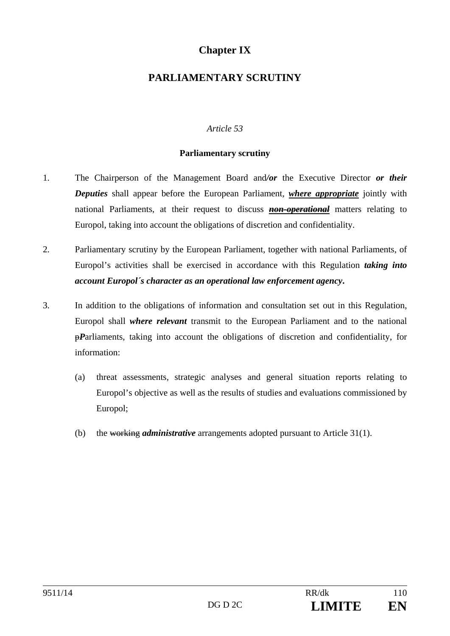# **Chapter IX**

# **PARLIAMENTARY SCRUTINY**

## *Article 53*

#### **Parliamentary scrutiny**

- 1. The Chairperson of the Management Board and*/or* the Executive Director *or their Deputies* shall appear before the European Parliament, *where appropriate* jointly with national Parliaments, at their request to discuss *non-operational* matters relating to Europol, taking into account the obligations of discretion and confidentiality.
- 2. Parliamentary scrutiny by the European Parliament, together with national Parliaments, of Europol's activities shall be exercised in accordance with this Regulation *taking into account Europol´s character as an operational law enforcement agency***.**
- 3. In addition to the obligations of information and consultation set out in this Regulation, Europol shall *where relevant* transmit to the European Parliament and to the national p*P*arliaments, taking into account the obligations of discretion and confidentiality, for information:
	- (a) threat assessments, strategic analyses and general situation reports relating to Europol's objective as well as the results of studies and evaluations commissioned by Europol;
	- (b) the working *administrative* arrangements adopted pursuant to Article 31(1).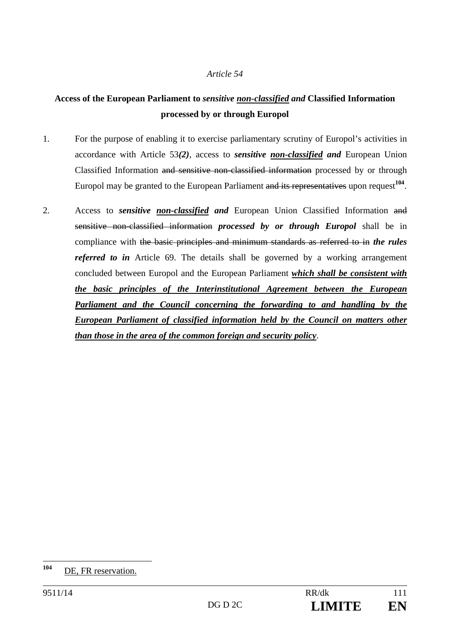# **Access of the European Parliament to** *sensitive non-classified and* **Classified Information processed by or through Europol**

- 1. For the purpose of enabling it to exercise parliamentary scrutiny of Europol's activities in accordance with Article 53*(2)*, access to *sensitive non-classified and* European Union Classified Information and sensitive non-classified information processed by or through Europol may be granted to the European Parliament and its representatives upon request<sup>104</sup>.
- 2. Access to *sensitive non-classified and* European Union Classified Information and sensitive non-classified information *processed by or through Europol* shall be in compliance with the basic principles and minimum standards as referred to in *the rules referred to in* Article 69. The details shall be governed by a working arrangement concluded between Europol and the European Parliament *which shall be consistent with the basic principles of the Interinstitutional Agreement between the European Parliament and the Council concerning the forwarding to and handling by the European Parliament of classified information held by the Council on matters other than those in the area of the common foreign and security policy*.

 $104$ **<sup>104</sup>** DE, FR reservation.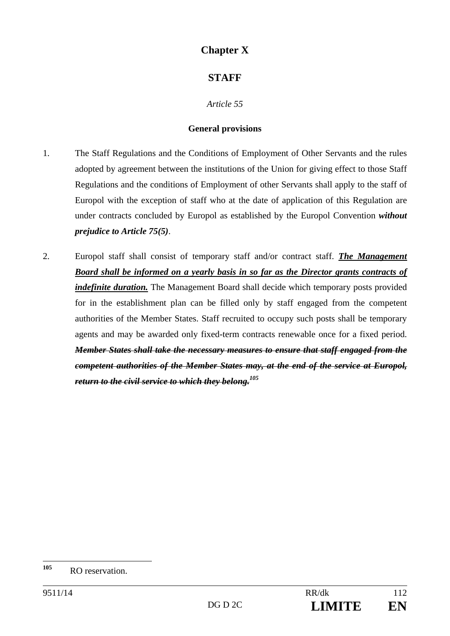# **Chapter X**

# **STAFF**

*Article 55* 

### **General provisions**

- 1. The Staff Regulations and the Conditions of Employment of Other Servants and the rules adopted by agreement between the institutions of the Union for giving effect to those Staff Regulations and the conditions of Employment of other Servants shall apply to the staff of Europol with the exception of staff who at the date of application of this Regulation are under contracts concluded by Europol as established by the Europol Convention *without prejudice to Article 75(5)*.
- 2. Europol staff shall consist of temporary staff and/or contract staff. *The Management Board shall be informed on a yearly basis in so far as the Director grants contracts of indefinite duration*. The Management Board shall decide which temporary posts provided for in the establishment plan can be filled only by staff engaged from the competent authorities of the Member States. Staff recruited to occupy such posts shall be temporary agents and may be awarded only fixed-term contracts renewable once for a fixed period. *Member States shall take the necessary measures to ensure that staff engaged from the competent authorities of the Member States may, at the end of the service at Europol, return to the civil service to which they belong.105*

<sup>105</sup> **RO** reservation.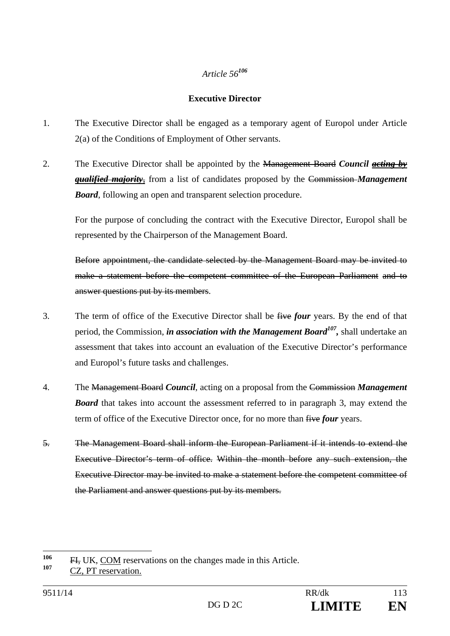## **Executive Director**

- 1. The Executive Director shall be engaged as a temporary agent of Europol under Article 2(a) of the Conditions of Employment of Other servants.
- 2. The Executive Director shall be appointed by the Management Board *Council acting by qualified majority*, from a list of candidates proposed by the Commission *Management Board*, following an open and transparent selection procedure.

For the purpose of concluding the contract with the Executive Director, Europol shall be represented by the Chairperson of the Management Board.

Before appointment, the candidate selected by the Management Board may be invited to make a statement before the competent committee of the European Parliament and to answer questions put by its members.

- 3. The term of office of the Executive Director shall be five *four* years. By the end of that period, the Commission, *in association with the Management Board107,* shall undertake an assessment that takes into account an evaluation of the Executive Director's performance and Europol's future tasks and challenges.
- 4. The Management Board *Council*, acting on a proposal from the Commission *Management Board* that takes into account the assessment referred to in paragraph 3, may extend the term of office of the Executive Director once, for no more than five *four* years.
- 5. The Management Board shall inform the European Parliament if it intends to extend the Executive Director's term of office. Within the month before any such extension, the Executive Director may be invited to make a statement before the competent committee of the Parliament and answer questions put by its members.

<sup>106</sup> <sup>106</sup> FI, UK, COM reservations on the changes made in this Article.

CZ, PT reservation.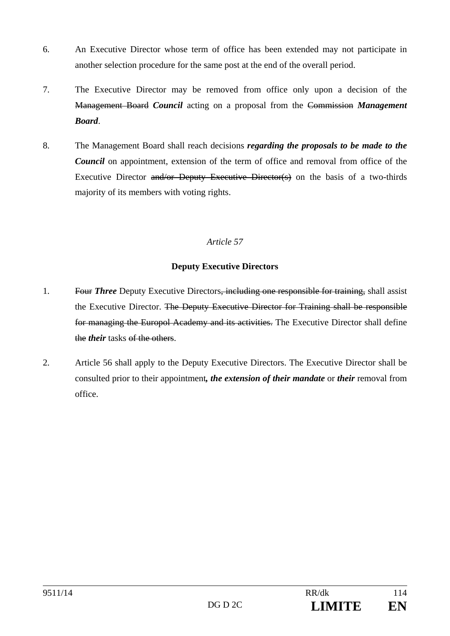- 6. An Executive Director whose term of office has been extended may not participate in another selection procedure for the same post at the end of the overall period.
- 7. The Executive Director may be removed from office only upon a decision of the Management Board *Council* acting on a proposal from the Commission *Management Board*.
- 8. The Management Board shall reach decisions *regarding the proposals to be made to the Council* on appointment, extension of the term of office and removal from office of the Executive Director and/or Deputy Executive Director(s) on the basis of a two-thirds majority of its members with voting rights.

# **Deputy Executive Directors**

- 1. Four *Three* Deputy Executive Directors, including one responsible for training, shall assist the Executive Director. The Deputy Executive Director for Training shall be responsible for managing the Europol Academy and its activities. The Executive Director shall define the *their* tasks of the others.
- 2. Article 56 shall apply to the Deputy Executive Directors. The Executive Director shall be consulted prior to their appointment*, the extension of their mandate* or *their* removal from office.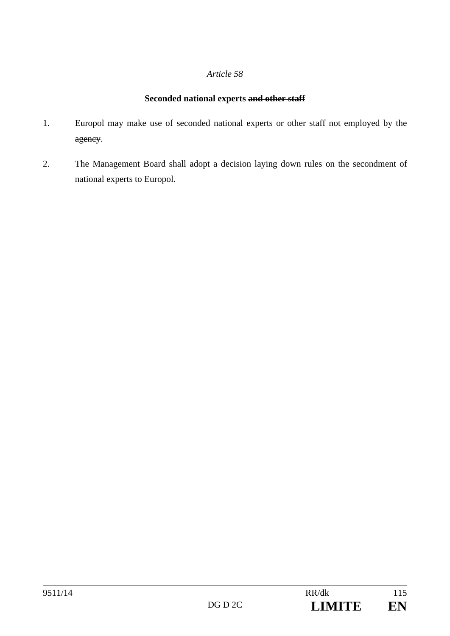# **Seconded national experts and other staff**

- 1. Europol may make use of seconded national experts or other staff not employed by the agency.
- 2. The Management Board shall adopt a decision laying down rules on the secondment of national experts to Europol.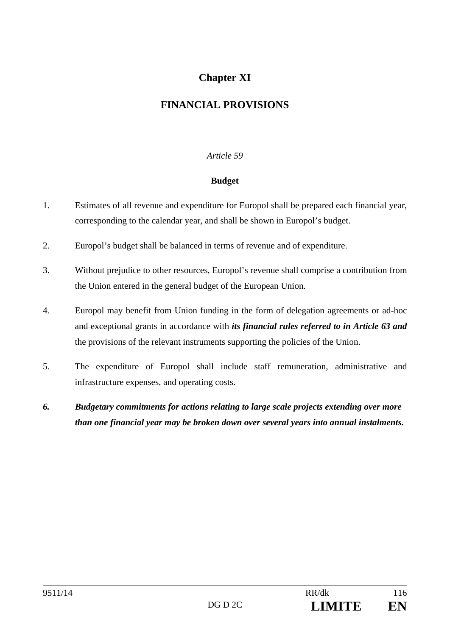# **Chapter XI**

# **FINANCIAL PROVISIONS**

### *Article 59*

### **Budget**

- 1. Estimates of all revenue and expenditure for Europol shall be prepared each financial year, corresponding to the calendar year, and shall be shown in Europol's budget.
- 2. Europol's budget shall be balanced in terms of revenue and of expenditure.
- 3. Without prejudice to other resources, Europol's revenue shall comprise a contribution from the Union entered in the general budget of the European Union.
- 4. Europol may benefit from Union funding in the form of delegation agreements or ad-hoc and exceptional grants in accordance with *its financial rules referred to in Article 63 and* the provisions of the relevant instruments supporting the policies of the Union.
- 5. The expenditure of Europol shall include staff remuneration, administrative and infrastructure expenses, and operating costs.
- *6. Budgetary commitments for actions relating to large scale projects extending over more than one financial year may be broken down over several years into annual instalments.*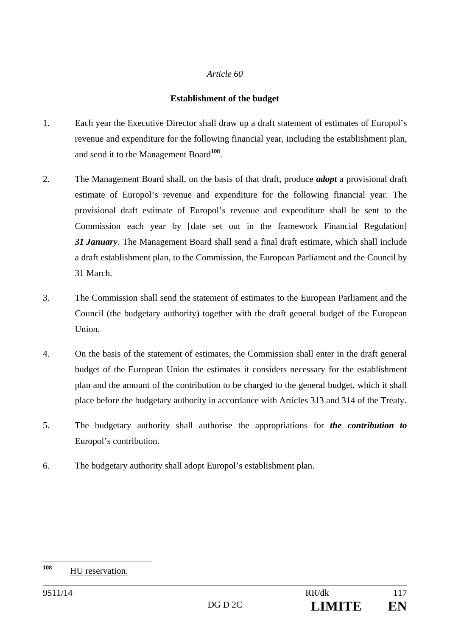#### **Establishment of the budget**

- 1. Each year the Executive Director shall draw up a draft statement of estimates of Europol's revenue and expenditure for the following financial year, including the establishment plan, and send it to the Management Board**<sup>108</sup>**.
- 2. The Management Board shall, on the basis of that draft, produce *adopt* a provisional draft estimate of Europol's revenue and expenditure for the following financial year. The provisional draft estimate of Europol's revenue and expenditure shall be sent to the Commission each year by <del>[date set out in the framework Financial Regulation]</del> *31 January*. The Management Board shall send a final draft estimate, which shall include a draft establishment plan, to the Commission, the European Parliament and the Council by 31 March.
- 3. The Commission shall send the statement of estimates to the European Parliament and the Council (the budgetary authority) together with the draft general budget of the European Union.
- 4. On the basis of the statement of estimates, the Commission shall enter in the draft general budget of the European Union the estimates it considers necessary for the establishment plan and the amount of the contribution to be charged to the general budget, which it shall place before the budgetary authority in accordance with Articles 313 and 314 of the Treaty.
- 5. The budgetary authority shall authorise the appropriations for *the contribution to* Europol's contribution.
- 6. The budgetary authority shall adopt Europol's establishment plan.

<sup>108</sup> **HU** reservation.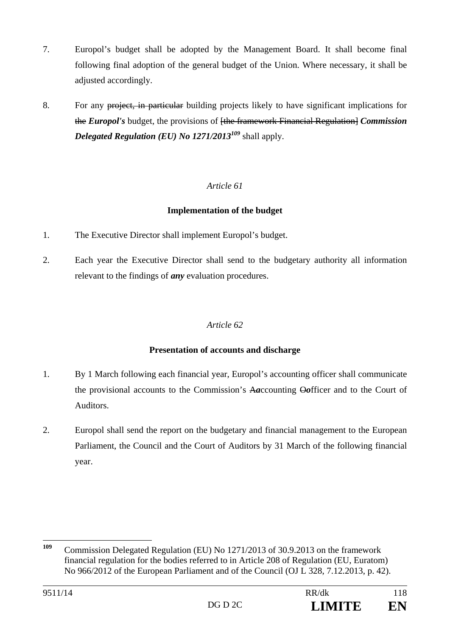- 7. Europol's budget shall be adopted by the Management Board. It shall become final following final adoption of the general budget of the Union. Where necessary, it shall be adjusted accordingly.
- 8. For any project, in particular building projects likely to have significant implications for the *Europol's* budget, the provisions of [the framework Financial Regulation] *Commission Delegated Regulation (EU) No 1271/2013<sup>109</sup>* shall apply.

# **Implementation of the budget**

- 1. The Executive Director shall implement Europol's budget.
- 2. Each year the Executive Director shall send to the budgetary authority all information relevant to the findings of *any* evaluation procedures.

## *Article 62*

## **Presentation of accounts and discharge**

- 1. By 1 March following each financial year, Europol's accounting officer shall communicate the provisional accounts to the Commission's A*a*ccounting O*o*fficer and to the Court of Auditors.
- 2. Europol shall send the report on the budgetary and financial management to the European Parliament, the Council and the Court of Auditors by 31 March of the following financial year.

<sup>109</sup> **<sup>109</sup>** Commission Delegated Regulation (EU) No 1271/2013 of 30.9.2013 on the framework financial regulation for the bodies referred to in Article 208 of Regulation (EU, Euratom) No 966/2012 of the European Parliament and of the Council (OJ L 328, 7.12.2013, p. 42).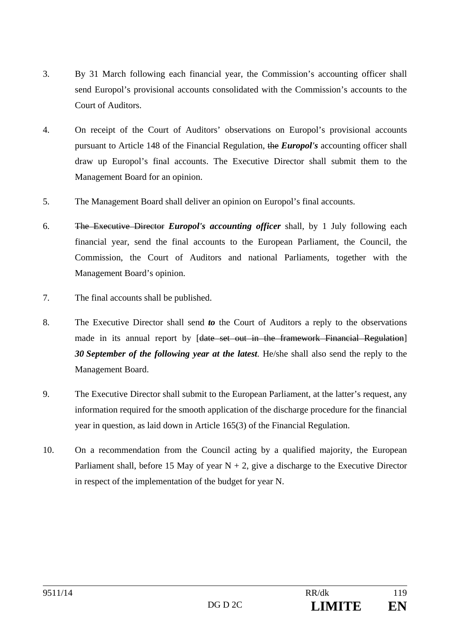- 3. By 31 March following each financial year, the Commission's accounting officer shall send Europol's provisional accounts consolidated with the Commission's accounts to the Court of Auditors.
- 4. On receipt of the Court of Auditors' observations on Europol's provisional accounts pursuant to Article 148 of the Financial Regulation, the *Europol's* accounting officer shall draw up Europol's final accounts. The Executive Director shall submit them to the Management Board for an opinion.
- 5. The Management Board shall deliver an opinion on Europol's final accounts.
- 6. The Executive Director *Europol's accounting officer* shall, by 1 July following each financial year, send the final accounts to the European Parliament, the Council, the Commission, the Court of Auditors and national Parliaments, together with the Management Board's opinion.
- 7. The final accounts shall be published.
- 8. The Executive Director shall send *to* the Court of Auditors a reply to the observations made in its annual report by [date set out in the framework Financial Regulation] *30 September of the following year at the latest*. He/she shall also send the reply to the Management Board.
- 9. The Executive Director shall submit to the European Parliament, at the latter's request, any information required for the smooth application of the discharge procedure for the financial year in question, as laid down in Article 165(3) of the Financial Regulation.
- 10. On a recommendation from the Council acting by a qualified majority, the European Parliament shall, before 15 May of year  $N + 2$ , give a discharge to the Executive Director in respect of the implementation of the budget for year N.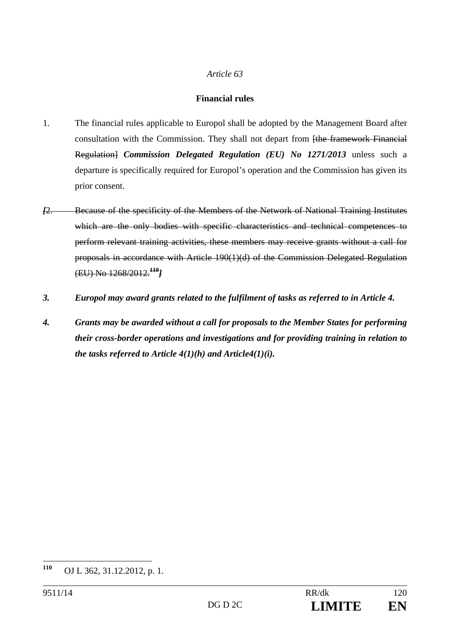### **Financial rules**

- 1. The financial rules applicable to Europol shall be adopted by the Management Board after consultation with the Commission. They shall not depart from [the framework Financial Regulation] *Commission Delegated Regulation (EU) No 1271/2013* unless such a departure is specifically required for Europol's operation and the Commission has given its prior consent.
- *[*2. Because of the specificity of the Members of the Network of National Training Institutes which are the only bodies with specific characteristics and technical competences to perform relevant training activities, these members may receive grants without a call for proposals in accordance with Article 190(1)(d) of the Commission Delegated Regulation (EU) No 1268/2012.**<sup>110</sup>***]*
- *3. Europol may award grants related to the fulfilment of tasks as referred to in Article 4.*
- *4. Grants may be awarded without a call for proposals to the Member States for performing their cross-border operations and investigations and for providing training in relation to the tasks referred to Article 4(1)(h) and Article4(1)(i).*

<sup>110</sup> **<sup>110</sup>** OJ L 362, 31.12.2012, p. 1.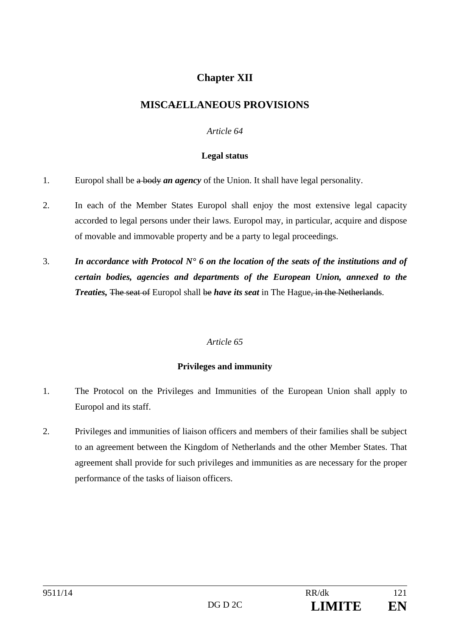# **Chapter XII**

# **MISCA***E***LLANEOUS PROVISIONS**

## *Article 64*

#### **Legal status**

- 1. Europol shall be a body *an agency* of the Union. It shall have legal personality.
- 2. In each of the Member States Europol shall enjoy the most extensive legal capacity accorded to legal persons under their laws. Europol may, in particular, acquire and dispose of movable and immovable property and be a party to legal proceedings.
- 3. *In accordance with Protocol N° 6 on the location of the seats of the institutions and of certain bodies, agencies and departments of the European Union, annexed to the Treaties, The seat of Europol shall be have its seat in The Hague, in the Netherlands.*

#### *Article 65*

## **Privileges and immunity**

- 1. The Protocol on the Privileges and Immunities of the European Union shall apply to Europol and its staff.
- 2. Privileges and immunities of liaison officers and members of their families shall be subject to an agreement between the Kingdom of Netherlands and the other Member States. That agreement shall provide for such privileges and immunities as are necessary for the proper performance of the tasks of liaison officers.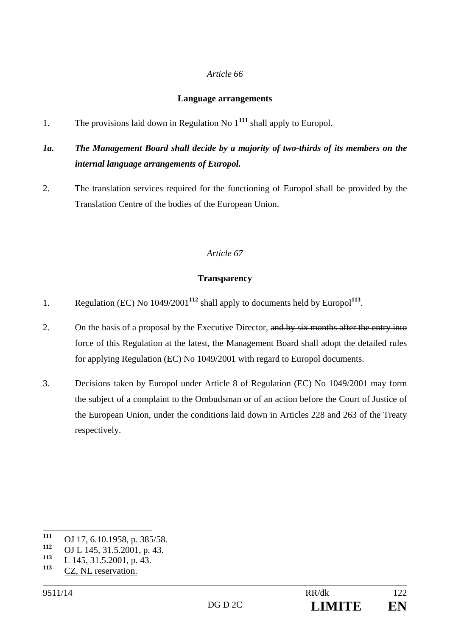#### **Language arrangements**

1. The provisions laid down in Regulation No 1**<sup>111</sup>** shall apply to Europol.

# *1a. The Management Board shall decide by a majority of two-thirds of its members on the internal language arrangements of Europol.*

2. The translation services required for the functioning of Europol shall be provided by the Translation Centre of the bodies of the European Union.

## *Article 67*

#### **Transparency**

- 1. Regulation (EC) No 1049/2001**<sup>112</sup>** shall apply to documents held by Europol**<sup>113</sup>**.
- 2. On the basis of a proposal by the Executive Director, and by six months after the entry into force of this Regulation at the latest, the Management Board shall adopt the detailed rules for applying Regulation (EC) No 1049/2001 with regard to Europol documents.
- 3. Decisions taken by Europol under Article 8 of Regulation (EC) No 1049/2001 may form the subject of a complaint to the Ombudsman or of an action before the Court of Justice of the European Union, under the conditions laid down in Articles 228 and 263 of the Treaty respectively.

<sup>111</sup> **111** OJ 17, 6.10.1958, p. 385/58.

<sup>&</sup>lt;sup>112</sup> OJ L 145, 31.5.2001, p. 43.

<sup>&</sup>lt;sup>113</sup> L 145, 31.5.2001, p. 43.

CZ, NL reservation.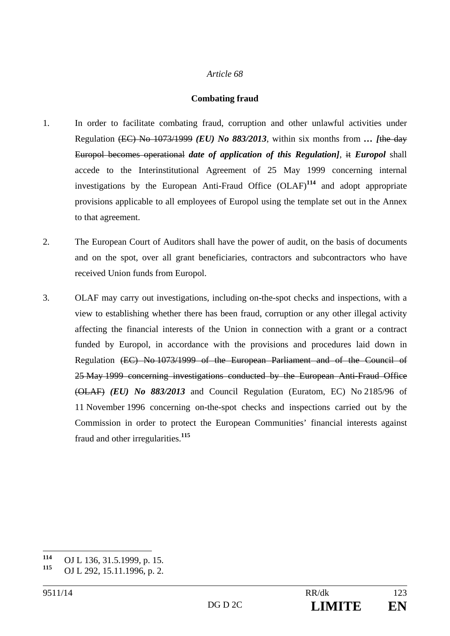#### **Combating fraud**

- 1. In order to facilitate combating fraud, corruption and other unlawful activities under Regulation (EC) No 1073/1999 *(EU) No 883/2013*, within six months from *… [*the day Europol becomes operational *date of application of this Regulation]*, it *Europol* shall accede to the Interinstitutional Agreement of 25 May 1999 concerning internal investigations by the European Anti-Fraud Office (OLAF)**<sup>114</sup>** and adopt appropriate provisions applicable to all employees of Europol using the template set out in the Annex to that agreement.
- 2. The European Court of Auditors shall have the power of audit, on the basis of documents and on the spot, over all grant beneficiaries, contractors and subcontractors who have received Union funds from Europol.
- 3. OLAF may carry out investigations, including on-the-spot checks and inspections, with a view to establishing whether there has been fraud, corruption or any other illegal activity affecting the financial interests of the Union in connection with a grant or a contract funded by Europol, in accordance with the provisions and procedures laid down in Regulation (EC) No 1073/1999 of the European Parliament and of the Council of 25 May 1999 concerning investigations conducted by the European Anti-Fraud Office (OLAF) *(EU) No 883/2013* and Council Regulation (Euratom, EC) No 2185/96 of 11 November 1996 concerning on-the-spot checks and inspections carried out by the Commission in order to protect the European Communities' financial interests against fraud and other irregularities.**<sup>115</sup>**

<sup>114</sup> **<sup>114</sup>** OJ L 136, 31.5.1999, p. 15.

**<sup>115</sup>** OJ L 292, 15.11.1996, p. 2.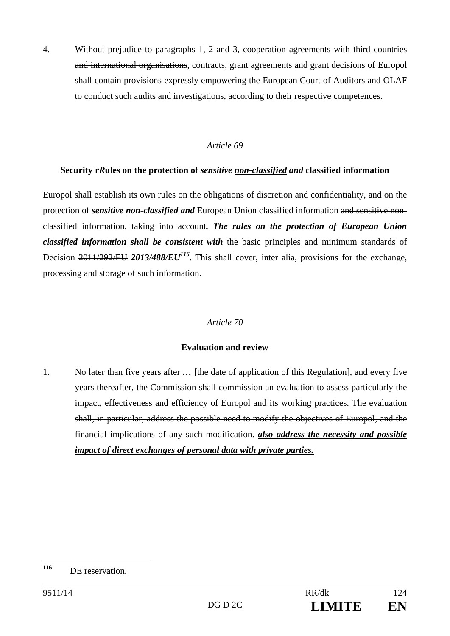4. Without prejudice to paragraphs 1, 2 and 3, cooperation agreements with third countries and international organisations, contracts, grant agreements and grant decisions of Europol shall contain provisions expressly empowering the European Court of Auditors and OLAF to conduct such audits and investigations, according to their respective competences.

#### *Article 69*

#### **Security r***R***ules on the protection of** *sensitive non-classified and* **classified information**

Europol shall establish its own rules on the obligations of discretion and confidentiality, and on the protection of *sensitive non-classified and* European Union classified information and sensitive nonclassified information, taking into account*. The rules on the protection of European Union classified information shall be consistent with* the basic principles and minimum standards of Decision 2011/292/EU 2013/488/EU<sup>116</sup>. This shall cover, inter alia, provisions for the exchange, processing and storage of such information.

#### *Article 70*

#### **Evaluation and review**

1. No later than five years after ... [the date of application of this Regulation], and every five years thereafter, the Commission shall commission an evaluation to assess particularly the impact, effectiveness and efficiency of Europol and its working practices. The evaluation shall, in particular, address the possible need to modify the objectives of Europol, and the financial implications of any such modification. *also address the necessity and possible impact of direct exchanges of personal data with private parties.* 

<sup>116</sup> DE reservation.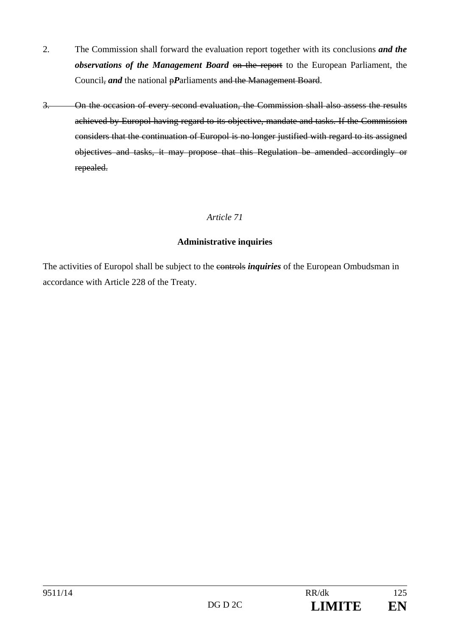- 2. The Commission shall forward the evaluation report together with its conclusions *and the observations of the Management Board* on the report to the European Parliament, the Council, *and* the national *pP*arliaments and the Management Board.
- 3. On the occasion of every second evaluation, the Commission shall also assess the results achieved by Europol having regard to its objective, mandate and tasks. If the Commission considers that the continuation of Europol is no longer justified with regard to its assigned objectives and tasks, it may propose that this Regulation be amended accordingly or repealed.

## **Administrative inquiries**

The activities of Europol shall be subject to the controls *inquiries* of the European Ombudsman in accordance with Article 228 of the Treaty.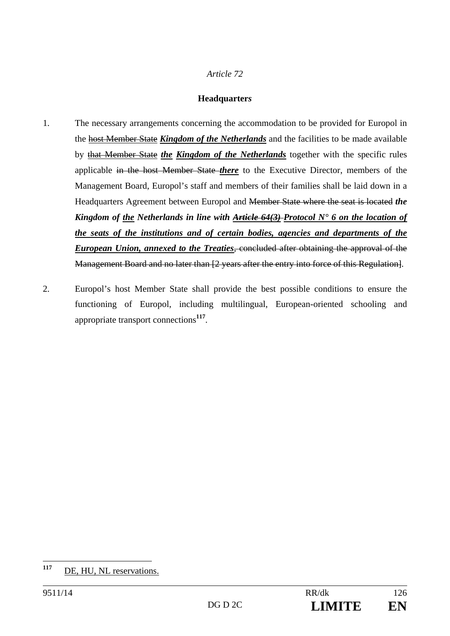### **Headquarter***s*

- 1. The necessary arrangements concerning the accommodation to be provided for Europol in the host Member State *Kingdom of the Netherlands* and the facilities to be made available by that Member State *the Kingdom of the Netherlands* together with the specific rules applicable in the host Member State *there* to the Executive Director, members of the Management Board, Europol's staff and members of their families shall be laid down in a Headquarters Agreement between Europol and Member State where the seat is located *the Kingdom of the Netherlands in line with Article 64(3) Protocol N° 6 on the location of the seats of the institutions and of certain bodies, agencies and departments of the European Union, annexed to the Treaties*, concluded after obtaining the approval of the Management Board and no later than [2 years after the entry into force of this Regulation].
- 2. Europol's host Member State shall provide the best possible conditions to ensure the functioning of Europol, including multilingual, European-oriented schooling and appropriate transport connections**<sup>117</sup>**.

<sup>117</sup> DE, HU, NL reservations.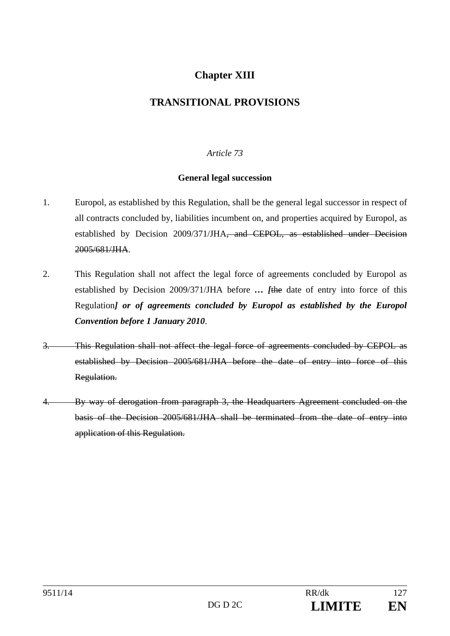# **Chapter XIII**

# **TRANSITIONAL PROVISIONS**

# *Article 73*

### **General legal succession**

- 1. Europol, as established by this Regulation, shall be the general legal successor in respect of all contracts concluded by, liabilities incumbent on, and properties acquired by Europol, as established by Decision 2009/371/JHA, and CEPOL, as established under Decision 2005/681/JHA.
- 2. This Regulation shall not affect the legal force of agreements concluded by Europol as established by Decision 2009/371/JHA before *… [*the date of entry into force of this Regulation*] or of agreements concluded by Europol as established by the Europol Convention before 1 January 2010*.
- 3. This Regulation shall not affect the legal force of agreements concluded by CEPOL as established by Decision 2005/681/JHA before the date of entry into force of this Regulation.
- 4. By way of derogation from paragraph 3, the Headquarters Agreement concluded on the basis of the Decision 2005/681/JHA shall be terminated from the date of entry into application of this Regulation.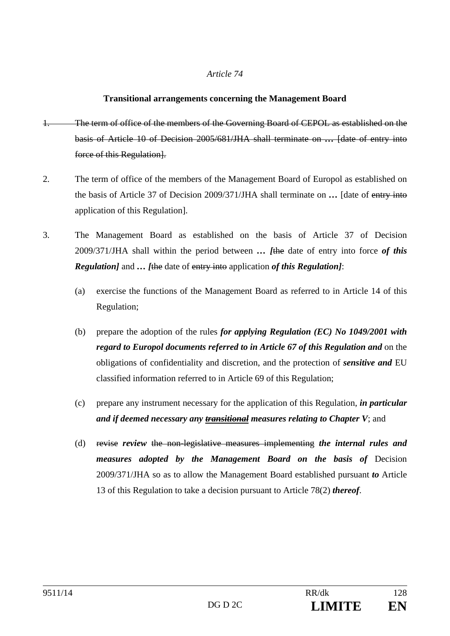#### **Transitional arrangements concerning the Management Board**

- 1. The term of office of the members of the Governing Board of CEPOL as established on the basis of Article 10 of Decision 2005/681/JHA shall terminate on *…* [date of entry into force of this Regulation.
- 2. The term of office of the members of the Management Board of Europol as established on the basis of Article 37 of Decision 2009/371/JHA shall terminate on *…* [date of entry into application of this Regulation].
- 3. The Management Board as established on the basis of Article 37 of Decision 2009/371/JHA shall within the period between *… [*the date of entry into force *of this Regulation]* and *… [*the date of entry into application *of this Regulation]*:
	- (a) exercise the functions of the Management Board as referred to in Article 14 of this Regulation;
	- (b) prepare the adoption of the rules *for applying Regulation (EC) No 1049/2001 with regard to Europol documents referred to in Article 67 of this Regulation and* on the obligations of confidentiality and discretion, and the protection of *sensitive and* EU classified information referred to in Article 69 of this Regulation;
	- (c) prepare any instrument necessary for the application of this Regulation, *in particular and if deemed necessary any transitional measures relating to Chapter V*; and
	- (d) revise *review* the non-legislative measures implementing *the internal rules and measures adopted by the Management Board on the basis of* Decision 2009/371/JHA so as to allow the Management Board established pursuant *to* Article 13 of this Regulation to take a decision pursuant to Article 78(2) *thereof*.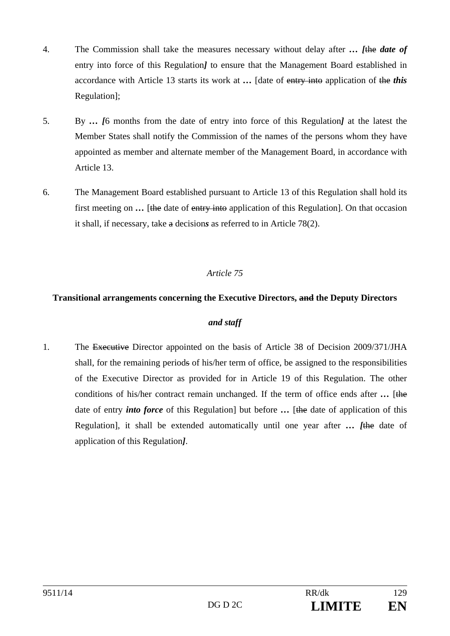- 4. The Commission shall take the measures necessary without delay after *… [*the *date of* entry into force of this Regulation*]* to ensure that the Management Board established in accordance with Article 13 starts its work at *…* [date of entry into application of the *this* Regulation];
- 5. By *… [*6 months from the date of entry into force of this Regulation*]* at the latest the Member States shall notify the Commission of the names of the persons whom they have appointed as member and alternate member of the Management Board, in accordance with Article 13.
- 6. The Management Board established pursuant to Article 13 of this Regulation shall hold its first meeting on ... [the date of entry into application of this Regulation]. On that occasion it shall, if necessary, take a decision*s* as referred to in Article 78(2).

## **Transitional arrangements concerning the Executive Directors, and the Deputy Directors**

# *and staff*

1. The Executive Director appointed on the basis of Article 38 of Decision 2009/371/JHA shall, for the remaining periods of his/her term of office, be assigned to the responsibilities of the Executive Director as provided for in Article 19 of this Regulation. The other conditions of his/her contract remain unchanged. If the term of office ends after ... [the date of entry *into force* of this Regulation] but before ... [the date of application of this Regulation], it shall be extended automatically until one year after *… [*the date of application of this Regulation*]*.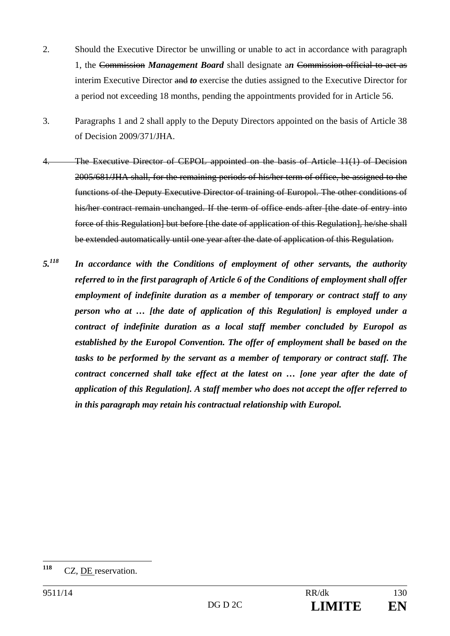- 2. Should the Executive Director be unwilling or unable to act in accordance with paragraph 1, the Commission *Management Board* shall designate a*n* Commission official to act as interim Executive Director and *to* exercise the duties assigned to the Executive Director for a period not exceeding 18 months, pending the appointments provided for in Article 56.
- 3. Paragraphs 1 and 2 shall apply to the Deputy Directors appointed on the basis of Article 38 of Decision 2009/371/JHA.
- The Executive Director of CEPOL appointed on the basis of Article 11(1) of Decision 2005/681/JHA shall, for the remaining periods of his/her term of office, be assigned to the functions of the Deputy Executive Director of training of Europol. The other conditions of his/her contract remain unchanged. If the term of office ends after [the date of entry into force of this Regulation] but before [the date of application of this Regulation], he/she shall be extended automatically until one year after the date of application of this Regulation.
- *5.118 In accordance with the Conditions of employment of other servants, the authority referred to in the first paragraph of Article 6 of the Conditions of employment shall offer employment of indefinite duration as a member of temporary or contract staff to any person who at … [the date of application of this Regulation] is employed under a contract of indefinite duration as a local staff member concluded by Europol as established by the Europol Convention. The offer of employment shall be based on the tasks to be performed by the servant as a member of temporary or contract staff. The contract concerned shall take effect at the latest on … [one year after the date of application of this Regulation]. A staff member who does not accept the offer referred to in this paragraph may retain his contractual relationship with Europol.*

<sup>118</sup> CZ, DE reservation.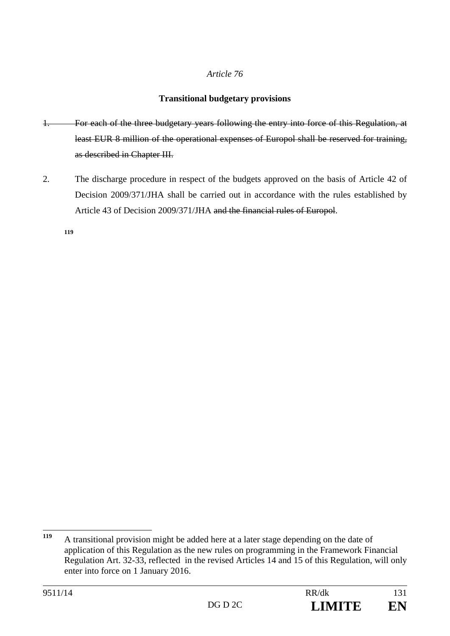## **Transitional budgetary provisions**

- 1. For each of the three budgetary years following the entry into force of this Regulation, at least EUR 8 million of the operational expenses of Europol shall be reserved for training, as described in Chapter III.
- 2. The discharge procedure in respect of the budgets approved on the basis of Article 42 of Decision 2009/371/JHA shall be carried out in accordance with the rules established by Article 43 of Decision 2009/371/JHA and the financial rules of Europol.

**119**

<sup>119</sup> **<sup>119</sup>** A transitional provision might be added here at a later stage depending on the date of application of this Regulation as the new rules on programming in the Framework Financial Regulation Art. 32-33, reflected in the revised Articles 14 and 15 of this Regulation, will only enter into force on 1 January 2016.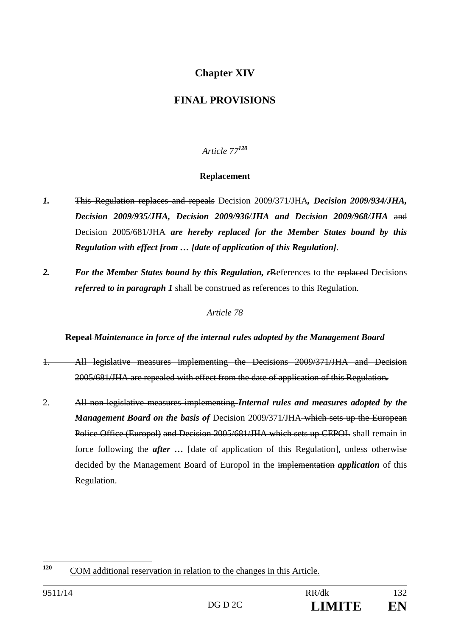# **Chapter XIV**

# **FINAL PROVISIONS**

*Article 77<sup>120</sup>*

## **Replacement**

- *1.* This Regulation replaces and repeals Decision 2009/371/JHA*, Decision 2009/934/JHA, Decision 2009/935/JHA, Decision 2009/936/JHA and Decision 2009/968/JHA* and Decision 2005/681/JHA *are hereby replaced for the Member States bound by this Regulation with effect from … [date of application of this Regulation]*.
- 2. For the Member States bound by this Regulation, rReferences to the replaced Decisions *referred to in paragraph 1* shall be construed as references to this Regulation.

### *Article 78*

#### **Repeal** *Maintenance in force of the internal rules adopted by the Management Board*

- 1. All legislative measures implementing the Decisions 2009/371/JHA and Decision 2005/681/JHA are repealed with effect from the date of application of this Regulation*.*
- 2. All non-legislative measures implementing *Internal rules and measures adopted by the Management Board on the basis of Decision 2009/371/JHA which sets up the European* Police Office (Europol) and Decision 2005/681/JHA which sets up CEPOL shall remain in force following the *after …* [date of application of this Regulation], unless otherwise decided by the Management Board of Europol in the implementation *application* of this Regulation.

<sup>120</sup> **<sup>120</sup>** COM additional reservation in relation to the changes in this Article.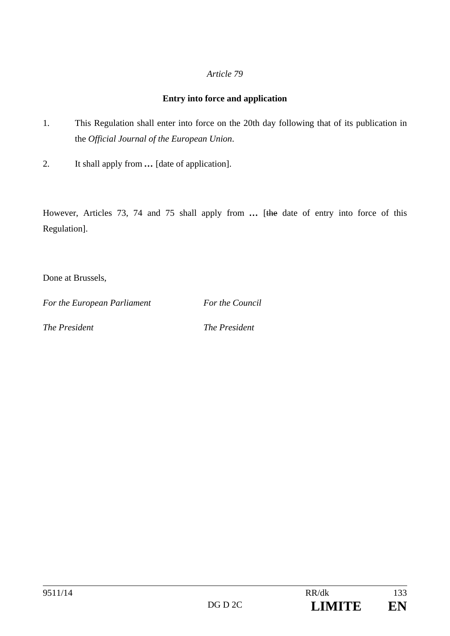# **Entry into force and application**

- 1. This Regulation shall enter into force on the 20th day following that of its publication in the *Official Journal of the European Union*.
- 2. It shall apply from *…* [date of application].

However, Articles 73, 74 and 75 shall apply from ... [the date of entry into force of this Regulation].

Done at Brussels,

*For the European Parliament For the Council* 

*The President* The *President*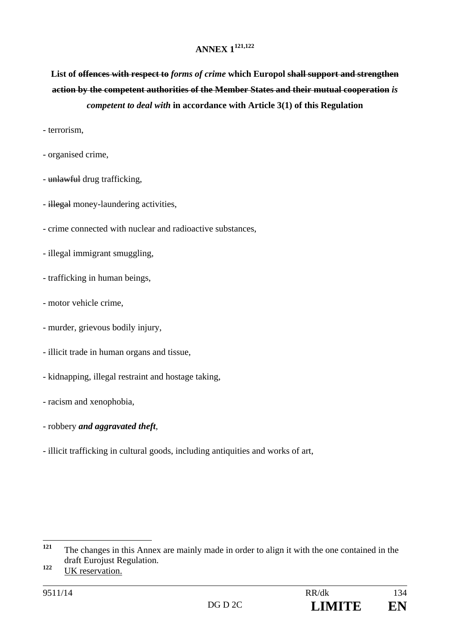## **ANNEX 1121,122**

List of <del>offences with respect to *forms of crime*</del> which Europol shall support and strengthen **action by the competent authorities of the Member States and their mutual cooperation** *is competent to deal with* **in accordance with Article 3(1) of this Regulation** 

- terrorism,

- organised crime,
- unlawful drug trafficking,
- illegal money-laundering activities,
- crime connected with nuclear and radioactive substances,
- illegal immigrant smuggling,
- trafficking in human beings,
- motor vehicle crime,
- murder, grievous bodily injury,
- illicit trade in human organs and tissue,
- kidnapping, illegal restraint and hostage taking,
- racism and xenophobia,
- robbery *and aggravated theft*,
- illicit trafficking in cultural goods, including antiquities and works of art,

<sup>121</sup> **<sup>121</sup>** The changes in this Annex are mainly made in order to align it with the one contained in the draft Eurojust Regulation.

**<sup>122</sup>** UK reservation.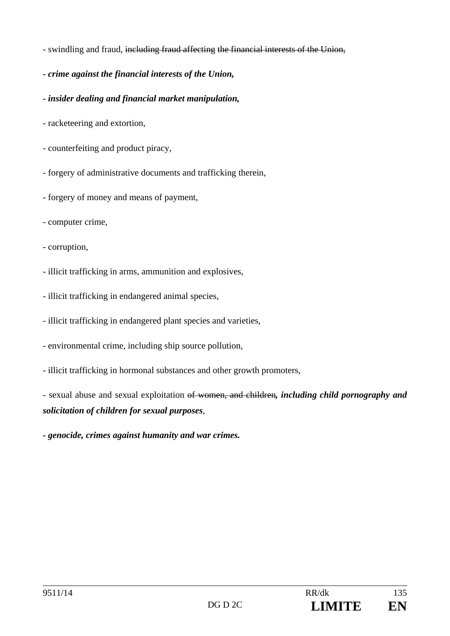- swindling and fraud, including fraud affecting the financial interests of the Union,
- *crime against the financial interests of the Union,*
- *insider dealing and financial market manipulation,*
- racketeering and extortion,
- counterfeiting and product piracy,
- forgery of administrative documents and trafficking therein,
- forgery of money and means of payment,
- computer crime,
- corruption,
- illicit trafficking in arms, ammunition and explosives,
- illicit trafficking in endangered animal species,
- illicit trafficking in endangered plant species and varieties,
- environmental crime, including ship source pollution,
- illicit trafficking in hormonal substances and other growth promoters,

- sexual abuse and sexual exploitation of women, and children*, including child pornography and solicitation of children for sexual purposes*,

*- genocide, crimes against humanity and war crimes.*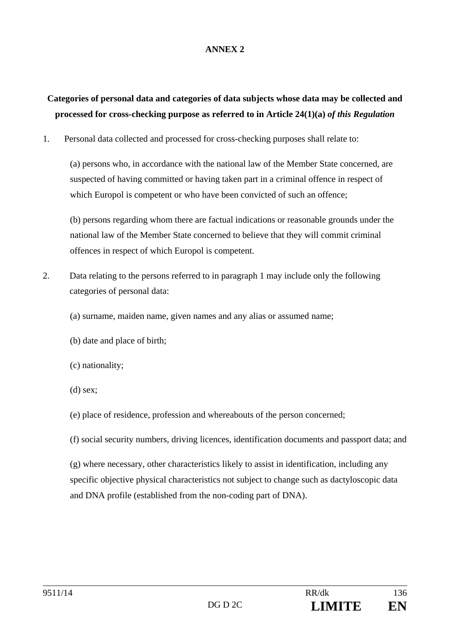### **ANNEX 2**

# **Categories of personal data and categories of data subjects whose data may be collected and processed for cross-checking purpose as referred to in Article 24(1)(a)** *of this Regulation*

1. Personal data collected and processed for cross-checking purposes shall relate to:

(a) persons who, in accordance with the national law of the Member State concerned, are suspected of having committed or having taken part in a criminal offence in respect of which Europol is competent or who have been convicted of such an offence:

(b) persons regarding whom there are factual indications or reasonable grounds under the national law of the Member State concerned to believe that they will commit criminal offences in respect of which Europol is competent.

- 2. Data relating to the persons referred to in paragraph 1 may include only the following categories of personal data:
	- (a) surname, maiden name, given names and any alias or assumed name;
	- (b) date and place of birth;
	- (c) nationality;
	- (d) sex;
	- (e) place of residence, profession and whereabouts of the person concerned;
	- (f) social security numbers, driving licences, identification documents and passport data; and

(g) where necessary, other characteristics likely to assist in identification, including any specific objective physical characteristics not subject to change such as dactyloscopic data and DNA profile (established from the non-coding part of DNA).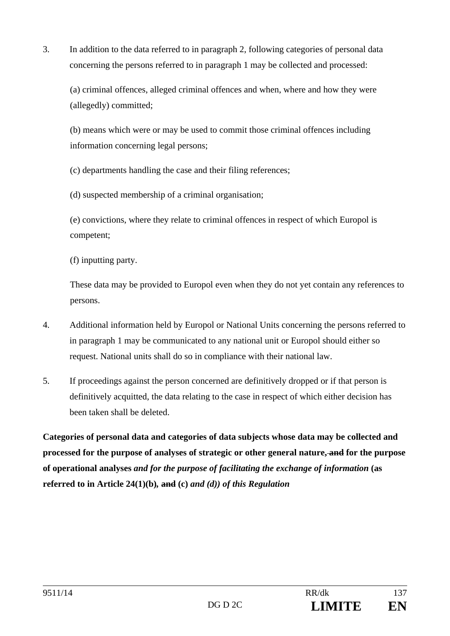3. In addition to the data referred to in paragraph 2, following categories of personal data concerning the persons referred to in paragraph 1 may be collected and processed:

(a) criminal offences, alleged criminal offences and when, where and how they were (allegedly) committed;

(b) means which were or may be used to commit those criminal offences including information concerning legal persons;

(c) departments handling the case and their filing references;

(d) suspected membership of a criminal organisation;

(e) convictions, where they relate to criminal offences in respect of which Europol is competent;

(f) inputting party.

These data may be provided to Europol even when they do not yet contain any references to persons.

- 4. Additional information held by Europol or National Units concerning the persons referred to in paragraph 1 may be communicated to any national unit or Europol should either so request. National units shall do so in compliance with their national law.
- 5. If proceedings against the person concerned are definitively dropped or if that person is definitively acquitted, the data relating to the case in respect of which either decision has been taken shall be deleted.

**Categories of personal data and categories of data subjects whose data may be collected and processed for the purpose of analyses of strategic or other general nature, and for the purpose of operational analyses** *and for the purpose of facilitating the exchange of information* **(as referred to in Article 24(1)(b)***,* **and (c)** *and (d)) of this Regulation*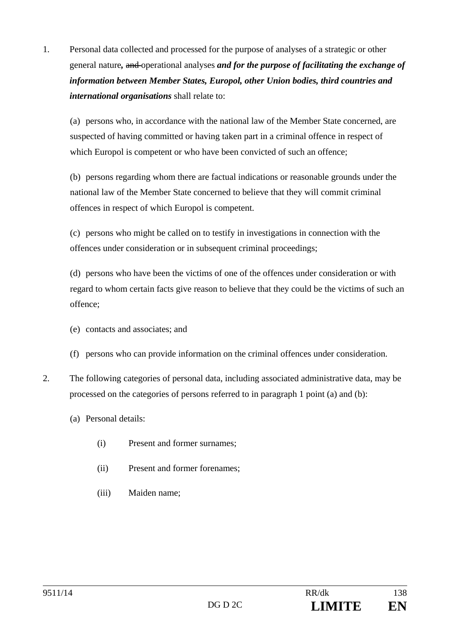1. Personal data collected and processed for the purpose of analyses of a strategic or other general nature*,* and operational analyses *and for the purpose of facilitating the exchange of information between Member States, Europol, other Union bodies, third countries and international organisations* shall relate to:

(a) persons who, in accordance with the national law of the Member State concerned, are suspected of having committed or having taken part in a criminal offence in respect of which Europol is competent or who have been convicted of such an offence;

(b) persons regarding whom there are factual indications or reasonable grounds under the national law of the Member State concerned to believe that they will commit criminal offences in respect of which Europol is competent.

(c) persons who might be called on to testify in investigations in connection with the offences under consideration or in subsequent criminal proceedings;

(d) persons who have been the victims of one of the offences under consideration or with regard to whom certain facts give reason to believe that they could be the victims of such an offence;

- (e) contacts and associates; and
- (f) persons who can provide information on the criminal offences under consideration.
- 2. The following categories of personal data, including associated administrative data, may be processed on the categories of persons referred to in paragraph 1 point (a) and (b):
	- (a) Personal details:
		- (i) Present and former surnames;
		- (ii) Present and former forenames;
		- (iii) Maiden name;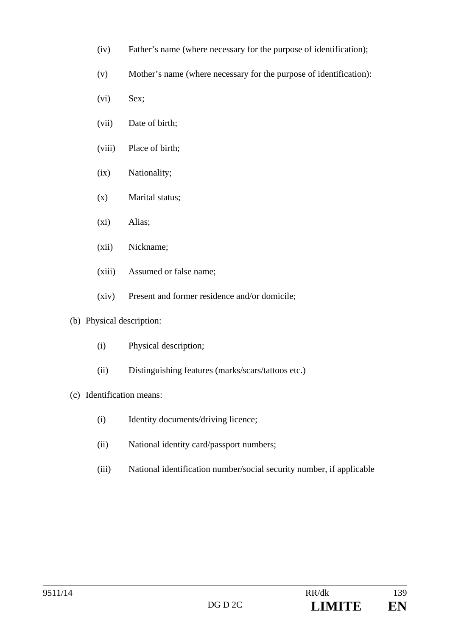- (iv) Father's name (where necessary for the purpose of identification);
- (v) Mother's name (where necessary for the purpose of identification):
- (vi) Sex;
- (vii) Date of birth;
- (viii) Place of birth;
- (ix) Nationality;
- (x) Marital status;
- (xi) Alias;
- (xii) Nickname;
- (xiii) Assumed or false name;
- (xiv) Present and former residence and/or domicile;
- (b) Physical description:
	- (i) Physical description;
	- (ii) Distinguishing features (marks/scars/tattoos etc.)
- (c) Identification means:
	- (i) Identity documents/driving licence;
	- (ii) National identity card/passport numbers;
	- (iii) National identification number/social security number, if applicable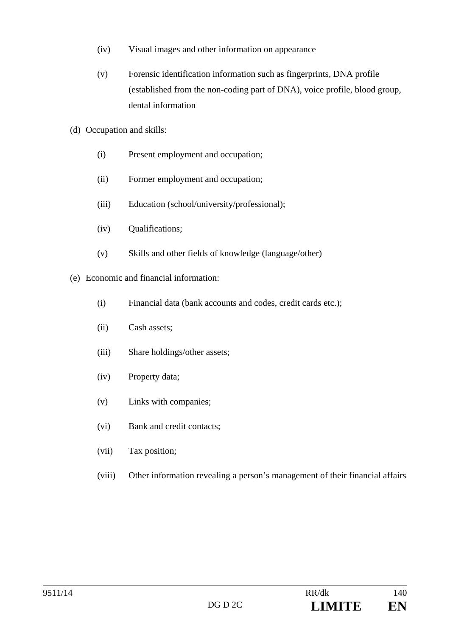- (iv) Visual images and other information on appearance
- (v) Forensic identification information such as fingerprints, DNA profile (established from the non-coding part of DNA), voice profile, blood group, dental information
- (d) Occupation and skills:
	- (i) Present employment and occupation;
	- (ii) Former employment and occupation;
	- (iii) Education (school/university/professional);
	- (iv) Qualifications;
	- (v) Skills and other fields of knowledge (language/other)
- (e) Economic and financial information:
	- (i) Financial data (bank accounts and codes, credit cards etc.);
	- (ii) Cash assets;
	- (iii) Share holdings/other assets;
	- (iv) Property data;
	- (v) Links with companies;
	- (vi) Bank and credit contacts;
	- (vii) Tax position;
	- (viii) Other information revealing a person's management of their financial affairs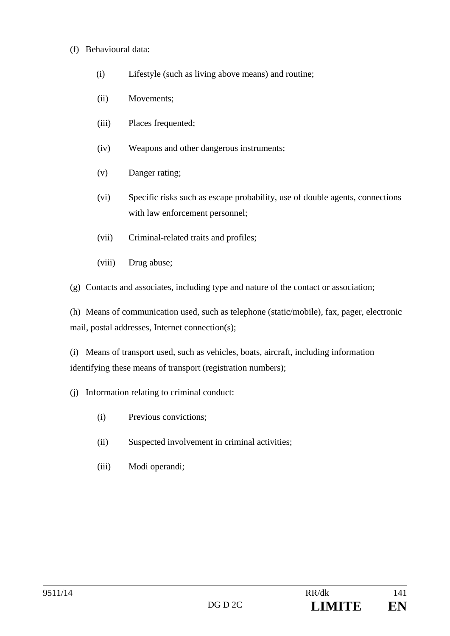### (f) Behavioural data:

- (i) Lifestyle (such as living above means) and routine;
- (ii) Movements;
- (iii) Places frequented;
- (iv) Weapons and other dangerous instruments;
- (v) Danger rating;
- (vi) Specific risks such as escape probability, use of double agents, connections with law enforcement personnel;
- (vii) Criminal-related traits and profiles;
- (viii) Drug abuse;
- (g) Contacts and associates, including type and nature of the contact or association;

(h) Means of communication used, such as telephone (static/mobile), fax, pager, electronic mail, postal addresses, Internet connection(s);

(i) Means of transport used, such as vehicles, boats, aircraft, including information identifying these means of transport (registration numbers);

- (j) Information relating to criminal conduct:
	- (i) Previous convictions;
	- (ii) Suspected involvement in criminal activities;
	- (iii) Modi operandi;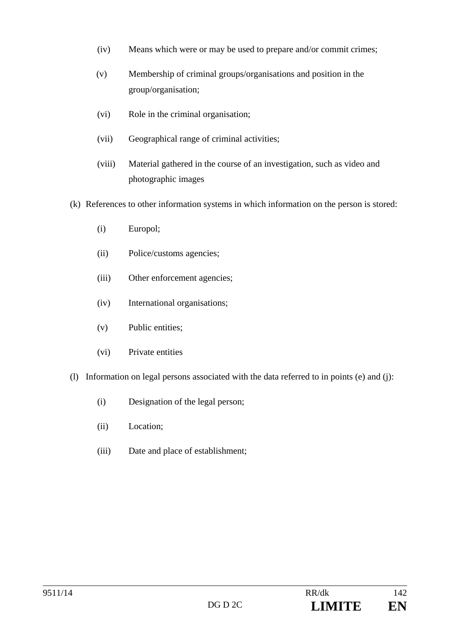- (iv) Means which were or may be used to prepare and/or commit crimes;
- (v) Membership of criminal groups/organisations and position in the group/organisation;
- (vi) Role in the criminal organisation;
- (vii) Geographical range of criminal activities;
- (viii) Material gathered in the course of an investigation, such as video and photographic images
- (k) References to other information systems in which information on the person is stored:
	- (i) Europol;
	- (ii) Police/customs agencies;
	- (iii) Other enforcement agencies;
	- (iv) International organisations;
	- (v) Public entities;
	- (vi) Private entities
- (l) Information on legal persons associated with the data referred to in points (e) and (j):
	- (i) Designation of the legal person;
	- (ii) Location;
	- (iii) Date and place of establishment;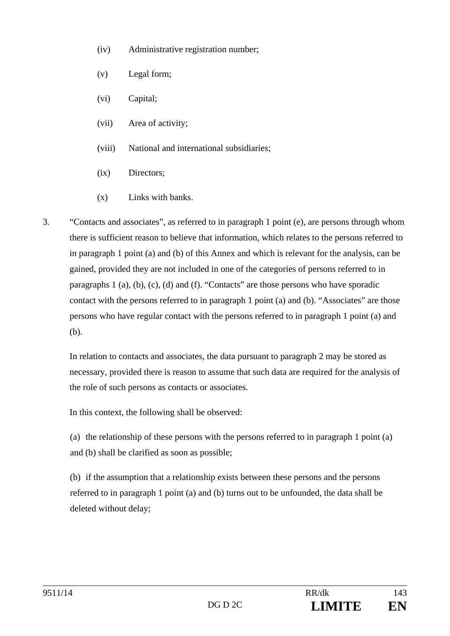- (iv) Administrative registration number;
- (v) Legal form;
- (vi) Capital;
- (vii) Area of activity;
- (viii) National and international subsidiaries;
- (ix) Directors;
- (x) Links with banks.
- 3. "Contacts and associates", as referred to in paragraph 1 point (e), are persons through whom there is sufficient reason to believe that information, which relates to the persons referred to in paragraph 1 point (a) and (b) of this Annex and which is relevant for the analysis, can be gained, provided they are not included in one of the categories of persons referred to in paragraphs 1 (a), (b), (c), (d) and (f). "Contacts" are those persons who have sporadic contact with the persons referred to in paragraph 1 point (a) and (b). "Associates" are those persons who have regular contact with the persons referred to in paragraph 1 point (a) and (b).

In relation to contacts and associates, the data pursuant to paragraph 2 may be stored as necessary, provided there is reason to assume that such data are required for the analysis of the role of such persons as contacts or associates.

In this context, the following shall be observed:

(a) the relationship of these persons with the persons referred to in paragraph 1 point (a) and (b) shall be clarified as soon as possible;

(b) if the assumption that a relationship exists between these persons and the persons referred to in paragraph 1 point (a) and (b) turns out to be unfounded, the data shall be deleted without delay;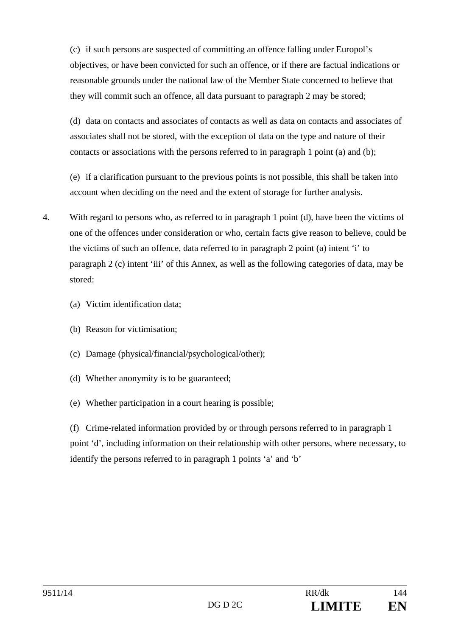(c) if such persons are suspected of committing an offence falling under Europol's objectives, or have been convicted for such an offence, or if there are factual indications or reasonable grounds under the national law of the Member State concerned to believe that they will commit such an offence, all data pursuant to paragraph 2 may be stored;

(d) data on contacts and associates of contacts as well as data on contacts and associates of associates shall not be stored, with the exception of data on the type and nature of their contacts or associations with the persons referred to in paragraph 1 point (a) and (b);

(e) if a clarification pursuant to the previous points is not possible, this shall be taken into account when deciding on the need and the extent of storage for further analysis.

- 4. With regard to persons who, as referred to in paragraph 1 point (d), have been the victims of one of the offences under consideration or who, certain facts give reason to believe, could be the victims of such an offence, data referred to in paragraph 2 point (a) intent 'i' to paragraph 2 (c) intent 'iii' of this Annex, as well as the following categories of data, may be stored:
	- (a) Victim identification data;
	- (b) Reason for victimisation;
	- (c) Damage (physical/financial/psychological/other);
	- (d) Whether anonymity is to be guaranteed;
	- (e) Whether participation in a court hearing is possible;

(f) Crime-related information provided by or through persons referred to in paragraph 1 point 'd', including information on their relationship with other persons, where necessary, to identify the persons referred to in paragraph 1 points 'a' and 'b'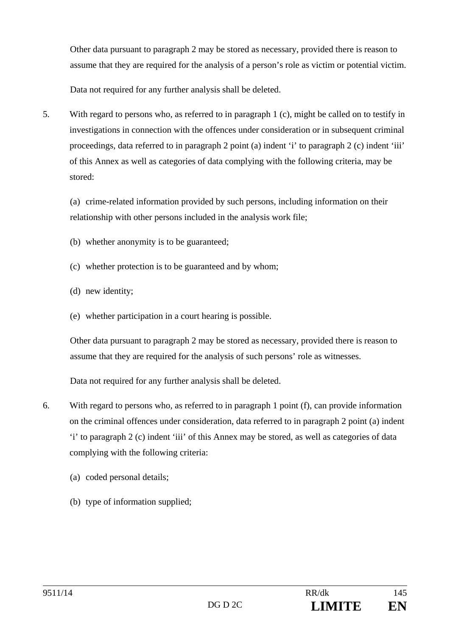Other data pursuant to paragraph 2 may be stored as necessary, provided there is reason to assume that they are required for the analysis of a person's role as victim or potential victim.

Data not required for any further analysis shall be deleted.

5. With regard to persons who, as referred to in paragraph 1 (c), might be called on to testify in investigations in connection with the offences under consideration or in subsequent criminal proceedings, data referred to in paragraph 2 point (a) indent 'i' to paragraph 2 (c) indent 'iii' of this Annex as well as categories of data complying with the following criteria, may be stored:

(a) crime-related information provided by such persons, including information on their relationship with other persons included in the analysis work file;

- (b) whether anonymity is to be guaranteed;
- (c) whether protection is to be guaranteed and by whom;
- (d) new identity;
- (e) whether participation in a court hearing is possible.

Other data pursuant to paragraph 2 may be stored as necessary, provided there is reason to assume that they are required for the analysis of such persons' role as witnesses.

Data not required for any further analysis shall be deleted.

- 6. With regard to persons who, as referred to in paragraph 1 point (f), can provide information on the criminal offences under consideration, data referred to in paragraph 2 point (a) indent 'i' to paragraph 2 (c) indent 'iii' of this Annex may be stored, as well as categories of data complying with the following criteria:
	- (a) coded personal details;
	- (b) type of information supplied;